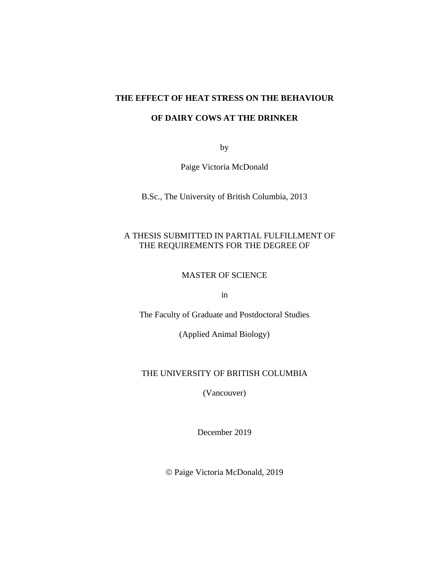### **THE EFFECT OF HEAT STRESS ON THE BEHAVIOUR**

## **OF DAIRY COWS AT THE DRINKER**

by

Paige Victoria McDonald

B.Sc., The University of British Columbia, 2013

## A THESIS SUBMITTED IN PARTIAL FULFILLMENT OF THE REQUIREMENTS FOR THE DEGREE OF

## MASTER OF SCIENCE

in

The Faculty of Graduate and Postdoctoral Studies

(Applied Animal Biology)

## THE UNIVERSITY OF BRITISH COLUMBIA

(Vancouver)

December 2019

© Paige Victoria McDonald, 2019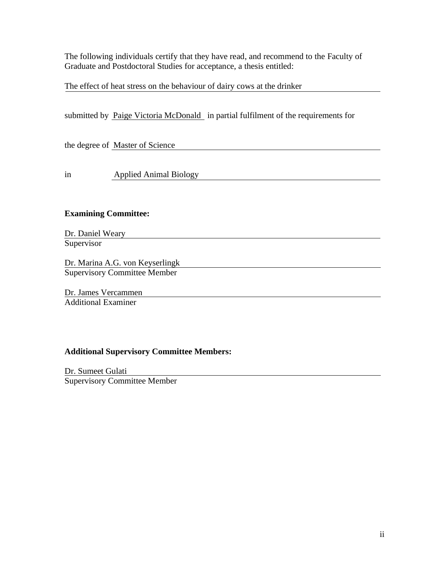The following individuals certify that they have read, and recommend to the Faculty of Graduate and Postdoctoral Studies for acceptance, a thesis entitled:

The effect of heat stress on the behaviour of dairy cows at the drinker

|                                 | submitted by Paige Victoria McDonald in partial fulfilment of the requirements for |  |
|---------------------------------|------------------------------------------------------------------------------------|--|
|                                 |                                                                                    |  |
|                                 | the degree of Master of Science                                                    |  |
|                                 |                                                                                    |  |
| in                              | <b>Applied Animal Biology</b>                                                      |  |
|                                 |                                                                                    |  |
|                                 |                                                                                    |  |
| <b>Examining Committee:</b>     |                                                                                    |  |
| Dr. Daniel Weary                |                                                                                    |  |
| Supervisor                      |                                                                                    |  |
| Dr. Marina A.G. von Keyserlingk |                                                                                    |  |
|                                 | <b>Supervisory Committee Member</b>                                                |  |
| Dr. James Vercammen             |                                                                                    |  |

Additional Examiner

# **Additional Supervisory Committee Members:**

Dr. Sumeet Gulati Supervisory Committee Member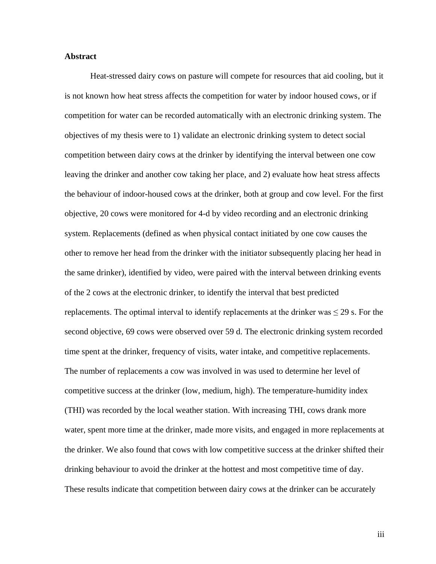#### **Abstract**

Heat-stressed dairy cows on pasture will compete for resources that aid cooling, but it is not known how heat stress affects the competition for water by indoor housed cows, or if competition for water can be recorded automatically with an electronic drinking system. The objectives of my thesis were to 1) validate an electronic drinking system to detect social competition between dairy cows at the drinker by identifying the interval between one cow leaving the drinker and another cow taking her place, and 2) evaluate how heat stress affects the behaviour of indoor-housed cows at the drinker, both at group and cow level. For the first objective, 20 cows were monitored for 4-d by video recording and an electronic drinking system. Replacements (defined as when physical contact initiated by one cow causes the other to remove her head from the drinker with the initiator subsequently placing her head in the same drinker), identified by video, were paired with the interval between drinking events of the 2 cows at the electronic drinker, to identify the interval that best predicted replacements. The optimal interval to identify replacements at the drinker was  $\leq$  29 s. For the second objective, 69 cows were observed over 59 d. The electronic drinking system recorded time spent at the drinker, frequency of visits, water intake, and competitive replacements. The number of replacements a cow was involved in was used to determine her level of competitive success at the drinker (low, medium, high). The temperature-humidity index (THI) was recorded by the local weather station. With increasing THI, cows drank more water, spent more time at the drinker, made more visits, and engaged in more replacements at the drinker. We also found that cows with low competitive success at the drinker shifted their drinking behaviour to avoid the drinker at the hottest and most competitive time of day. These results indicate that competition between dairy cows at the drinker can be accurately

iii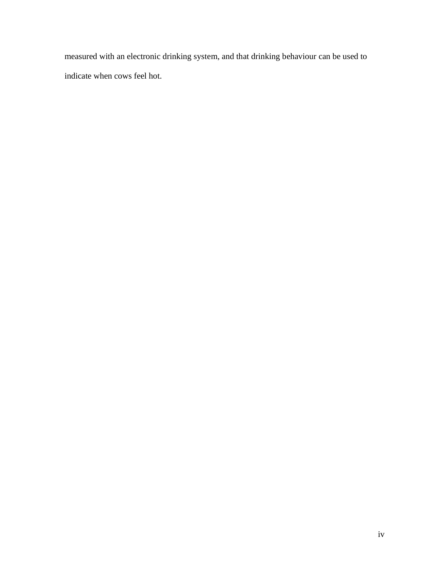measured with an electronic drinking system, and that drinking behaviour can be used to indicate when cows feel hot.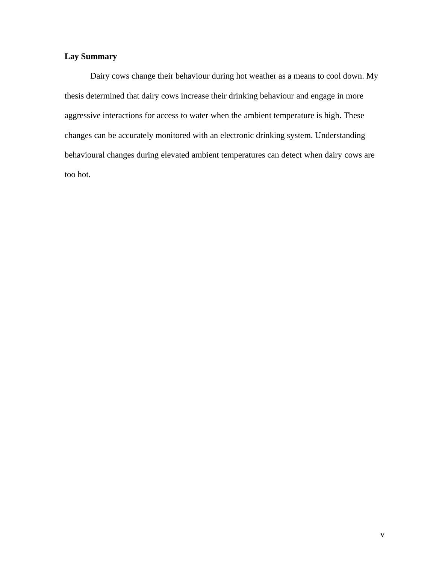## **Lay Summary**

Dairy cows change their behaviour during hot weather as a means to cool down. My thesis determined that dairy cows increase their drinking behaviour and engage in more aggressive interactions for access to water when the ambient temperature is high. These changes can be accurately monitored with an electronic drinking system. Understanding behavioural changes during elevated ambient temperatures can detect when dairy cows are too hot.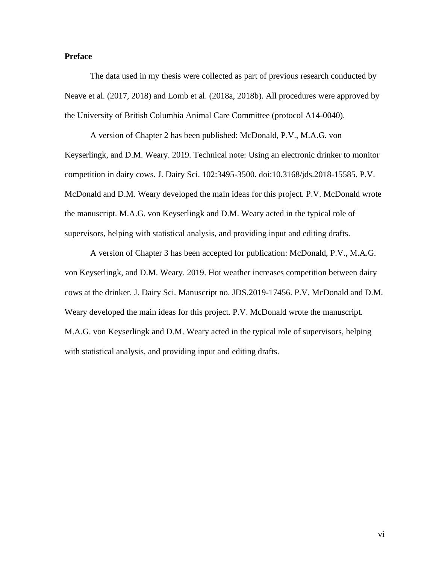## **Preface**

The data used in my thesis were collected as part of previous research conducted by Neave et al. (2017, 2018) and Lomb et al. (2018a, 2018b). All procedures were approved by the University of British Columbia Animal Care Committee (protocol A14-0040).

A version of Chapter 2 has been published: McDonald, P.V., M.A.G. von Keyserlingk, and D.M. Weary. 2019. Technical note: Using an electronic drinker to monitor competition in dairy cows. J. Dairy Sci. 102:3495-3500. doi:10.3168/jds.2018-15585. P.V. McDonald and D.M. Weary developed the main ideas for this project. P.V. McDonald wrote the manuscript. M.A.G. von Keyserlingk and D.M. Weary acted in the typical role of supervisors, helping with statistical analysis, and providing input and editing drafts.

A version of Chapter 3 has been accepted for publication: McDonald, P.V., M.A.G. von Keyserlingk, and D.M. Weary. 2019. Hot weather increases competition between dairy cows at the drinker. J. Dairy Sci. Manuscript no. JDS.2019-17456. P.V. McDonald and D.M. Weary developed the main ideas for this project. P.V. McDonald wrote the manuscript. M.A.G. von Keyserlingk and D.M. Weary acted in the typical role of supervisors, helping with statistical analysis, and providing input and editing drafts.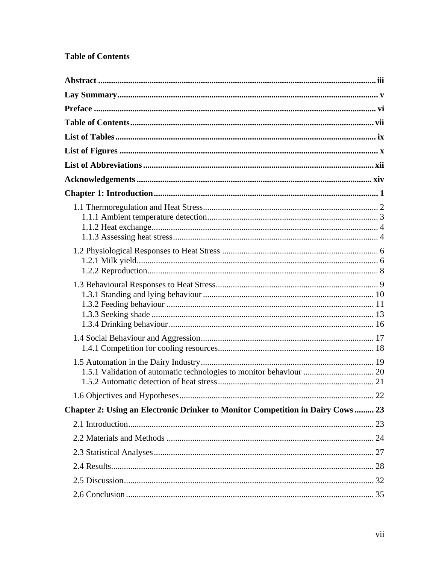# **Table of Contents**

| 1.5.1 Validation of automatic technologies to monitor behaviour  20             |  |
|---------------------------------------------------------------------------------|--|
|                                                                                 |  |
| Chapter 2: Using an Electronic Drinker to Monitor Competition in Dairy Cows  23 |  |
|                                                                                 |  |
|                                                                                 |  |
|                                                                                 |  |
|                                                                                 |  |
|                                                                                 |  |
|                                                                                 |  |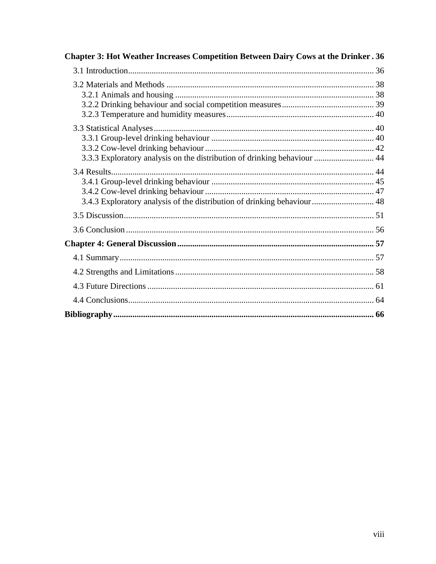| Chapter 3: Hot Weather Increases Competition Between Dairy Cows at the Drinker. 36 |  |
|------------------------------------------------------------------------------------|--|
|                                                                                    |  |
|                                                                                    |  |
|                                                                                    |  |
| 3.3.3 Exploratory analysis on the distribution of drinking behaviour  44           |  |
| 3.4.3 Exploratory analysis of the distribution of drinking behaviour 48            |  |
|                                                                                    |  |
|                                                                                    |  |
|                                                                                    |  |
|                                                                                    |  |
|                                                                                    |  |
|                                                                                    |  |
|                                                                                    |  |
|                                                                                    |  |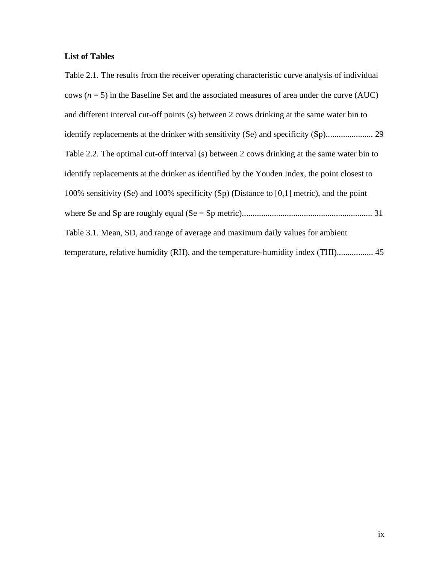## **List of Tables**

Table 2.1. The results from the receiver operating characteristic curve analysis of individual cows  $(n = 5)$  in the Baseline Set and the associated measures of area under the curve (AUC) and different interval cut-off points (s) between 2 cows drinking at the same water bin to identify replacements at the drinker with sensitivity (Se) and specificity (Sp)...................... 29 Table 2.2. The optimal cut-off interval (s) between 2 cows drinking at the same water bin to identify replacements at the drinker as identified by the Youden Index, the point closest to 100% sensitivity (Se) and 100% specificity (Sp) (Distance to [0,1] metric), and the point where Se and Sp are roughly equal (Se = Sp metric)............................................................. 31 Table 3.1. Mean, SD, and range of average and maximum daily values for ambient temperature, relative humidity (RH), and the temperature-humidity index (THI)................. 45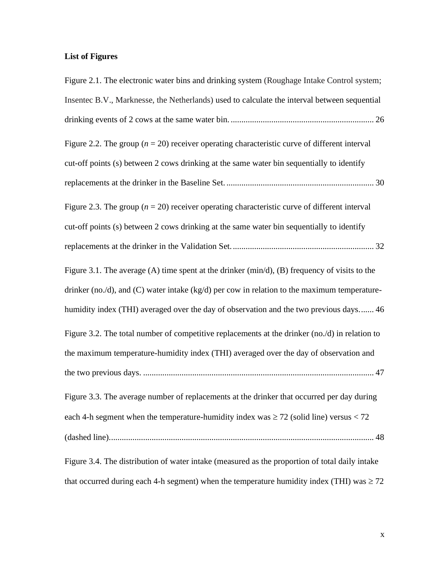# **List of Figures**

| Figure 2.1. The electronic water bins and drinking system (Roughage Intake Control system;            |
|-------------------------------------------------------------------------------------------------------|
| Insentec B.V., Marknesse, the Netherlands) used to calculate the interval between sequential          |
|                                                                                                       |
| Figure 2.2. The group ( $n = 20$ ) receiver operating characteristic curve of different interval      |
| cut-off points (s) between 2 cows drinking at the same water bin sequentially to identify             |
|                                                                                                       |
| Figure 2.3. The group ( $n = 20$ ) receiver operating characteristic curve of different interval      |
| cut-off points (s) between 2 cows drinking at the same water bin sequentially to identify             |
|                                                                                                       |
| Figure 3.1. The average $(A)$ time spent at the drinker $(\min/d)$ , $(B)$ frequency of visits to the |
| drinker (no./d), and (C) water intake (kg/d) per cow in relation to the maximum temperature-          |
| humidity index (THI) averaged over the day of observation and the two previous days 46                |
| Figure 3.2. The total number of competitive replacements at the drinker (no./d) in relation to        |
| the maximum temperature-humidity index (THI) averaged over the day of observation and                 |
|                                                                                                       |
| Figure 3.3. The average number of replacements at the drinker that occurred per day during            |
| each 4-h segment when the temperature-humidity index was $\geq$ 72 (solid line) versus < 72           |
|                                                                                                       |
| Figure 3.4. The distribution of water intake (measured as the proportion of total daily intake        |
| that occurred during each 4-h segment) when the temperature humidity index (THI) was $\geq$ 72        |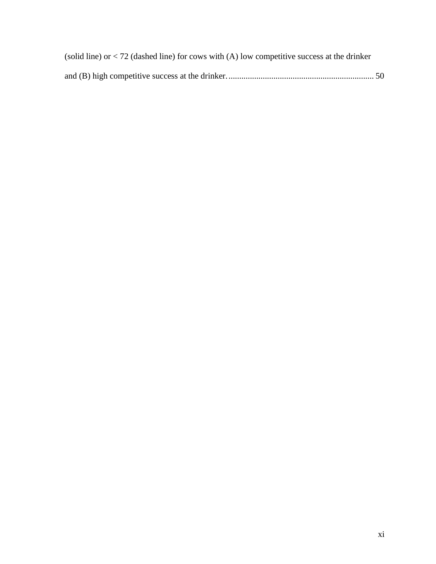| (solid line) or $<$ 72 (dashed line) for cows with (A) low competitive success at the drinker |  |
|-----------------------------------------------------------------------------------------------|--|
|                                                                                               |  |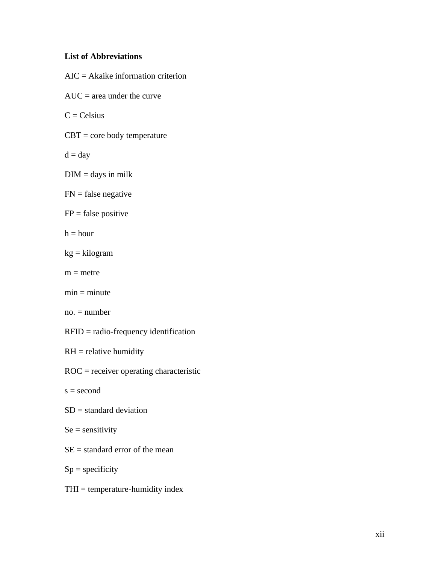# **List of Abbreviations**

| $AIC = Akaike$ information criterion      |
|-------------------------------------------|
| $AUC = area$ under the curve              |
| $C = Celsius$                             |
| $CBT = core$ body temperature             |
| $d = day$                                 |
| $DIM = \text{days}$ in milk               |
| $FN = false$ negative                     |
| $FP = false positive$                     |
| $h = hour$                                |
| $kg = kilogram$                           |
| $m =$ metre                               |
| $min = minute$                            |
| $no. = number$                            |
| $RFID = radio-frequency identification$   |
| $RH =$ relative humidity                  |
| $ROC = receiver operating characteristic$ |
| $s = second$                              |
| $SD = standard deviation$                 |
| $Se =$ sensitivity                        |
| $SE =$ standard error of the mean         |

 $Sp =$  specificity

THI = temperature-humidity index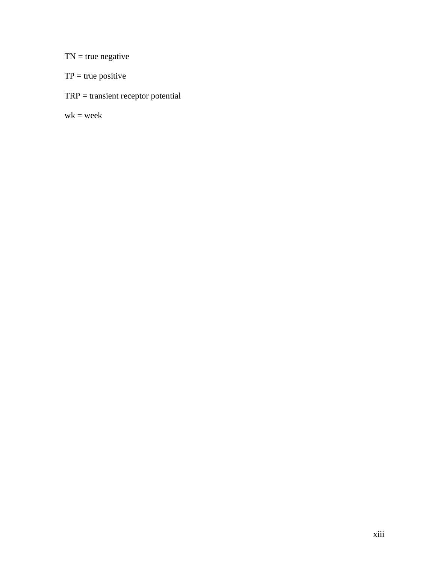$TN = true$  negative

- $TP = true positive$
- TRP = transient receptor potential

 $wk = week$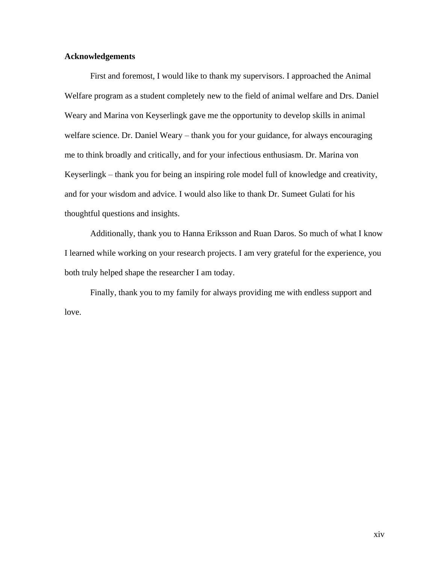#### **Acknowledgements**

First and foremost, I would like to thank my supervisors. I approached the Animal Welfare program as a student completely new to the field of animal welfare and Drs. Daniel Weary and Marina von Keyserlingk gave me the opportunity to develop skills in animal welfare science. Dr. Daniel Weary – thank you for your guidance, for always encouraging me to think broadly and critically, and for your infectious enthusiasm. Dr. Marina von Keyserlingk – thank you for being an inspiring role model full of knowledge and creativity, and for your wisdom and advice. I would also like to thank Dr. Sumeet Gulati for his thoughtful questions and insights.

Additionally, thank you to Hanna Eriksson and Ruan Daros. So much of what I know I learned while working on your research projects. I am very grateful for the experience, you both truly helped shape the researcher I am today.

Finally, thank you to my family for always providing me with endless support and love.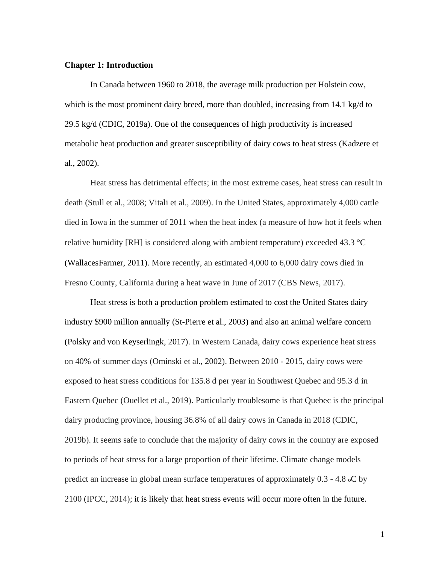#### **Chapter 1: Introduction**

In Canada between 1960 to 2018, the average milk production per Holstein cow, which is the most prominent dairy breed, more than doubled, increasing from 14.1 kg/d to 29.5 kg/d (CDIC, 2019a). One of the consequences of high productivity is increased metabolic heat production and greater susceptibility of dairy cows to heat stress (Kadzere et al., 2002).

Heat stress has detrimental effects; in the most extreme cases, heat stress can result in death (Stull et al., 2008; Vitali et al., 2009). In the United States, approximately 4,000 cattle died in Iowa in the summer of 2011 when the heat index (a measure of how hot it feels when relative humidity [RH] is considered along with ambient temperature) exceeded 43.3  $^{\circ}$ C (WallacesFarmer, 2011). More recently, an estimated 4,000 to 6,000 dairy cows died in Fresno County, California during a heat wave in June of 2017 (CBS News, 2017).

Heat stress is both a production problem estimated to cost the United States dairy industry \$900 million annually (St-Pierre et al., 2003) and also an animal welfare concern (Polsky and von Keyserlingk, 2017). In Western Canada, dairy cows experience heat stress on 40% of summer days (Ominski et al., 2002). Between 2010 - 2015, dairy cows were exposed to heat stress conditions for 135.8 d per year in Southwest Quebec and 95.3 d in Eastern Quebec (Ouellet et al., 2019). Particularly troublesome is that Quebec is the principal dairy producing province, housing 36.8% of all dairy cows in Canada in 2018 (CDIC, 2019b). It seems safe to conclude that the majority of dairy cows in the country are exposed to periods of heat stress for a large proportion of their lifetime. Climate change models predict an increase in global mean surface temperatures of approximately 0.3 - 4.8 oC by 2100 (IPCC, 2014); it is likely that heat stress events will occur more often in the future.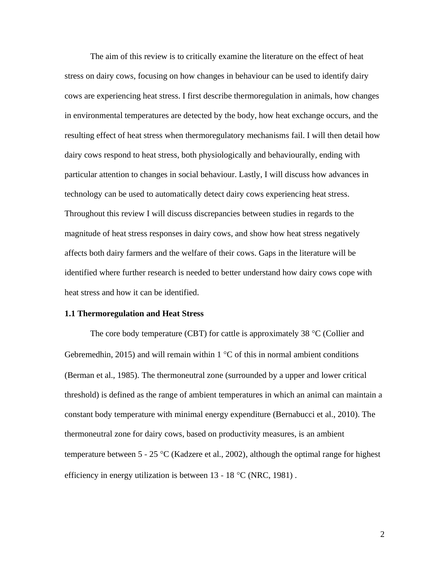The aim of this review is to critically examine the literature on the effect of heat stress on dairy cows, focusing on how changes in behaviour can be used to identify dairy cows are experiencing heat stress. I first describe thermoregulation in animals, how changes in environmental temperatures are detected by the body, how heat exchange occurs, and the resulting effect of heat stress when thermoregulatory mechanisms fail. I will then detail how dairy cows respond to heat stress, both physiologically and behaviourally, ending with particular attention to changes in social behaviour. Lastly, I will discuss how advances in technology can be used to automatically detect dairy cows experiencing heat stress. Throughout this review I will discuss discrepancies between studies in regards to the magnitude of heat stress responses in dairy cows, and show how heat stress negatively affects both dairy farmers and the welfare of their cows. Gaps in the literature will be identified where further research is needed to better understand how dairy cows cope with heat stress and how it can be identified.

#### **1.1 Thermoregulation and Heat Stress**

The core body temperature (CBT) for cattle is approximately 38  $\degree$ C (Collier and Gebremedhin, 2015) and will remain within  $1 \,^{\circ}\text{C}$  of this in normal ambient conditions (Berman et al., 1985). The thermoneutral zone (surrounded by a upper and lower critical threshold) is defined as the range of ambient temperatures in which an animal can maintain a constant body temperature with minimal energy expenditure (Bernabucci et al., 2010). The thermoneutral zone for dairy cows, based on productivity measures, is an ambient temperature between  $5 - 25$  °C (Kadzere et al., 2002), although the optimal range for highest efficiency in energy utilization is between  $13 - 18$  °C (NRC, 1981).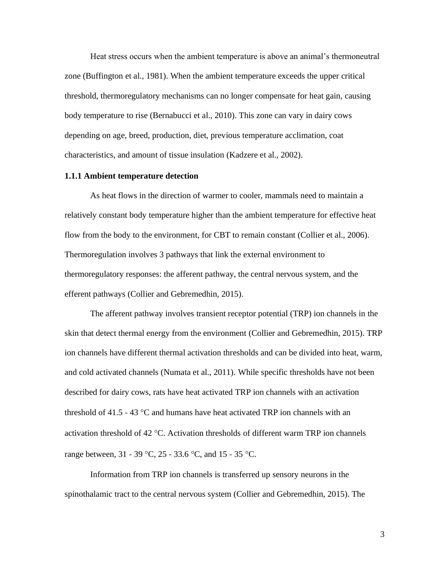Heat stress occurs when the ambient temperature is above an animal's thermoneutral zone (Buffington et al., 1981). When the ambient temperature exceeds the upper critical threshold, thermoregulatory mechanisms can no longer compensate for heat gain, causing body temperature to rise (Bernabucci et al., 2010). This zone can vary in dairy cows depending on age, breed, production, diet, previous temperature acclimation, coat characteristics, and amount of tissue insulation (Kadzere et al., 2002).

#### **1.1.1 Ambient temperature detection**

As heat flows in the direction of warmer to cooler, mammals need to maintain a relatively constant body temperature higher than the ambient temperature for effective heat flow from the body to the environment, for CBT to remain constant (Collier et al., 2006). Thermoregulation involves 3 pathways that link the external environment to thermoregulatory responses: the afferent pathway, the central nervous system, and the efferent pathways (Collier and Gebremedhin, 2015).

The afferent pathway involves transient receptor potential (TRP) ion channels in the skin that detect thermal energy from the environment (Collier and Gebremedhin, 2015). TRP ion channels have different thermal activation thresholds and can be divided into heat, warm, and cold activated channels (Numata et al., 2011). While specific thresholds have not been described for dairy cows, rats have heat activated TRP ion channels with an activation threshold of 41.5 - 43  $^{\circ}$ C and humans have heat activated TRP ion channels with an activation threshold of 42  $\degree$ C. Activation thresholds of different warm TRP ion channels range between,  $31 - 39$  °C,  $25 - 33.6$  °C, and  $15 - 35$  °C.

Information from TRP ion channels is transferred up sensory neurons in the spinothalamic tract to the central nervous system (Collier and Gebremedhin, 2015). The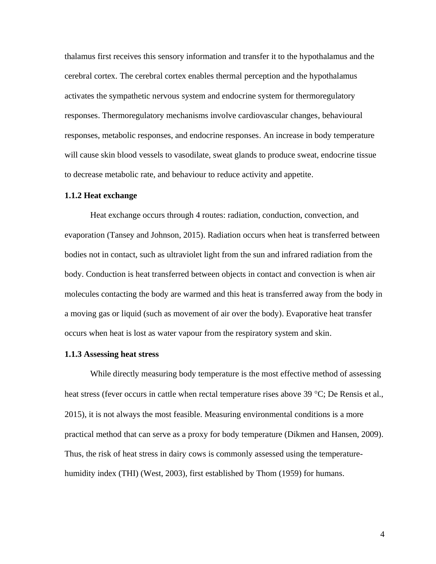thalamus first receives this sensory information and transfer it to the hypothalamus and the cerebral cortex. The cerebral cortex enables thermal perception and the hypothalamus activates the sympathetic nervous system and endocrine system for thermoregulatory responses. Thermoregulatory mechanisms involve cardiovascular changes, behavioural responses, metabolic responses, and endocrine responses. An increase in body temperature will cause skin blood vessels to vasodilate, sweat glands to produce sweat, endocrine tissue to decrease metabolic rate, and behaviour to reduce activity and appetite.

#### **1.1.2 Heat exchange**

Heat exchange occurs through 4 routes: radiation, conduction, convection, and evaporation (Tansey and Johnson, 2015). Radiation occurs when heat is transferred between bodies not in contact, such as ultraviolet light from the sun and infrared radiation from the body. Conduction is heat transferred between objects in contact and convection is when air molecules contacting the body are warmed and this heat is transferred away from the body in a moving gas or liquid (such as movement of air over the body). Evaporative heat transfer occurs when heat is lost as water vapour from the respiratory system and skin.

#### **1.1.3 Assessing heat stress**

While directly measuring body temperature is the most effective method of assessing heat stress (fever occurs in cattle when rectal temperature rises above 39  $^{\circ}C$ ; De Rensis et al., 2015), it is not always the most feasible. Measuring environmental conditions is a more practical method that can serve as a proxy for body temperature (Dikmen and Hansen, 2009). Thus, the risk of heat stress in dairy cows is commonly assessed using the temperaturehumidity index (THI) (West, 2003), first established by Thom (1959) for humans.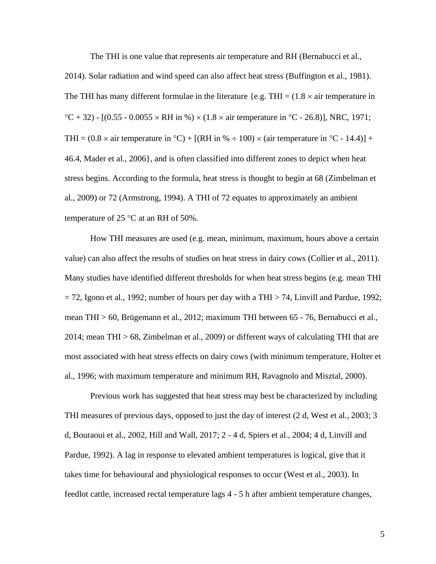The THI is one value that represents air temperature and RH (Bernabucci et al.,

2014). Solar radiation and wind speed can also affect heat stress (Buffington et al., 1981). The THI has many different formulae in the literature {e.g. THI =  $(1.8 \times air)$  temperature in  $^{\circ}$ C + 32) - [(0.55 - 0.0055 × RH in %) × (1.8 × air temperature in  $^{\circ}$ C - 26.8)], NRC, 1971; THI =  $(0.8 \times \text{air temperature in } ^{\circ}\text{C}) + [(RH \text{ in } \% \div 100) \times (\text{air temperature in } ^{\circ}\text{C} - 14.4)] +$ 46.4, Mader et al., 2006}, and is often classified into different zones to depict when heat stress begins. According to the formula, heat stress is thought to begin at 68 (Zimbelman et al., 2009) or 72 (Armstrong, 1994). A THI of 72 equates to approximately an ambient temperature of 25  $^{\circ}$ C at an RH of 50%.

How THI measures are used (e.g. mean, minimum, maximum, hours above a certain value) can also affect the results of studies on heat stress in dairy cows (Collier et al., 2011). Many studies have identified different thresholds for when heat stress begins (e.g. mean THI  $= 72$ , Igono et al., 1992; number of hours per day with a THI  $> 74$ , Linvill and Pardue, 1992; mean THI > 60, Brügemann et al., 2012; maximum THI between 65 - 76, Bernabucci et al., 2014; mean THI > 68, Zimbelman et al., 2009) or different ways of calculating THI that are most associated with heat stress effects on dairy cows (with minimum temperature, Holter et al., 1996; with maximum temperature and minimum RH, Ravagnolo and Misztal, 2000).

Previous work has suggested that heat stress may best be characterized by including THI measures of previous days, opposed to just the day of interest (2 d, West et al., 2003; 3 d, Bouraoui et al., 2002, Hill and Wall, 2017; 2 - 4 d, Spiers et al., 2004; 4 d, Linvill and Pardue, 1992). A lag in response to elevated ambient temperatures is logical, give that it takes time for behavioural and physiological responses to occur (West et al., 2003). In feedlot cattle, increased rectal temperature lags 4 - 5 h after ambient temperature changes,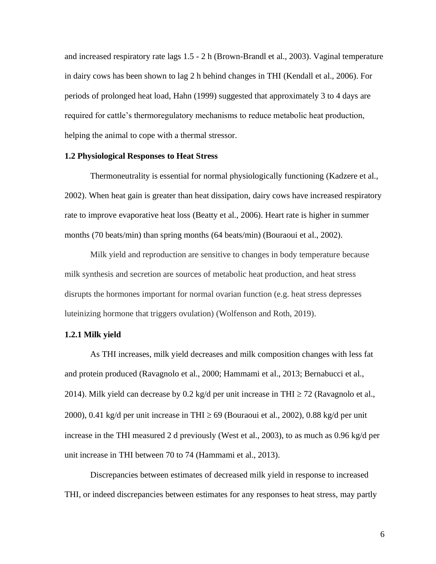and increased respiratory rate lags 1.5 - 2 h (Brown-Brandl et al., 2003). Vaginal temperature in dairy cows has been shown to lag 2 h behind changes in THI (Kendall et al., 2006). For periods of prolonged heat load, Hahn (1999) suggested that approximately 3 to 4 days are required for cattle's thermoregulatory mechanisms to reduce metabolic heat production, helping the animal to cope with a thermal stressor.

#### **1.2 Physiological Responses to Heat Stress**

Thermoneutrality is essential for normal physiologically functioning (Kadzere et al., 2002). When heat gain is greater than heat dissipation, dairy cows have increased respiratory rate to improve evaporative heat loss (Beatty et al., 2006). Heart rate is higher in summer months (70 beats/min) than spring months (64 beats/min) (Bouraoui et al., 2002).

Milk yield and reproduction are sensitive to changes in body temperature because milk synthesis and secretion are sources of metabolic heat production, and heat stress disrupts the hormones important for normal ovarian function (e.g. heat stress depresses luteinizing hormone that triggers ovulation) (Wolfenson and Roth, 2019).

#### **1.2.1 Milk yield**

As THI increases, milk yield decreases and milk composition changes with less fat and protein produced (Ravagnolo et al., 2000; Hammami et al., 2013; Bernabucci et al., 2014). Milk yield can decrease by 0.2 kg/d per unit increase in THI  $\geq$  72 (Ravagnolo et al., 2000), 0.41 kg/d per unit increase in THI  $\geq$  69 (Bouraoui et al., 2002), 0.88 kg/d per unit increase in the THI measured 2 d previously (West et al., 2003), to as much as 0.96 kg/d per unit increase in THI between 70 to 74 (Hammami et al., 2013).

Discrepancies between estimates of decreased milk yield in response to increased THI, or indeed discrepancies between estimates for any responses to heat stress, may partly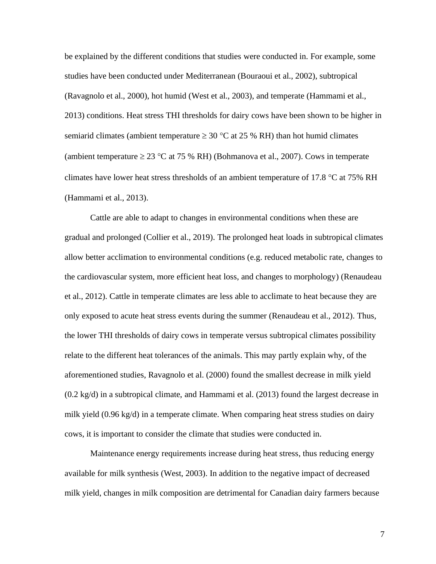be explained by the different conditions that studies were conducted in. For example, some studies have been conducted under Mediterranean (Bouraoui et al., 2002), subtropical (Ravagnolo et al., 2000), hot humid (West et al., 2003), and temperate (Hammami et al., 2013) conditions. Heat stress THI thresholds for dairy cows have been shown to be higher in semiarid climates (ambient temperature  $\geq 30$  °C at 25 % RH) than hot humid climates (ambient temperature  $\geq 23$  °C at 75 % RH) (Bohmanova et al., 2007). Cows in temperate climates have lower heat stress thresholds of an ambient temperature of 17.8  $\degree$ C at 75% RH (Hammami et al., 2013).

Cattle are able to adapt to changes in environmental conditions when these are gradual and prolonged (Collier et al., 2019). The prolonged heat loads in subtropical climates allow better acclimation to environmental conditions (e.g. reduced metabolic rate, changes to the cardiovascular system, more efficient heat loss, and changes to morphology) (Renaudeau et al., 2012). Cattle in temperate climates are less able to acclimate to heat because they are only exposed to acute heat stress events during the summer (Renaudeau et al., 2012). Thus, the lower THI thresholds of dairy cows in temperate versus subtropical climates possibility relate to the different heat tolerances of the animals. This may partly explain why, of the aforementioned studies, Ravagnolo et al. (2000) found the smallest decrease in milk yield (0.2 kg/d) in a subtropical climate, and Hammami et al. (2013) found the largest decrease in milk yield (0.96 kg/d) in a temperate climate. When comparing heat stress studies on dairy cows, it is important to consider the climate that studies were conducted in.

Maintenance energy requirements increase during heat stress, thus reducing energy available for milk synthesis (West, 2003). In addition to the negative impact of decreased milk yield, changes in milk composition are detrimental for Canadian dairy farmers because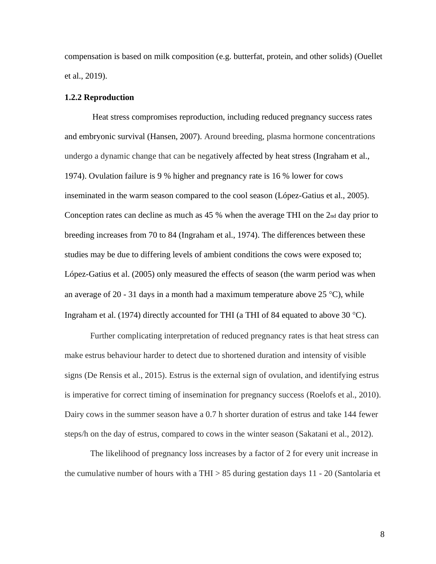compensation is based on milk composition (e.g. butterfat, protein, and other solids) (Ouellet et al., 2019).

#### **1.2.2 Reproduction**

Heat stress compromises reproduction, including reduced pregnancy success rates and embryonic survival (Hansen, 2007). Around breeding, plasma hormone concentrations undergo a dynamic change that can be negatively affected by heat stress (Ingraham et al., 1974). Ovulation failure is 9 % higher and pregnancy rate is 16 % lower for cows inseminated in the warm season compared to the cool season (López-Gatius et al., 2005). Conception rates can decline as much as 45 % when the average THI on the 2nd day prior to breeding increases from 70 to 84 (Ingraham et al., 1974). The differences between these studies may be due to differing levels of ambient conditions the cows were exposed to; López-Gatius et al. (2005) only measured the effects of season (the warm period was when an average of 20 - 31 days in a month had a maximum temperature above 25 °C), while Ingraham et al. (1974) directly accounted for THI (a THI of 84 equated to above 30 °C).

Further complicating interpretation of reduced pregnancy rates is that heat stress can make estrus behaviour harder to detect due to shortened duration and intensity of visible signs (De Rensis et al., 2015). Estrus is the external sign of ovulation, and identifying estrus is imperative for correct timing of insemination for pregnancy success (Roelofs et al., 2010). Dairy cows in the summer season have a 0.7 h shorter duration of estrus and take 144 fewer steps/h on the day of estrus, compared to cows in the winter season (Sakatani et al., 2012).

The likelihood of pregnancy loss increases by a factor of 2 for every unit increase in the cumulative number of hours with a THI  $> 85$  during gestation days 11 - 20 (Santolaria et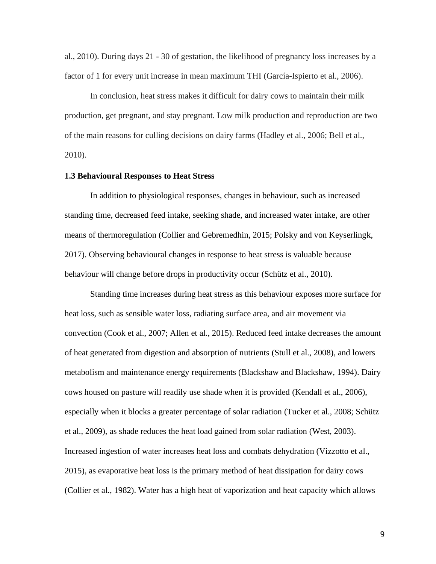al., 2010). During days 21 - 30 of gestation, the likelihood of pregnancy loss increases by a factor of 1 for every unit increase in mean maximum THI (García-Ispierto et al., 2006).

In conclusion, heat stress makes it difficult for dairy cows to maintain their milk production, get pregnant, and stay pregnant. Low milk production and reproduction are two of the main reasons for culling decisions on dairy farms (Hadley et al., 2006; Bell et al., 2010).

#### **1.3 Behavioural Responses to Heat Stress**

In addition to physiological responses, changes in behaviour, such as increased standing time, decreased feed intake, seeking shade, and increased water intake, are other means of thermoregulation (Collier and Gebremedhin, 2015; Polsky and von Keyserlingk, 2017). Observing behavioural changes in response to heat stress is valuable because behaviour will change before drops in productivity occur (Schütz et al., 2010).

Standing time increases during heat stress as this behaviour exposes more surface for heat loss, such as sensible water loss, radiating surface area, and air movement via convection (Cook et al., 2007; Allen et al., 2015). Reduced feed intake decreases the amount of heat generated from digestion and absorption of nutrients (Stull et al., 2008), and lowers metabolism and maintenance energy requirements (Blackshaw and Blackshaw, 1994). Dairy cows housed on pasture will readily use shade when it is provided (Kendall et al., 2006), especially when it blocks a greater percentage of solar radiation (Tucker et al., 2008; Schütz et al., 2009), as shade reduces the heat load gained from solar radiation (West, 2003). Increased ingestion of water increases heat loss and combats dehydration (Vizzotto et al., 2015), as evaporative heat loss is the primary method of heat dissipation for dairy cows (Collier et al., 1982). Water has a high heat of vaporization and heat capacity which allows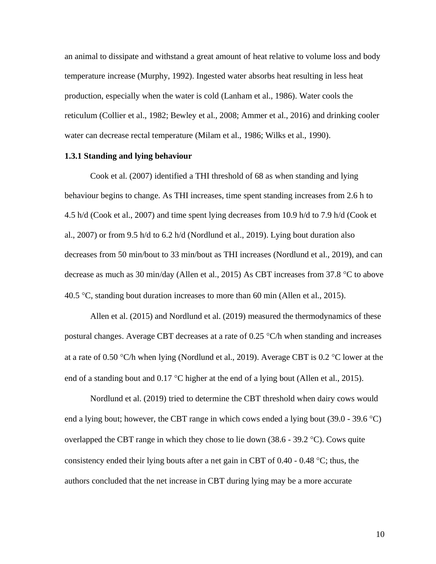an animal to dissipate and withstand a great amount of heat relative to volume loss and body temperature increase (Murphy, 1992). Ingested water absorbs heat resulting in less heat production, especially when the water is cold (Lanham et al., 1986). Water cools the reticulum (Collier et al., 1982; Bewley et al., 2008; Ammer et al., 2016) and drinking cooler water can decrease rectal temperature (Milam et al., 1986; Wilks et al., 1990).

#### **1.3.1 Standing and lying behaviour**

Cook et al. (2007) identified a THI threshold of 68 as when standing and lying behaviour begins to change. As THI increases, time spent standing increases from 2.6 h to 4.5 h/d (Cook et al., 2007) and time spent lying decreases from 10.9 h/d to 7.9 h/d (Cook et al., 2007) or from 9.5 h/d to 6.2 h/d (Nordlund et al., 2019). Lying bout duration also decreases from 50 min/bout to 33 min/bout as THI increases (Nordlund et al., 2019), and can decrease as much as 30 min/day (Allen et al., 2015) As CBT increases from 37.8  $\degree$ C to above 40.5 °C, standing bout duration increases to more than 60 min (Allen et al., 2015).

Allen et al. (2015) and Nordlund et al. (2019) measured the thermodynamics of these postural changes. Average CBT decreases at a rate of  $0.25$  °C/h when standing and increases at a rate of 0.50 °C/h when lying (Nordlund et al., 2019). Average CBT is 0.2 °C lower at the end of a standing bout and  $0.17 \text{ °C}$  higher at the end of a lying bout (Allen et al., 2015).

Nordlund et al. (2019) tried to determine the CBT threshold when dairy cows would end a lying bout; however, the CBT range in which cows ended a lying bout  $(39.0 - 39.6 \degree C)$ overlapped the CBT range in which they chose to lie down  $(38.6 - 39.2 \degree C)$ . Cows quite consistency ended their lying bouts after a net gain in CBT of  $0.40 - 0.48$  °C; thus, the authors concluded that the net increase in CBT during lying may be a more accurate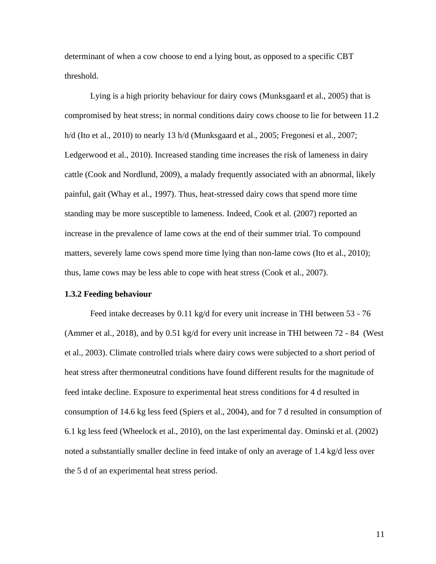determinant of when a cow choose to end a lying bout, as opposed to a specific CBT threshold.

Lying is a high priority behaviour for dairy cows (Munksgaard et al., 2005) that is compromised by heat stress; in normal conditions dairy cows choose to lie for between 11.2 h/d (Ito et al., 2010) to nearly 13 h/d (Munksgaard et al., 2005; Fregonesi et al., 2007; Ledgerwood et al., 2010). Increased standing time increases the risk of lameness in dairy cattle (Cook and Nordlund, 2009), a malady frequently associated with an abnormal, likely painful, gait (Whay et al., 1997). Thus, heat-stressed dairy cows that spend more time standing may be more susceptible to lameness. Indeed, Cook et al. (2007) reported an increase in the prevalence of lame cows at the end of their summer trial. To compound matters, severely lame cows spend more time lying than non-lame cows (Ito et al., 2010); thus, lame cows may be less able to cope with heat stress (Cook et al., 2007).

#### **1.3.2 Feeding behaviour**

Feed intake decreases by 0.11 kg/d for every unit increase in THI between 53 - 76 (Ammer et al., 2018), and by 0.51 kg/d for every unit increase in THI between 72 - 84 (West et al., 2003). Climate controlled trials where dairy cows were subjected to a short period of heat stress after thermoneutral conditions have found different results for the magnitude of feed intake decline. Exposure to experimental heat stress conditions for 4 d resulted in consumption of 14.6 kg less feed (Spiers et al., 2004), and for 7 d resulted in consumption of 6.1 kg less feed (Wheelock et al., 2010), on the last experimental day. Ominski et al. (2002) noted a substantially smaller decline in feed intake of only an average of 1.4 kg/d less over the 5 d of an experimental heat stress period.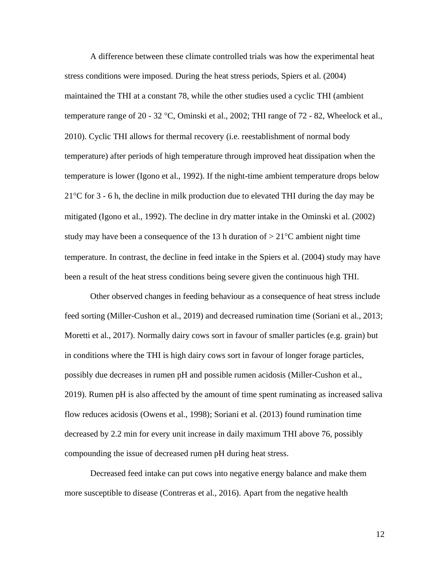A difference between these climate controlled trials was how the experimental heat stress conditions were imposed. During the heat stress periods, Spiers et al. (2004) maintained the THI at a constant 78, while the other studies used a cyclic THI (ambient temperature range of 20 - 32 °C, Ominski et al., 2002; THI range of 72 - 82, Wheelock et al., 2010). Cyclic THI allows for thermal recovery (i.e. reestablishment of normal body temperature) after periods of high temperature through improved heat dissipation when the temperature is lower (Igono et al., 1992). If the night-time ambient temperature drops below  $21^{\circ}$ C for 3 - 6 h, the decline in milk production due to elevated THI during the day may be mitigated (Igono et al., 1992). The decline in dry matter intake in the Ominski et al. (2002) study may have been a consequence of the 13 h duration of  $> 21^{\circ}$ C ambient night time temperature. In contrast, the decline in feed intake in the Spiers et al. (2004) study may have been a result of the heat stress conditions being severe given the continuous high THI.

Other observed changes in feeding behaviour as a consequence of heat stress include feed sorting (Miller-Cushon et al., 2019) and decreased rumination time (Soriani et al., 2013; Moretti et al., 2017). Normally dairy cows sort in favour of smaller particles (e.g. grain) but in conditions where the THI is high dairy cows sort in favour of longer forage particles, possibly due decreases in rumen pH and possible rumen acidosis (Miller-Cushon et al., 2019). Rumen pH is also affected by the amount of time spent ruminating as increased saliva flow reduces acidosis (Owens et al., 1998); Soriani et al. (2013) found rumination time decreased by 2.2 min for every unit increase in daily maximum THI above 76, possibly compounding the issue of decreased rumen pH during heat stress.

Decreased feed intake can put cows into negative energy balance and make them more susceptible to disease (Contreras et al., 2016). Apart from the negative health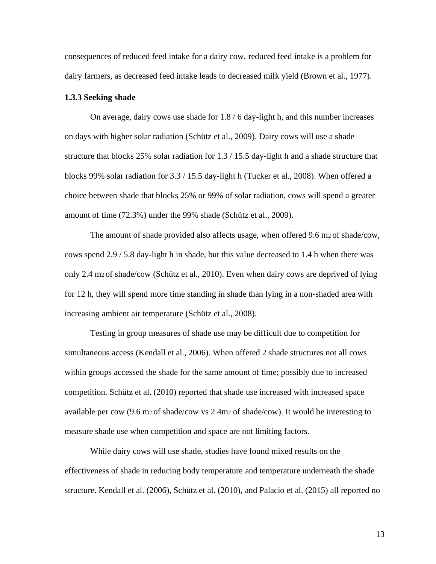consequences of reduced feed intake for a dairy cow, reduced feed intake is a problem for dairy farmers, as decreased feed intake leads to decreased milk yield (Brown et al., 1977).

#### **1.3.3 Seeking shade**

On average, dairy cows use shade for 1.8 / 6 day-light h, and this number increases on days with higher solar radiation (Schütz et al., 2009). Dairy cows will use a shade structure that blocks 25% solar radiation for 1.3 / 15.5 day-light h and a shade structure that blocks 99% solar radiation for 3.3 / 15.5 day-light h (Tucker et al., 2008). When offered a choice between shade that blocks 25% or 99% of solar radiation, cows will spend a greater amount of time (72.3%) under the 99% shade (Schütz et al., 2009).

The amount of shade provided also affects usage, when offered 9.6 m<sub>2</sub> of shade/cow, cows spend 2.9 / 5.8 day-light h in shade, but this value decreased to 1.4 h when there was only 2.4 m2 of shade/cow (Schütz et al., 2010). Even when dairy cows are deprived of lying for 12 h, they will spend more time standing in shade than lying in a non-shaded area with increasing ambient air temperature (Schütz et al., 2008).

Testing in group measures of shade use may be difficult due to competition for simultaneous access (Kendall et al., 2006). When offered 2 shade structures not all cows within groups accessed the shade for the same amount of time; possibly due to increased competition. Schütz et al. (2010) reported that shade use increased with increased space available per cow (9.6 m2 of shade/cow vs 2.4m<sup>2</sup> of shade/cow). It would be interesting to measure shade use when competition and space are not limiting factors.

While dairy cows will use shade, studies have found mixed results on the effectiveness of shade in reducing body temperature and temperature underneath the shade structure. Kendall et al. (2006), Schütz et al. (2010), and Palacio et al. (2015) all reported no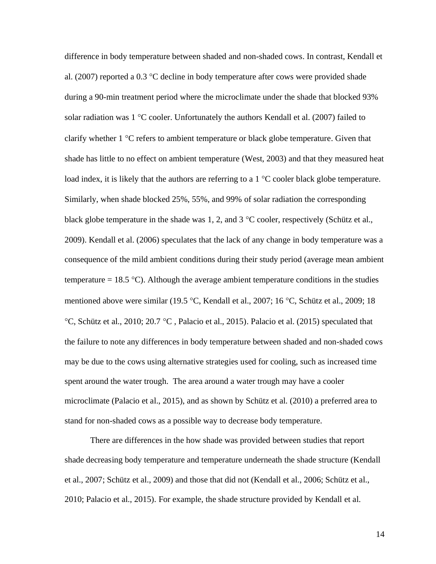difference in body temperature between shaded and non-shaded cows. In contrast, Kendall et al. (2007) reported a 0.3  $\degree$ C decline in body temperature after cows were provided shade during a 90-min treatment period where the microclimate under the shade that blocked 93% solar radiation was  $1 \text{°C}$  cooler. Unfortunately the authors Kendall et al. (2007) failed to clarify whether  $1 \,^{\circ}\text{C}$  refers to ambient temperature or black globe temperature. Given that shade has little to no effect on ambient temperature (West, 2003) and that they measured heat load index, it is likely that the authors are referring to a  $1 \degree C$  cooler black globe temperature. Similarly, when shade blocked 25%, 55%, and 99% of solar radiation the corresponding black globe temperature in the shade was 1, 2, and  $3^{\circ}$ C cooler, respectively (Schütz et al., 2009). Kendall et al. (2006) speculates that the lack of any change in body temperature was a consequence of the mild ambient conditions during their study period (average mean ambient temperature = 18.5 °C). Although the average ambient temperature conditions in the studies mentioned above were similar (19.5 °C, Kendall et al., 2007; 16 °C, Schütz et al., 2009; 18  $\degree$ C, Schütz et al., 2010; 20.7  $\degree$ C, Palacio et al., 2015). Palacio et al. (2015) speculated that the failure to note any differences in body temperature between shaded and non-shaded cows may be due to the cows using alternative strategies used for cooling, such as increased time spent around the water trough. The area around a water trough may have a cooler microclimate (Palacio et al., 2015), and as shown by Schütz et al. (2010) a preferred area to stand for non-shaded cows as a possible way to decrease body temperature.

There are differences in the how shade was provided between studies that report shade decreasing body temperature and temperature underneath the shade structure (Kendall et al., 2007; Schütz et al., 2009) and those that did not (Kendall et al., 2006; Schütz et al., 2010; Palacio et al., 2015). For example, the shade structure provided by Kendall et al.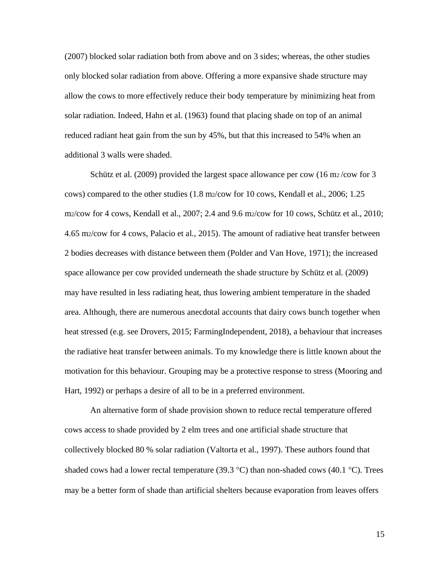(2007) blocked solar radiation both from above and on 3 sides; whereas, the other studies only blocked solar radiation from above. Offering a more expansive shade structure may allow the cows to more effectively reduce their body temperature by minimizing heat from solar radiation. Indeed, Hahn et al. (1963) found that placing shade on top of an animal reduced radiant heat gain from the sun by 45%, but that this increased to 54% when an additional 3 walls were shaded.

Schütz et al. (2009) provided the largest space allowance per cow (16 m<sub>2</sub>/cow for 3 cows) compared to the other studies (1.8 m2/cow for 10 cows, Kendall et al., 2006; 1.25 m2/cow for 4 cows, Kendall et al., 2007; 2.4 and 9.6 m2/cow for 10 cows, Schütz et al., 2010; 4.65 m2/cow for 4 cows, Palacio et al., 2015). The amount of radiative heat transfer between 2 bodies decreases with distance between them (Polder and Van Hove, 1971); the increased space allowance per cow provided underneath the shade structure by Schütz et al. (2009) may have resulted in less radiating heat, thus lowering ambient temperature in the shaded area. Although, there are numerous anecdotal accounts that dairy cows bunch together when heat stressed (e.g. see Drovers, 2015; FarmingIndependent, 2018), a behaviour that increases the radiative heat transfer between animals. To my knowledge there is little known about the motivation for this behaviour. Grouping may be a protective response to stress (Mooring and Hart, 1992) or perhaps a desire of all to be in a preferred environment.

An alternative form of shade provision shown to reduce rectal temperature offered cows access to shade provided by 2 elm trees and one artificial shade structure that collectively blocked 80 % solar radiation (Valtorta et al., 1997). These authors found that shaded cows had a lower rectal temperature (39.3 °C) than non-shaded cows (40.1 °C). Trees may be a better form of shade than artificial shelters because evaporation from leaves offers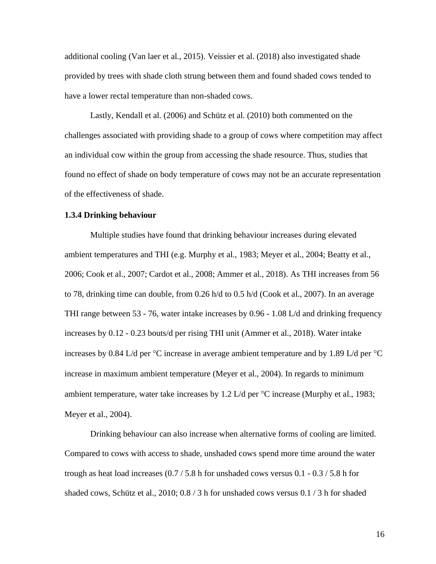additional cooling (Van laer et al., 2015). Veissier et al. (2018) also investigated shade provided by trees with shade cloth strung between them and found shaded cows tended to have a lower rectal temperature than non-shaded cows.

Lastly, Kendall et al. (2006) and Schütz et al. (2010) both commented on the challenges associated with providing shade to a group of cows where competition may affect an individual cow within the group from accessing the shade resource. Thus, studies that found no effect of shade on body temperature of cows may not be an accurate representation of the effectiveness of shade.

#### **1.3.4 Drinking behaviour**

Multiple studies have found that drinking behaviour increases during elevated ambient temperatures and THI (e.g. Murphy et al., 1983; Meyer et al., 2004; Beatty et al., 2006; Cook et al., 2007; Cardot et al., 2008; Ammer et al., 2018). As THI increases from 56 to 78, drinking time can double, from 0.26 h/d to 0.5 h/d (Cook et al., 2007). In an average THI range between 53 - 76, water intake increases by 0.96 - 1.08 L/d and drinking frequency increases by 0.12 - 0.23 bouts/d per rising THI unit (Ammer et al., 2018). Water intake increases by 0.84 L/d per  $\degree$ C increase in average ambient temperature and by 1.89 L/d per  $\degree$ C increase in maximum ambient temperature (Meyer et al., 2004). In regards to minimum ambient temperature, water take increases by 1.2 L/d per  $\degree$ C increase (Murphy et al., 1983; Meyer et al., 2004).

Drinking behaviour can also increase when alternative forms of cooling are limited. Compared to cows with access to shade, unshaded cows spend more time around the water trough as heat load increases (0.7 / 5.8 h for unshaded cows versus 0.1 - 0.3 / 5.8 h for shaded cows, Schütz et al., 2010; 0.8 / 3 h for unshaded cows versus 0.1 / 3 h for shaded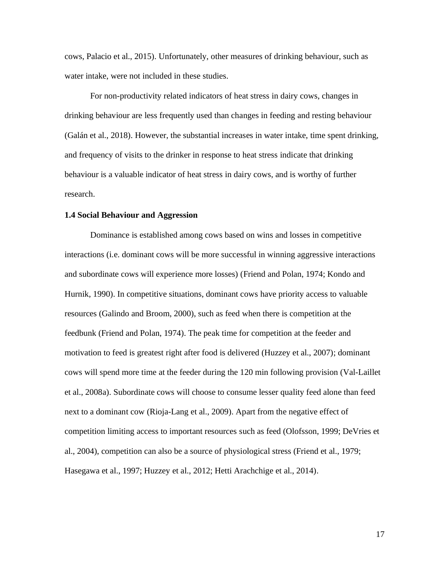cows, Palacio et al., 2015). Unfortunately, other measures of drinking behaviour, such as water intake, were not included in these studies.

For non-productivity related indicators of heat stress in dairy cows, changes in drinking behaviour are less frequently used than changes in feeding and resting behaviour (Galán et al., 2018). However, the substantial increases in water intake, time spent drinking, and frequency of visits to the drinker in response to heat stress indicate that drinking behaviour is a valuable indicator of heat stress in dairy cows, and is worthy of further research.

#### **1.4 Social Behaviour and Aggression**

Dominance is established among cows based on wins and losses in competitive interactions (i.e. dominant cows will be more successful in winning aggressive interactions and subordinate cows will experience more losses) (Friend and Polan, 1974; Kondo and Hurnik, 1990). In competitive situations, dominant cows have priority access to valuable resources (Galindo and Broom, 2000), such as feed when there is competition at the feedbunk (Friend and Polan, 1974). The peak time for competition at the feeder and motivation to feed is greatest right after food is delivered (Huzzey et al., 2007); dominant cows will spend more time at the feeder during the 120 min following provision (Val-Laillet et al., 2008a). Subordinate cows will choose to consume lesser quality feed alone than feed next to a dominant cow (Rioja-Lang et al., 2009). Apart from the negative effect of competition limiting access to important resources such as feed (Olofsson, 1999; DeVries et al., 2004), competition can also be a source of physiological stress (Friend et al., 1979; Hasegawa et al., 1997; Huzzey et al., 2012; Hetti Arachchige et al., 2014).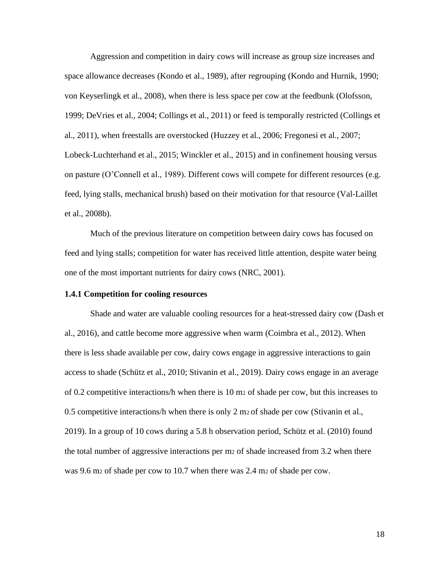Aggression and competition in dairy cows will increase as group size increases and space allowance decreases (Kondo et al., 1989), after regrouping (Kondo and Hurnik, 1990; von Keyserlingk et al., 2008), when there is less space per cow at the feedbunk (Olofsson, 1999; DeVries et al., 2004; Collings et al., 2011) or feed is temporally restricted (Collings et al., 2011), when freestalls are overstocked (Huzzey et al., 2006; Fregonesi et al., 2007; Lobeck-Luchterhand et al., 2015; Winckler et al., 2015) and in confinement housing versus on pasture (O'Connell et al., 1989). Different cows will compete for different resources (e.g. feed, lying stalls, mechanical brush) based on their motivation for that resource (Val-Laillet et al., 2008b).

Much of the previous literature on competition between dairy cows has focused on feed and lying stalls; competition for water has received little attention, despite water being one of the most important nutrients for dairy cows (NRC, 2001).

#### **1.4.1 Competition for cooling resources**

Shade and water are valuable cooling resources for a heat-stressed dairy cow (Dash et al., 2016), and cattle become more aggressive when warm (Coimbra et al., 2012). When there is less shade available per cow, dairy cows engage in aggressive interactions to gain access to shade (Schütz et al., 2010; Stivanin et al., 2019). Dairy cows engage in an average of 0.2 competitive interactions/h when there is 10 m<sup>2</sup> of shade per cow, but this increases to 0.5 competitive interactions/h when there is only 2 m2 of shade per cow (Stivanin et al., 2019). In a group of 10 cows during a 5.8 h observation period, Schütz et al. (2010) found the total number of aggressive interactions per m<sup>2</sup> of shade increased from 3.2 when there was 9.6 m<sub>2</sub> of shade per cow to 10.7 when there was 2.4 m<sub>2</sub> of shade per cow.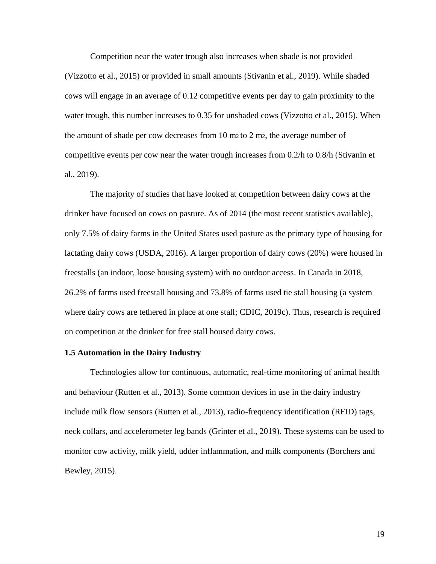Competition near the water trough also increases when shade is not provided (Vizzotto et al., 2015) or provided in small amounts (Stivanin et al., 2019). While shaded cows will engage in an average of 0.12 competitive events per day to gain proximity to the water trough, this number increases to 0.35 for unshaded cows (Vizzotto et al., 2015). When the amount of shade per cow decreases from 10 m2 to 2 m2, the average number of competitive events per cow near the water trough increases from 0.2/h to 0.8/h (Stivanin et al., 2019).

The majority of studies that have looked at competition between dairy cows at the drinker have focused on cows on pasture. As of 2014 (the most recent statistics available), only 7.5% of dairy farms in the United States used pasture as the primary type of housing for lactating dairy cows (USDA, 2016). A larger proportion of dairy cows (20%) were housed in freestalls (an indoor, loose housing system) with no outdoor access. In Canada in 2018, 26.2% of farms used freestall housing and 73.8% of farms used tie stall housing (a system where dairy cows are tethered in place at one stall; CDIC, 2019c). Thus, research is required on competition at the drinker for free stall housed dairy cows.

#### **1.5 Automation in the Dairy Industry**

Technologies allow for continuous, automatic, real-time monitoring of animal health and behaviour (Rutten et al., 2013). Some common devices in use in the dairy industry include milk flow sensors (Rutten et al., 2013), radio-frequency identification (RFID) tags, neck collars, and accelerometer leg bands (Grinter et al., 2019). These systems can be used to monitor cow activity, milk yield, udder inflammation, and milk components (Borchers and Bewley, 2015).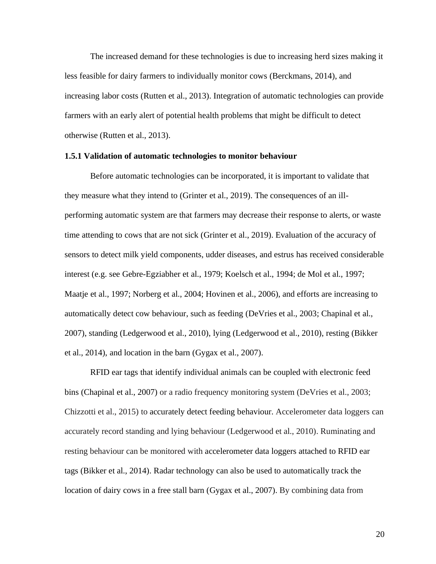The increased demand for these technologies is due to increasing herd sizes making it less feasible for dairy farmers to individually monitor cows (Berckmans, 2014), and increasing labor costs (Rutten et al., 2013). Integration of automatic technologies can provide farmers with an early alert of potential health problems that might be difficult to detect otherwise (Rutten et al., 2013).

#### **1.5.1 Validation of automatic technologies to monitor behaviour**

Before automatic technologies can be incorporated, it is important to validate that they measure what they intend to (Grinter et al., 2019). The consequences of an illperforming automatic system are that farmers may decrease their response to alerts, or waste time attending to cows that are not sick (Grinter et al., 2019). Evaluation of the accuracy of sensors to detect milk yield components, udder diseases, and estrus has received considerable interest (e.g. see Gebre-Egziabher et al., 1979; Koelsch et al., 1994; de Mol et al., 1997; Maatje et al., 1997; Norberg et al., 2004; Hovinen et al., 2006), and efforts are increasing to automatically detect cow behaviour, such as feeding (DeVries et al., 2003; Chapinal et al., 2007), standing (Ledgerwood et al., 2010), lying (Ledgerwood et al., 2010), resting (Bikker et al., 2014), and location in the barn (Gygax et al., 2007).

RFID ear tags that identify individual animals can be coupled with electronic feed bins (Chapinal et al., 2007) or a radio frequency monitoring system (DeVries et al., 2003; Chizzotti et al., 2015) to accurately detect feeding behaviour. Accelerometer data loggers can accurately record standing and lying behaviour (Ledgerwood et al., 2010). Ruminating and resting behaviour can be monitored with accelerometer data loggers attached to RFID ear tags (Bikker et al., 2014). Radar technology can also be used to automatically track the location of dairy cows in a free stall barn (Gygax et al., 2007). By combining data from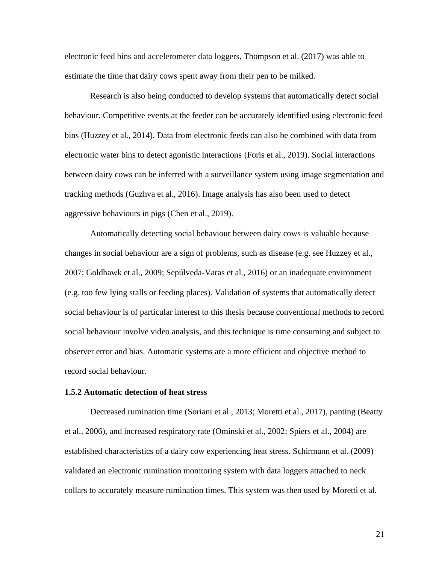electronic feed bins and accelerometer data loggers, Thompson et al. (2017) was able to estimate the time that dairy cows spent away from their pen to be milked.

Research is also being conducted to develop systems that automatically detect social behaviour. Competitive events at the feeder can be accurately identified using electronic feed bins (Huzzey et al., 2014). Data from electronic feeds can also be combined with data from electronic water bins to detect agonistic interactions (Foris et al., 2019). Social interactions between dairy cows can be inferred with a surveillance system using image segmentation and tracking methods (Guzhva et al., 2016). Image analysis has also been used to detect aggressive behaviours in pigs (Chen et al., 2019).

Automatically detecting social behaviour between dairy cows is valuable because changes in social behaviour are a sign of problems, such as disease (e.g. see Huzzey et al., 2007; Goldhawk et al., 2009; Sepúlveda-Varas et al., 2016) or an inadequate environment (e.g. too few lying stalls or feeding places). Validation of systems that automatically detect social behaviour is of particular interest to this thesis because conventional methods to record social behaviour involve video analysis, and this technique is time consuming and subject to observer error and bias. Automatic systems are a more efficient and objective method to record social behaviour.

### **1.5.2 Automatic detection of heat stress**

Decreased rumination time (Soriani et al., 2013; Moretti et al., 2017), panting (Beatty et al., 2006), and increased respiratory rate (Ominski et al., 2002; Spiers et al., 2004) are established characteristics of a dairy cow experiencing heat stress. Schirmann et al. (2009) validated an electronic rumination monitoring system with data loggers attached to neck collars to accurately measure rumination times. This system was then used by Moretti et al.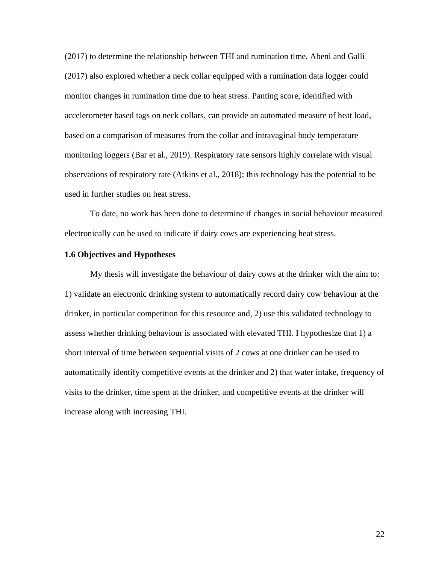(2017) to determine the relationship between THI and rumination time. Abeni and Galli (2017) also explored whether a neck collar equipped with a rumination data logger could monitor changes in rumination time due to heat stress. Panting score, identified with accelerometer based tags on neck collars, can provide an automated measure of heat load, based on a comparison of measures from the collar and intravaginal body temperature monitoring loggers (Bar et al., 2019). Respiratory rate sensors highly correlate with visual observations of respiratory rate (Atkins et al., 2018); this technology has the potential to be used in further studies on heat stress.

To date, no work has been done to determine if changes in social behaviour measured electronically can be used to indicate if dairy cows are experiencing heat stress.

## **1.6 Objectives and Hypotheses**

My thesis will investigate the behaviour of dairy cows at the drinker with the aim to: 1) validate an electronic drinking system to automatically record dairy cow behaviour at the drinker, in particular competition for this resource and, 2) use this validated technology to assess whether drinking behaviour is associated with elevated THI. I hypothesize that 1) a short interval of time between sequential visits of 2 cows at one drinker can be used to automatically identify competitive events at the drinker and 2) that water intake, frequency of visits to the drinker, time spent at the drinker, and competitive events at the drinker will increase along with increasing THI.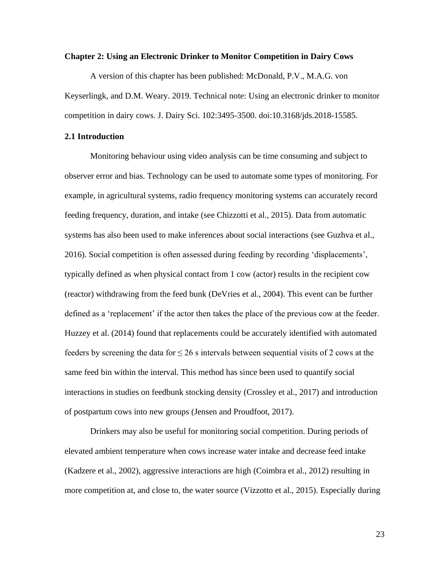#### **Chapter 2: Using an Electronic Drinker to Monitor Competition in Dairy Cows**

A version of this chapter has been published: McDonald, P.V., M.A.G. von Keyserlingk, and D.M. Weary. 2019. Technical note: Using an electronic drinker to monitor competition in dairy cows. J. Dairy Sci. 102:3495-3500. doi:10.3168/jds.2018-15585.

## **2.1 Introduction**

Monitoring behaviour using video analysis can be time consuming and subject to observer error and bias. Technology can be used to automate some types of monitoring. For example, in agricultural systems, radio frequency monitoring systems can accurately record feeding frequency, duration, and intake (see Chizzotti et al., 2015). Data from automatic systems has also been used to make inferences about social interactions (see Guzhva et al., 2016). Social competition is often assessed during feeding by recording 'displacements', typically defined as when physical contact from 1 cow (actor) results in the recipient cow (reactor) withdrawing from the feed bunk (DeVries et al., 2004). This event can be further defined as a 'replacement' if the actor then takes the place of the previous cow at the feeder. Huzzey et al. (2014) found that replacements could be accurately identified with automated feeders by screening the data for  $\leq 26$  s intervals between sequential visits of 2 cows at the same feed bin within the interval. This method has since been used to quantify social interactions in studies on feedbunk stocking density (Crossley et al., 2017) and introduction of postpartum cows into new groups (Jensen and Proudfoot, 2017).

Drinkers may also be useful for monitoring social competition. During periods of elevated ambient temperature when cows increase water intake and decrease feed intake (Kadzere et al., 2002), aggressive interactions are high (Coimbra et al., 2012) resulting in more competition at, and close to, the water source (Vizzotto et al., 2015). Especially during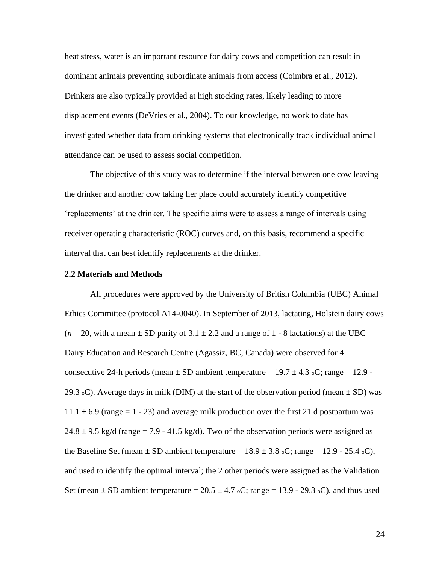heat stress, water is an important resource for dairy cows and competition can result in dominant animals preventing subordinate animals from access (Coimbra et al., 2012). Drinkers are also typically provided at high stocking rates, likely leading to more displacement events (DeVries et al., 2004). To our knowledge, no work to date has investigated whether data from drinking systems that electronically track individual animal attendance can be used to assess social competition.

The objective of this study was to determine if the interval between one cow leaving the drinker and another cow taking her place could accurately identify competitive 'replacements' at the drinker. The specific aims were to assess a range of intervals using receiver operating characteristic (ROC) curves and, on this basis, recommend a specific interval that can best identify replacements at the drinker.

#### **2.2 Materials and Methods**

All procedures were approved by the University of British Columbia (UBC) Animal Ethics Committee (protocol A14-0040). In September of 2013, lactating, Holstein dairy cows  $(n = 20)$ , with a mean  $\pm$  SD parity of 3.1  $\pm$  2.2 and a range of 1 - 8 lactations) at the UBC Dairy Education and Research Centre (Agassiz, BC, Canada) were observed for 4 consecutive 24-h periods (mean  $\pm$  SD ambient temperature = 19.7  $\pm$  4.3 oC; range = 12.9 -29.3 oC). Average days in milk (DIM) at the start of the observation period (mean  $\pm$  SD) was  $11.1 \pm 6.9$  (range = 1 - 23) and average milk production over the first 21 d postpartum was  $24.8 \pm 9.5$  kg/d (range = 7.9 - 41.5 kg/d). Two of the observation periods were assigned as the Baseline Set (mean  $\pm$  SD ambient temperature = 18.9  $\pm$  3.8 oC; range = 12.9 - 25.4 oC), and used to identify the optimal interval; the 2 other periods were assigned as the Validation Set (mean  $\pm$  SD ambient temperature = 20.5  $\pm$  4.7 oC; range = 13.9 - 29.3 oC), and thus used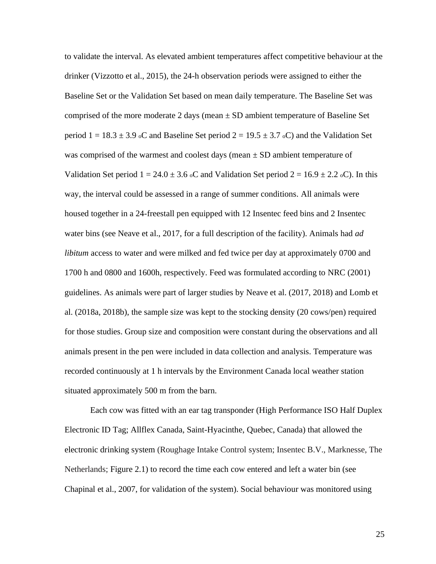to validate the interval. As elevated ambient temperatures affect competitive behaviour at the drinker (Vizzotto et al., 2015), the 24-h observation periods were assigned to either the Baseline Set or the Validation Set based on mean daily temperature. The Baseline Set was comprised of the more moderate 2 days (mean  $\pm$  SD ambient temperature of Baseline Set period  $1 = 18.3 \pm 3.9$  oC and Baseline Set period  $2 = 19.5 \pm 3.7$  oC) and the Validation Set was comprised of the warmest and coolest days (mean  $\pm$  SD ambient temperature of Validation Set period  $1 = 24.0 \pm 3.6$  oC and Validation Set period  $2 = 16.9 \pm 2.2$  oC). In this way, the interval could be assessed in a range of summer conditions. All animals were housed together in a 24-freestall pen equipped with 12 Insentec feed bins and 2 Insentec water bins (see Neave et al., 2017, for a full description of the facility). Animals had *ad libitum* access to water and were milked and fed twice per day at approximately 0700 and 1700 h and 0800 and 1600h, respectively. Feed was formulated according to NRC (2001) guidelines. As animals were part of larger studies by Neave et al. (2017, 2018) and Lomb et al. (2018a, 2018b), the sample size was kept to the stocking density (20 cows/pen) required for those studies. Group size and composition were constant during the observations and all animals present in the pen were included in data collection and analysis. Temperature was recorded continuously at 1 h intervals by the Environment Canada local weather station situated approximately 500 m from the barn.

Each cow was fitted with an ear tag transponder (High Performance ISO Half Duplex Electronic ID Tag; Allflex Canada, Saint-Hyacinthe, Quebec, Canada) that allowed the electronic drinking system (Roughage Intake Control system; Insentec B.V., Marknesse, The Netherlands; Figure 2.1) to record the time each cow entered and left a water bin (see Chapinal et al., 2007, for validation of the system). Social behaviour was monitored using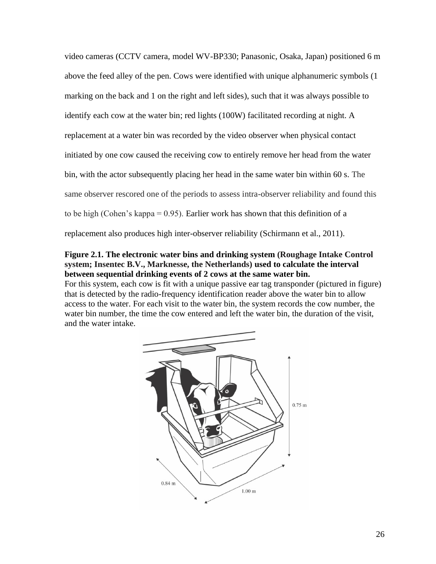video cameras (CCTV camera, model WV-BP330; Panasonic, Osaka, Japan) positioned 6 m above the feed alley of the pen. Cows were identified with unique alphanumeric symbols (1 marking on the back and 1 on the right and left sides), such that it was always possible to identify each cow at the water bin; red lights (100W) facilitated recording at night. A replacement at a water bin was recorded by the video observer when physical contact initiated by one cow caused the receiving cow to entirely remove her head from the water bin, with the actor subsequently placing her head in the same water bin within 60 s. The same observer rescored one of the periods to assess intra-observer reliability and found this to be high (Cohen's kappa = 0.95). Earlier work has shown that this definition of a replacement also produces high inter-observer reliability (Schirmann et al., 2011).

## **Figure 2.1. The electronic water bins and drinking system (Roughage Intake Control system; Insentec B.V., Marknesse, the Netherlands) used to calculate the interval between sequential drinking events of 2 cows at the same water bin.**

For this system, each cow is fit with a unique passive ear tag transponder (pictured in figure) that is detected by the radio-frequency identification reader above the water bin to allow access to the water. For each visit to the water bin, the system records the cow number, the water bin number, the time the cow entered and left the water bin, the duration of the visit, and the water intake.

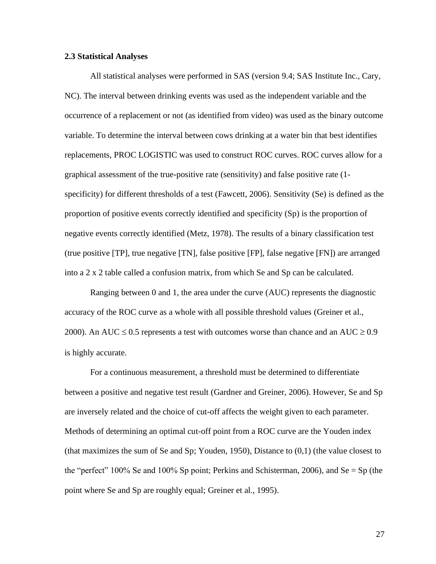### **2.3 Statistical Analyses**

All statistical analyses were performed in SAS (version 9.4; SAS Institute Inc., Cary, NC). The interval between drinking events was used as the independent variable and the occurrence of a replacement or not (as identified from video) was used as the binary outcome variable. To determine the interval between cows drinking at a water bin that best identifies replacements, PROC LOGISTIC was used to construct ROC curves. ROC curves allow for a graphical assessment of the true-positive rate (sensitivity) and false positive rate (1 specificity) for different thresholds of a test (Fawcett, 2006). Sensitivity (Se) is defined as the proportion of positive events correctly identified and specificity (Sp) is the proportion of negative events correctly identified (Metz, 1978). The results of a binary classification test (true positive [TP], true negative [TN], false positive [FP], false negative [FN]) are arranged into a 2 x 2 table called a confusion matrix, from which Se and Sp can be calculated.

Ranging between 0 and 1, the area under the curve (AUC) represents the diagnostic accuracy of the ROC curve as a whole with all possible threshold values (Greiner et al., 2000). An AUC  $\leq$  0.5 represents a test with outcomes worse than chance and an AUC  $\geq$  0.9 is highly accurate.

For a continuous measurement, a threshold must be determined to differentiate between a positive and negative test result (Gardner and Greiner, 2006). However, Se and Sp are inversely related and the choice of cut-off affects the weight given to each parameter. Methods of determining an optimal cut-off point from a ROC curve are the Youden index (that maximizes the sum of Se and Sp; Youden, 1950), Distance to (0,1) (the value closest to the "perfect" 100% Se and 100% Sp point; Perkins and Schisterman, 2006), and Se = Sp (the point where Se and Sp are roughly equal; Greiner et al., 1995).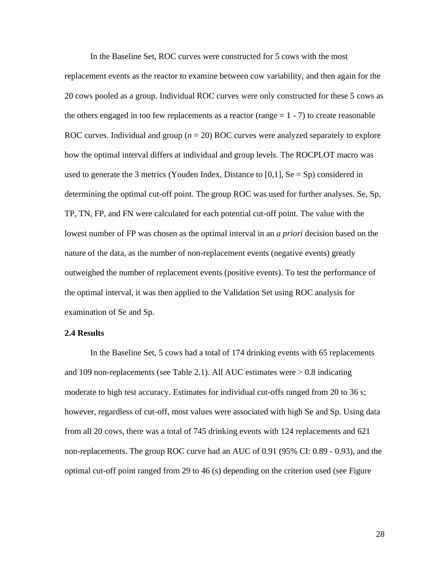In the Baseline Set, ROC curves were constructed for 5 cows with the most replacement events as the reactor to examine between cow variability, and then again for the 20 cows pooled as a group. Individual ROC curves were only constructed for these 5 cows as the others engaged in too few replacements as a reactor (range  $= 1 - 7$ ) to create reasonable ROC curves. Individual and group (*n* = 20) ROC curves were analyzed separately to explore how the optimal interval differs at individual and group levels. The ROCPLOT macro was used to generate the 3 metrics (Youden Index, Distance to [0,1],  $Se = Sp$ ) considered in determining the optimal cut-off point. The group ROC was used for further analyses. Se, Sp, TP, TN, FP, and FN were calculated for each potential cut-off point. The value with the lowest number of FP was chosen as the optimal interval in an *a priori* decision based on the nature of the data, as the number of non-replacement events (negative events) greatly outweighed the number of replacement events (positive events). To test the performance of the optimal interval, it was then applied to the Validation Set using ROC analysis for examination of Se and Sp.

## **2.4 Results**

In the Baseline Set, 5 cows had a total of 174 drinking events with 65 replacements and 109 non-replacements (see Table 2.1). All AUC estimates were  $> 0.8$  indicating moderate to high test accuracy. Estimates for individual cut-offs ranged from 20 to 36 s; however, regardless of cut-off, most values were associated with high Se and Sp. Using data from all 20 cows, there was a total of 745 drinking events with 124 replacements and 621 non-replacements. The group ROC curve had an AUC of 0.91 (95% CI: 0.89 - 0.93), and the optimal cut-off point ranged from 29 to 46 (s) depending on the criterion used (see Figure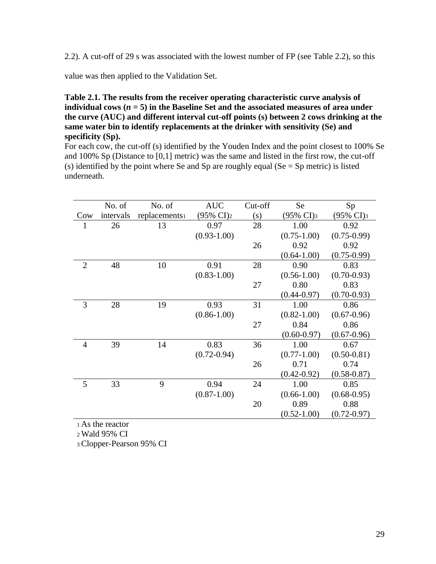2.2). A cut-off of 29 s was associated with the lowest number of FP (see Table 2.2), so this

value was then applied to the Validation Set.

**Table 2.1. The results from the receiver operating characteristic curve analysis of**  individual cows  $(n = 5)$  in the Baseline Set and the associated measures of area under **the curve (AUC) and different interval cut-off points (s) between 2 cows drinking at the same water bin to identify replacements at the drinker with sensitivity (Se) and specificity (Sp).**

For each cow, the cut-off (s) identified by the Youden Index and the point closest to 100% Se and 100% Sp (Distance to [0,1] metric) was the same and listed in the first row, the cut-off (s) identified by the point where Se and Sp are roughly equal ( $Se = Sp$  metric) is listed underneath.

|                | No. of    | No. of                    | <b>AUC</b>            | Cut-off | Se                    | Sp                    |
|----------------|-----------|---------------------------|-----------------------|---------|-----------------------|-----------------------|
| Cow            | intervals | replacements <sup>1</sup> | (95% CI) <sub>2</sub> | (s)     | $(95\% \text{ CI})_3$ | (95% CI) <sub>3</sub> |
|                | 26        | 13                        | 0.97                  | 28      | 1.00                  | 0.92                  |
|                |           |                           | $(0.93 - 1.00)$       |         | $(0.75 - 1.00)$       | $(0.75 - 0.99)$       |
|                |           |                           |                       | 26      | 0.92                  | 0.92                  |
|                |           |                           |                       |         | $(0.64 - 1.00)$       | $(0.75-0.99)$         |
| $\overline{2}$ | 48        | 10                        | 0.91                  | 28      | 0.90                  | 0.83                  |
|                |           |                           | $(0.83 - 1.00)$       |         | $(0.56 - 1.00)$       | $(0.70 - 0.93)$       |
|                |           |                           |                       | 27      | 0.80                  | 0.83                  |
|                |           |                           |                       |         | $(0.44 - 0.97)$       | $(0.70 - 0.93)$       |
| 3              | 28        | 19                        | 0.93                  | 31      | 1.00                  | 0.86                  |
|                |           |                           | $(0.86 - 1.00)$       |         | $(0.82 - 1.00)$       | $(0.67 - 0.96)$       |
|                |           |                           |                       | 27      | 0.84                  | 0.86                  |
|                |           |                           |                       |         | $(0.60 - 0.97)$       | $(0.67 - 0.96)$       |
| 4              | 39        | 14                        | 0.83                  | 36      | 1.00                  | 0.67                  |
|                |           |                           | $(0.72 - 0.94)$       |         | $(0.77 - 1.00)$       | $(0.50 - 0.81)$       |
|                |           |                           |                       | 26      | 0.71                  | 0.74                  |
|                |           |                           |                       |         | $(0.42 - 0.92)$       | $(0.58 - 0.87)$       |
| 5              | 33        | 9                         | 0.94                  | 24      | 1.00                  | 0.85                  |
|                |           |                           | $(0.87 - 1.00)$       |         | $(0.66 - 1.00)$       | $(0.68 - 0.95)$       |
|                |           |                           |                       | 20      | 0.89                  | 0.88                  |
|                |           |                           |                       |         | $(0.52 - 1.00)$       | $(0.72 - 0.97)$       |

<sup>1</sup>As the reactor

<sup>2</sup>Wald 95% CI

3 Clopper-Pearson 95% CI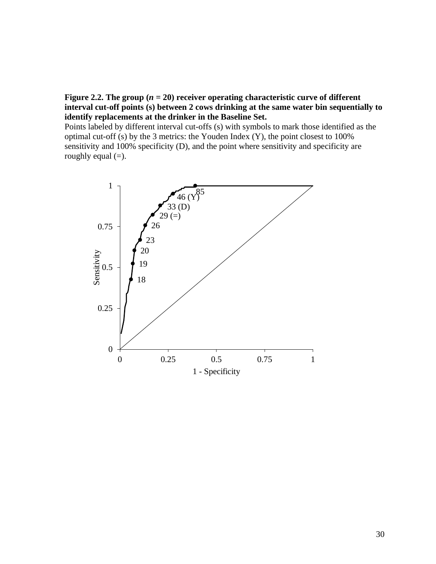# **Figure 2.2.** The group  $(n = 20)$  receiver operating characteristic curve of different **interval cut-off points (s) between 2 cows drinking at the same water bin sequentially to identify replacements at the drinker in the Baseline Set.**

Points labeled by different interval cut-offs (s) with symbols to mark those identified as the optimal cut-off (s) by the 3 metrics: the Youden Index (Y), the point closest to 100% sensitivity and 100% specificity (D), and the point where sensitivity and specificity are roughly equal  $(=)$ .

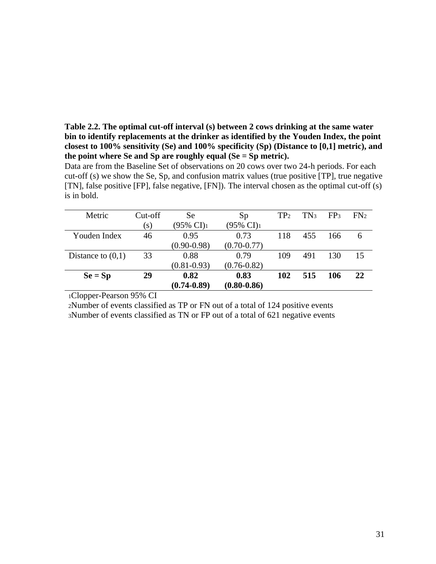**Table 2.2. The optimal cut-off interval (s) between 2 cows drinking at the same water bin to identify replacements at the drinker as identified by the Youden Index, the point closest to 100% sensitivity (Se) and 100% specificity (Sp) (Distance to [0,1] metric), and the point where Se and Sp are roughly equal (Se = Sp metric).** 

Data are from the Baseline Set of observations on 20 cows over two 24-h periods. For each cut-off (s) we show the Se, Sp, and confusion matrix values (true positive [TP], true negative [TN], false positive [FP], false negative, [FN]). The interval chosen as the optimal cut-off (s) is in bold.

| Metric              | Cut-off | <b>Se</b>               | Sp                    | TP <sub>2</sub> | TN3 | FP <sub>3</sub> | FN <sub>2</sub> |
|---------------------|---------|-------------------------|-----------------------|-----------------|-----|-----------------|-----------------|
|                     | (s)     | $(95\% \text{ CI})_{1}$ | $(95\% \text{ CI})_1$ |                 |     |                 |                 |
| Youden Index        | 46      | 0.95                    | 0.73                  | 118             | 455 | 166             | 6               |
|                     |         | $(0.90 - 0.98)$         | $(0.70 - 0.77)$       |                 |     |                 |                 |
| Distance to $(0,1)$ | 33      | 0.88                    | 0.79                  | 109             | 491 | 130             | 15              |
|                     |         | $(0.81 - 0.93)$         | $(0.76 - 0.82)$       |                 |     |                 |                 |
| $Se = Sp$           | 29      | 0.82                    | 0.83                  | 102             | 515 | 106             | 22              |
|                     |         | $(0.74 - 0.89)$         | $(0.80 - 0.86)$       |                 |     |                 |                 |

<sup>1</sup>Clopper-Pearson 95% CI

<sup>2</sup>Number of events classified as TP or FN out of a total of 124 positive events 3Number of events classified as TN or FP out of a total of 621 negative events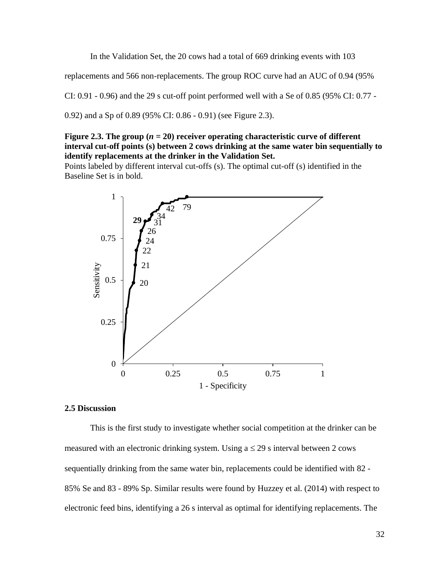In the Validation Set, the 20 cows had a total of 669 drinking events with 103

replacements and 566 non-replacements. The group ROC curve had an AUC of 0.94 (95%

CI:  $0.91 - 0.96$ ) and the 29 s cut-off point performed well with a Se of 0.85 (95% CI:  $0.77$  -

0.92) and a Sp of 0.89 (95% CI: 0.86 - 0.91) (see Figure 2.3).

## **Figure 2.3. The group**  $(n = 20)$  **receiver operating characteristic curve of different interval cut-off points (s) between 2 cows drinking at the same water bin sequentially to identify replacements at the drinker in the Validation Set.**

Points labeled by different interval cut-offs (s). The optimal cut-off (s) identified in the Baseline Set is in bold.



#### **2.5 Discussion**

This is the first study to investigate whether social competition at the drinker can be measured with an electronic drinking system. Using  $a \le 29$  s interval between 2 cows sequentially drinking from the same water bin, replacements could be identified with 82 - 85% Se and 83 - 89% Sp. Similar results were found by Huzzey et al. (2014) with respect to electronic feed bins, identifying a 26 s interval as optimal for identifying replacements. The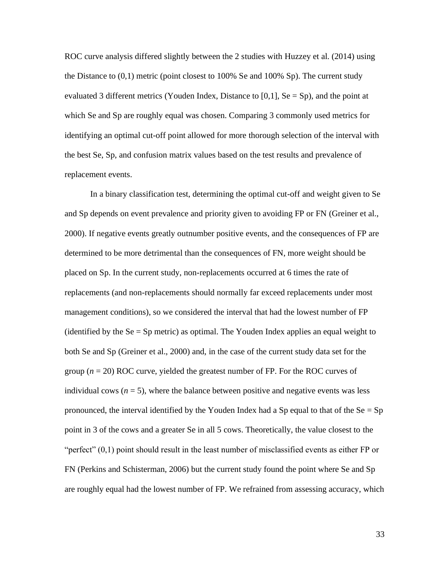ROC curve analysis differed slightly between the 2 studies with Huzzey et al. (2014) using the Distance to (0,1) metric (point closest to 100% Se and 100% Sp). The current study evaluated 3 different metrics (Youden Index, Distance to [0,1],  $\text{Se} = \text{Sp}$ ), and the point at which Se and Sp are roughly equal was chosen. Comparing 3 commonly used metrics for identifying an optimal cut-off point allowed for more thorough selection of the interval with the best Se, Sp, and confusion matrix values based on the test results and prevalence of replacement events.

In a binary classification test, determining the optimal cut-off and weight given to Se and Sp depends on event prevalence and priority given to avoiding FP or FN (Greiner et al., 2000). If negative events greatly outnumber positive events, and the consequences of FP are determined to be more detrimental than the consequences of FN, more weight should be placed on Sp. In the current study, non-replacements occurred at 6 times the rate of replacements (and non-replacements should normally far exceed replacements under most management conditions), so we considered the interval that had the lowest number of FP (identified by the  $Se = Sp$  metric) as optimal. The Youden Index applies an equal weight to both Se and Sp (Greiner et al., 2000) and, in the case of the current study data set for the group (*n* = 20) ROC curve, yielded the greatest number of FP. For the ROC curves of individual cows  $(n = 5)$ , where the balance between positive and negative events was less pronounced, the interval identified by the Youden Index had a Sp equal to that of the  $Se = Sp$ point in 3 of the cows and a greater Se in all 5 cows. Theoretically, the value closest to the "perfect"  $(0,1)$  point should result in the least number of misclassified events as either FP or FN (Perkins and Schisterman, 2006) but the current study found the point where Se and Sp are roughly equal had the lowest number of FP. We refrained from assessing accuracy, which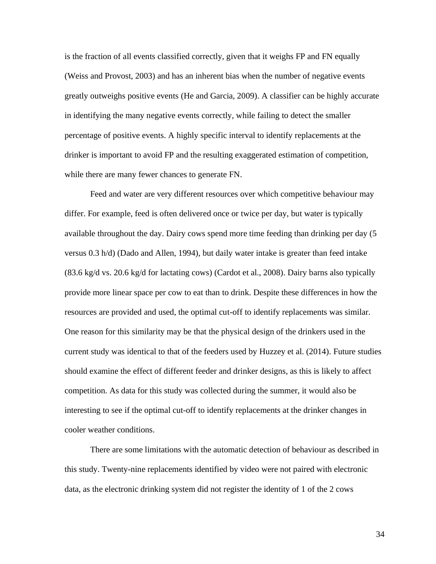is the fraction of all events classified correctly, given that it weighs FP and FN equally (Weiss and Provost, 2003) and has an inherent bias when the number of negative events greatly outweighs positive events (He and Garcia, 2009). A classifier can be highly accurate in identifying the many negative events correctly, while failing to detect the smaller percentage of positive events. A highly specific interval to identify replacements at the drinker is important to avoid FP and the resulting exaggerated estimation of competition, while there are many fewer chances to generate FN.

Feed and water are very different resources over which competitive behaviour may differ. For example, feed is often delivered once or twice per day, but water is typically available throughout the day. Dairy cows spend more time feeding than drinking per day (5 versus 0.3 h/d) (Dado and Allen, 1994), but daily water intake is greater than feed intake (83.6 kg/d vs. 20.6 kg/d for lactating cows) (Cardot et al., 2008). Dairy barns also typically provide more linear space per cow to eat than to drink. Despite these differences in how the resources are provided and used, the optimal cut-off to identify replacements was similar. One reason for this similarity may be that the physical design of the drinkers used in the current study was identical to that of the feeders used by Huzzey et al. (2014). Future studies should examine the effect of different feeder and drinker designs, as this is likely to affect competition. As data for this study was collected during the summer, it would also be interesting to see if the optimal cut-off to identify replacements at the drinker changes in cooler weather conditions.

There are some limitations with the automatic detection of behaviour as described in this study. Twenty-nine replacements identified by video were not paired with electronic data, as the electronic drinking system did not register the identity of 1 of the 2 cows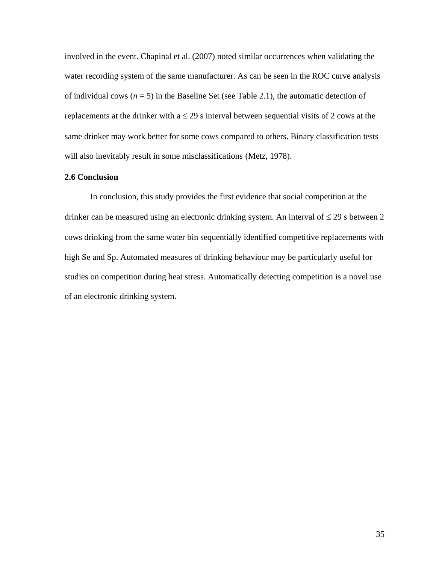involved in the event. Chapinal et al. (2007) noted similar occurrences when validating the water recording system of the same manufacturer. As can be seen in the ROC curve analysis of individual cows  $(n = 5)$  in the Baseline Set (see Table 2.1), the automatic detection of replacements at the drinker with  $a \le 29$  s interval between sequential visits of 2 cows at the same drinker may work better for some cows compared to others. Binary classification tests will also inevitably result in some misclassifications (Metz, 1978).

## **2.6 Conclusion**

In conclusion, this study provides the first evidence that social competition at the drinker can be measured using an electronic drinking system. An interval of  $\leq$  29 s between 2 cows drinking from the same water bin sequentially identified competitive replacements with high Se and Sp. Automated measures of drinking behaviour may be particularly useful for studies on competition during heat stress. Automatically detecting competition is a novel use of an electronic drinking system.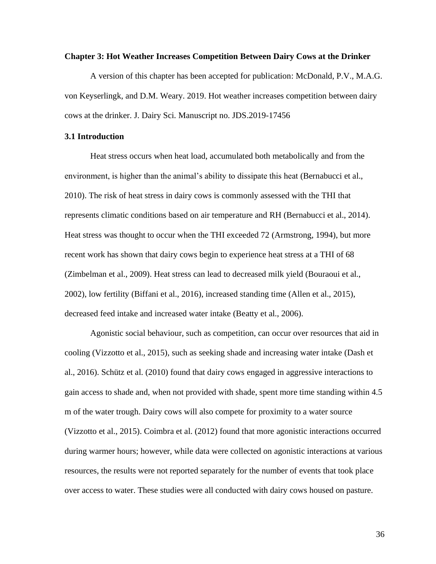#### **Chapter 3: Hot Weather Increases Competition Between Dairy Cows at the Drinker**

A version of this chapter has been accepted for publication: McDonald, P.V., M.A.G. von Keyserlingk, and D.M. Weary. 2019. Hot weather increases competition between dairy cows at the drinker. J. Dairy Sci. Manuscript no. JDS.2019-17456

#### **3.1 Introduction**

Heat stress occurs when heat load, accumulated both metabolically and from the environment, is higher than the animal's ability to dissipate this heat (Bernabucci et al., 2010). The risk of heat stress in dairy cows is commonly assessed with the THI that represents climatic conditions based on air temperature and RH (Bernabucci et al., 2014). Heat stress was thought to occur when the THI exceeded 72 (Armstrong, 1994), but more recent work has shown that dairy cows begin to experience heat stress at a THI of 68 (Zimbelman et al., 2009). Heat stress can lead to decreased milk yield (Bouraoui et al., 2002), low fertility (Biffani et al., 2016), increased standing time (Allen et al., 2015), decreased feed intake and increased water intake (Beatty et al., 2006).

Agonistic social behaviour, such as competition, can occur over resources that aid in cooling (Vizzotto et al., 2015), such as seeking shade and increasing water intake (Dash et al., 2016). Schütz et al. (2010) found that dairy cows engaged in aggressive interactions to gain access to shade and, when not provided with shade, spent more time standing within 4.5 m of the water trough. Dairy cows will also compete for proximity to a water source (Vizzotto et al., 2015). Coimbra et al. (2012) found that more agonistic interactions occurred during warmer hours; however, while data were collected on agonistic interactions at various resources, the results were not reported separately for the number of events that took place over access to water. These studies were all conducted with dairy cows housed on pasture.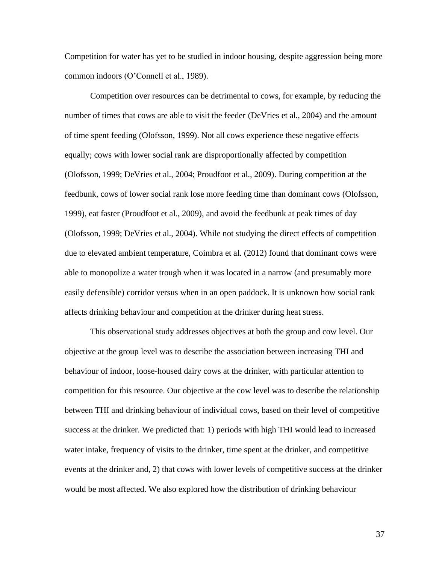Competition for water has yet to be studied in indoor housing, despite aggression being more common indoors (O'Connell et al., 1989).

Competition over resources can be detrimental to cows, for example, by reducing the number of times that cows are able to visit the feeder (DeVries et al., 2004) and the amount of time spent feeding (Olofsson, 1999). Not all cows experience these negative effects equally; cows with lower social rank are disproportionally affected by competition (Olofsson, 1999; DeVries et al., 2004; Proudfoot et al., 2009). During competition at the feedbunk, cows of lower social rank lose more feeding time than dominant cows (Olofsson, 1999), eat faster (Proudfoot et al., 2009), and avoid the feedbunk at peak times of day (Olofsson, 1999; DeVries et al., 2004). While not studying the direct effects of competition due to elevated ambient temperature, Coimbra et al. (2012) found that dominant cows were able to monopolize a water trough when it was located in a narrow (and presumably more easily defensible) corridor versus when in an open paddock. It is unknown how social rank affects drinking behaviour and competition at the drinker during heat stress.

This observational study addresses objectives at both the group and cow level. Our objective at the group level was to describe the association between increasing THI and behaviour of indoor, loose-housed dairy cows at the drinker, with particular attention to competition for this resource. Our objective at the cow level was to describe the relationship between THI and drinking behaviour of individual cows, based on their level of competitive success at the drinker. We predicted that: 1) periods with high THI would lead to increased water intake, frequency of visits to the drinker, time spent at the drinker, and competitive events at the drinker and, 2) that cows with lower levels of competitive success at the drinker would be most affected. We also explored how the distribution of drinking behaviour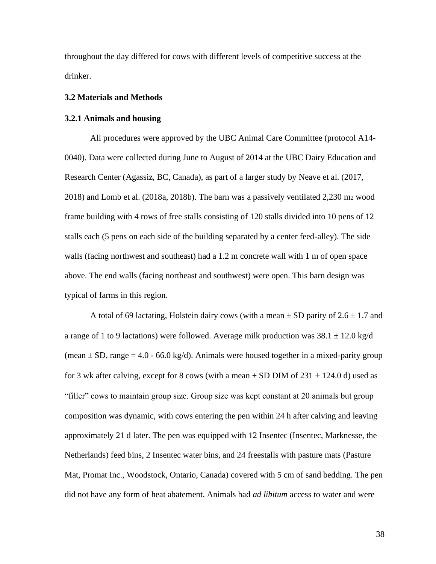throughout the day differed for cows with different levels of competitive success at the drinker.

## **3.2 Materials and Methods**

#### **3.2.1 Animals and housing**

All procedures were approved by the UBC Animal Care Committee (protocol A14- 0040). Data were collected during June to August of 2014 at the UBC Dairy Education and Research Center (Agassiz, BC, Canada), as part of a larger study by Neave et al. (2017, 2018) and Lomb et al. (2018a, 2018b). The barn was a passively ventilated 2,230 m<sup>2</sup> wood frame building with 4 rows of free stalls consisting of 120 stalls divided into 10 pens of 12 stalls each (5 pens on each side of the building separated by a center feed-alley). The side walls (facing northwest and southeast) had a 1.2 m concrete wall with 1 m of open space above. The end walls (facing northeast and southwest) were open. This barn design was typical of farms in this region.

A total of 69 lactating, Holstein dairy cows (with a mean  $\pm$  SD parity of 2.6  $\pm$  1.7 and a range of 1 to 9 lactations) were followed. Average milk production was  $38.1 \pm 12.0$  kg/d (mean  $\pm$  SD, range = 4.0 - 66.0 kg/d). Animals were housed together in a mixed-parity group for 3 wk after calving, except for 8 cows (with a mean  $\pm$  SD DIM of 231  $\pm$  124.0 d) used as "filler" cows to maintain group size. Group size was kept constant at 20 animals but group composition was dynamic, with cows entering the pen within 24 h after calving and leaving approximately 21 d later. The pen was equipped with 12 Insentec (Insentec, Marknesse, the Netherlands) feed bins, 2 Insentec water bins, and 24 freestalls with pasture mats (Pasture Mat, Promat Inc., Woodstock, Ontario, Canada) covered with 5 cm of sand bedding. The pen did not have any form of heat abatement. Animals had *ad libitum* access to water and were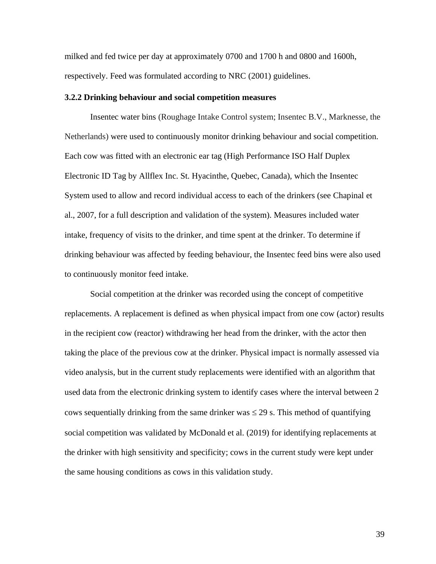milked and fed twice per day at approximately 0700 and 1700 h and 0800 and 1600h, respectively. Feed was formulated according to NRC (2001) guidelines.

#### **3.2.2 Drinking behaviour and social competition measures**

Insentec water bins (Roughage Intake Control system; Insentec B.V., Marknesse, the Netherlands) were used to continuously monitor drinking behaviour and social competition. Each cow was fitted with an electronic ear tag (High Performance ISO Half Duplex Electronic ID Tag by Allflex Inc. St. Hyacinthe, Quebec, Canada), which the Insentec System used to allow and record individual access to each of the drinkers (see Chapinal et al., 2007, for a full description and validation of the system). Measures included water intake, frequency of visits to the drinker, and time spent at the drinker. To determine if drinking behaviour was affected by feeding behaviour, the Insentec feed bins were also used to continuously monitor feed intake.

Social competition at the drinker was recorded using the concept of competitive replacements. A replacement is defined as when physical impact from one cow (actor) results in the recipient cow (reactor) withdrawing her head from the drinker, with the actor then taking the place of the previous cow at the drinker. Physical impact is normally assessed via video analysis, but in the current study replacements were identified with an algorithm that used data from the electronic drinking system to identify cases where the interval between 2 cows sequentially drinking from the same drinker was  $\leq$  29 s. This method of quantifying social competition was validated by McDonald et al. (2019) for identifying replacements at the drinker with high sensitivity and specificity; cows in the current study were kept under the same housing conditions as cows in this validation study.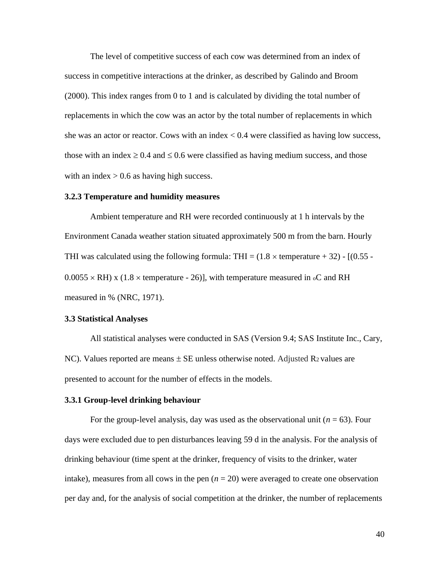The level of competitive success of each cow was determined from an index of success in competitive interactions at the drinker, as described by Galindo and Broom (2000). This index ranges from 0 to 1 and is calculated by dividing the total number of replacements in which the cow was an actor by the total number of replacements in which she was an actor or reactor. Cows with an index  $< 0.4$  were classified as having low success, those with an index  $\geq 0.4$  and  $\leq 0.6$  were classified as having medium success, and those with an index  $> 0.6$  as having high success.

#### **3.2.3 Temperature and humidity measures**

Ambient temperature and RH were recorded continuously at 1 h intervals by the Environment Canada weather station situated approximately 500 m from the barn. Hourly THI was calculated using the following formula: THI =  $(1.8 \times$  temperature + 32) -  $[(0.55 0.0055 \times RH$ ) x (1.8  $\times$  temperature - 26)], with temperature measured in  $\circ$ C and RH measured in % (NRC, 1971).

### **3.3 Statistical Analyses**

All statistical analyses were conducted in SAS (Version 9.4; SAS Institute Inc., Cary, NC). Values reported are means  $\pm$  SE unless otherwise noted. Adjusted R<sub>2</sub> values are presented to account for the number of effects in the models.

## **3.3.1 Group-level drinking behaviour**

For the group-level analysis, day was used as the observational unit  $(n = 63)$ . Four days were excluded due to pen disturbances leaving 59 d in the analysis. For the analysis of drinking behaviour (time spent at the drinker, frequency of visits to the drinker, water intake), measures from all cows in the pen  $(n = 20)$  were averaged to create one observation per day and, for the analysis of social competition at the drinker, the number of replacements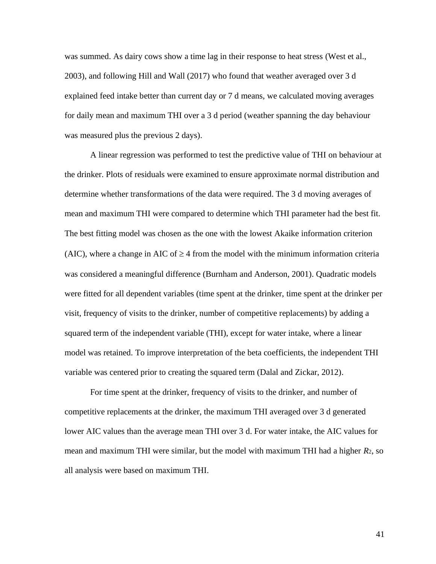was summed. As dairy cows show a time lag in their response to heat stress (West et al., 2003), and following Hill and Wall (2017) who found that weather averaged over 3 d explained feed intake better than current day or 7 d means, we calculated moving averages for daily mean and maximum THI over a 3 d period (weather spanning the day behaviour was measured plus the previous 2 days).

A linear regression was performed to test the predictive value of THI on behaviour at the drinker. Plots of residuals were examined to ensure approximate normal distribution and determine whether transformations of the data were required. The 3 d moving averages of mean and maximum THI were compared to determine which THI parameter had the best fit. The best fitting model was chosen as the one with the lowest Akaike information criterion (AIC), where a change in AIC of  $\geq 4$  from the model with the minimum information criteria was considered a meaningful difference (Burnham and Anderson, 2001). Quadratic models were fitted for all dependent variables (time spent at the drinker, time spent at the drinker per visit, frequency of visits to the drinker, number of competitive replacements) by adding a squared term of the independent variable (THI), except for water intake, where a linear model was retained. To improve interpretation of the beta coefficients, the independent THI variable was centered prior to creating the squared term (Dalal and Zickar, 2012).

For time spent at the drinker, frequency of visits to the drinker, and number of competitive replacements at the drinker, the maximum THI averaged over 3 d generated lower AIC values than the average mean THI over 3 d. For water intake, the AIC values for mean and maximum THI were similar, but the model with maximum THI had a higher *R*2, so all analysis were based on maximum THI.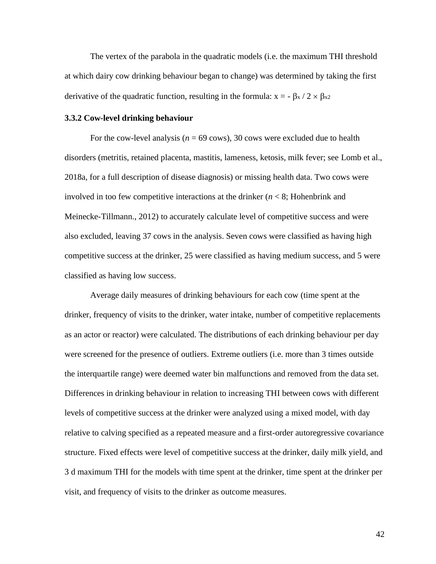The vertex of the parabola in the quadratic models (i.e. the maximum THI threshold at which dairy cow drinking behaviour began to change) was determined by taking the first derivative of the quadratic function, resulting in the formula:  $x = -\beta x / 2 \times \beta x^2$ 

## **3.3.2 Cow-level drinking behaviour**

For the cow-level analysis ( $n = 69$  cows), 30 cows were excluded due to health disorders (metritis, retained placenta, mastitis, lameness, ketosis, milk fever; see Lomb et al., 2018a, for a full description of disease diagnosis) or missing health data. Two cows were involved in too few competitive interactions at the drinker  $(n < 8)$ ; Hohenbrink and Meinecke-Tillmann., 2012) to accurately calculate level of competitive success and were also excluded, leaving 37 cows in the analysis. Seven cows were classified as having high competitive success at the drinker, 25 were classified as having medium success, and 5 were classified as having low success.

Average daily measures of drinking behaviours for each cow (time spent at the drinker, frequency of visits to the drinker, water intake, number of competitive replacements as an actor or reactor) were calculated. The distributions of each drinking behaviour per day were screened for the presence of outliers. Extreme outliers (i.e. more than 3 times outside the interquartile range) were deemed water bin malfunctions and removed from the data set. Differences in drinking behaviour in relation to increasing THI between cows with different levels of competitive success at the drinker were analyzed using a mixed model, with day relative to calving specified as a repeated measure and a first-order autoregressive covariance structure. Fixed effects were level of competitive success at the drinker, daily milk yield, and 3 d maximum THI for the models with time spent at the drinker, time spent at the drinker per visit, and frequency of visits to the drinker as outcome measures.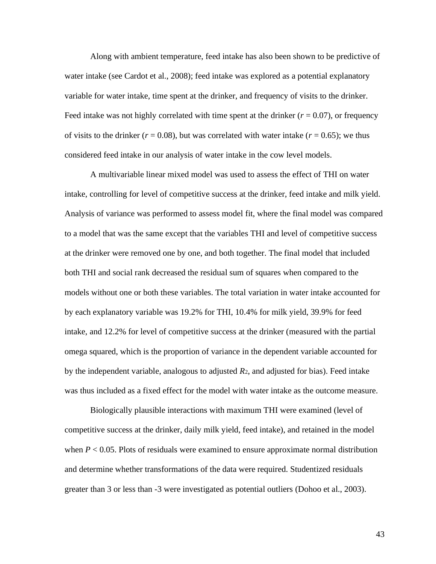Along with ambient temperature, feed intake has also been shown to be predictive of water intake (see Cardot et al., 2008); feed intake was explored as a potential explanatory variable for water intake, time spent at the drinker, and frequency of visits to the drinker. Feed intake was not highly correlated with time spent at the drinker  $(r = 0.07)$ , or frequency of visits to the drinker  $(r = 0.08)$ , but was correlated with water intake  $(r = 0.65)$ ; we thus considered feed intake in our analysis of water intake in the cow level models.

A multivariable linear mixed model was used to assess the effect of THI on water intake, controlling for level of competitive success at the drinker, feed intake and milk yield. Analysis of variance was performed to assess model fit, where the final model was compared to a model that was the same except that the variables THI and level of competitive success at the drinker were removed one by one, and both together. The final model that included both THI and social rank decreased the residual sum of squares when compared to the models without one or both these variables. The total variation in water intake accounted for by each explanatory variable was 19.2% for THI, 10.4% for milk yield, 39.9% for feed intake, and 12.2% for level of competitive success at the drinker (measured with the partial omega squared, which is the proportion of variance in the dependent variable accounted for by the independent variable, analogous to adjusted *R*2, and adjusted for bias). Feed intake was thus included as a fixed effect for the model with water intake as the outcome measure.

Biologically plausible interactions with maximum THI were examined (level of competitive success at the drinker, daily milk yield, feed intake), and retained in the model when  $P < 0.05$ . Plots of residuals were examined to ensure approximate normal distribution and determine whether transformations of the data were required. Studentized residuals greater than 3 or less than -3 were investigated as potential outliers (Dohoo et al., 2003).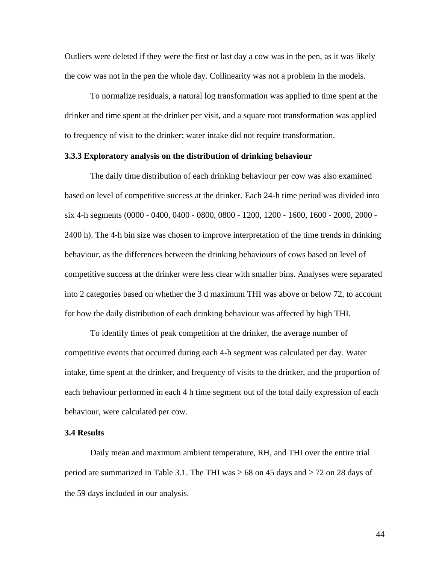Outliers were deleted if they were the first or last day a cow was in the pen, as it was likely the cow was not in the pen the whole day. Collinearity was not a problem in the models.

To normalize residuals, a natural log transformation was applied to time spent at the drinker and time spent at the drinker per visit, and a square root transformation was applied to frequency of visit to the drinker; water intake did not require transformation.

## **3.3.3 Exploratory analysis on the distribution of drinking behaviour**

The daily time distribution of each drinking behaviour per cow was also examined based on level of competitive success at the drinker. Each 24-h time period was divided into six 4-h segments (0000 - 0400, 0400 - 0800, 0800 - 1200, 1200 - 1600, 1600 - 2000, 2000 - 2400 h). The 4-h bin size was chosen to improve interpretation of the time trends in drinking behaviour, as the differences between the drinking behaviours of cows based on level of competitive success at the drinker were less clear with smaller bins. Analyses were separated into 2 categories based on whether the 3 d maximum THI was above or below 72, to account for how the daily distribution of each drinking behaviour was affected by high THI.

To identify times of peak competition at the drinker, the average number of competitive events that occurred during each 4-h segment was calculated per day. Water intake, time spent at the drinker, and frequency of visits to the drinker, and the proportion of each behaviour performed in each 4 h time segment out of the total daily expression of each behaviour, were calculated per cow.

#### **3.4 Results**

Daily mean and maximum ambient temperature, RH, and THI over the entire trial period are summarized in Table 3.1. The THI was  $\geq 68$  on 45 days and  $\geq 72$  on 28 days of the 59 days included in our analysis.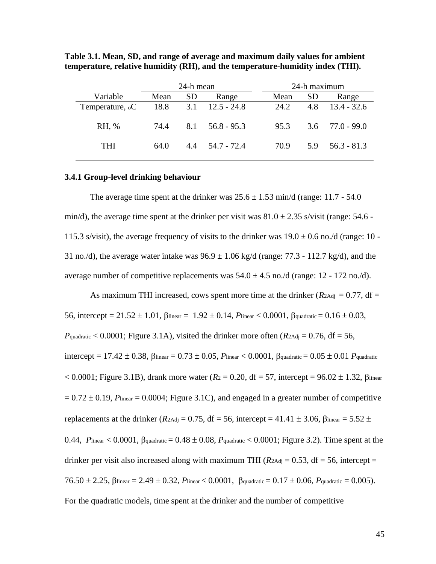|                        | 24-h mean |           |               |  | 24-h maximum |               |                     |  |
|------------------------|-----------|-----------|---------------|--|--------------|---------------|---------------------|--|
| Variable               | Mean      | <b>SD</b> | Range         |  | Mean         | <sub>SD</sub> | Range               |  |
| Temperature, ${}_{0}C$ | 18.8      | 3.1       | $12.5 - 24.8$ |  | 24.2         | 4.8           | $13.4 - 32.6$       |  |
| RH, %                  | 74.4      | 8.1       | $56.8 - 95.3$ |  | 95.3         |               | $3.6$ $77.0 - 99.0$ |  |
| THI                    | 64.0      | 4.4       | 54.7 - 72.4   |  | 70.9         | 5.9           | $56.3 - 81.3$       |  |

**Table 3.1. Mean, SD, and range of average and maximum daily values for ambient temperature, relative humidity (RH), and the temperature-humidity index (THI).**

#### **3.4.1 Group-level drinking behaviour**

The average time spent at the drinker was  $25.6 \pm 1.53$  min/d (range: 11.7 - 54.0) min/d), the average time spent at the drinker per visit was  $81.0 \pm 2.35$  s/visit (range: 54.6 -115.3 s/visit), the average frequency of visits to the drinker was  $19.0 \pm 0.6$  no./d (range: 10 -31 no./d), the average water intake was  $96.9 \pm 1.06$  kg/d (range: 77.3 - 112.7 kg/d), and the average number of competitive replacements was  $54.0 \pm 4.5$  no./d (range: 12 - 172 no./d).

As maximum THI increased, cows spent more time at the drinker ( $R_{2\text{Adj}} = 0.77$ , df = 56, intercept =  $21.52 \pm 1.01$ ,  $\beta$ linear =  $1.92 \pm 0.14$ ,  $P$ linear < 0.0001,  $\beta$ quadratic =  $0.16 \pm 0.03$ ,  $P_{\text{quadratic}} < 0.0001$ ; Figure 3.1A), visited the drinker more often ( $R_{\text{2Adj}} = 0.76$ , df = 56, intercept =  $17.42 \pm 0.38$ ,  $\beta$ linear =  $0.73 \pm 0.05$ ,  $P$ linear <  $0.0001$ ,  $\beta$ quadratic =  $0.05 \pm 0.01$   $P$ quadratic  $< 0.0001$ ; Figure 3.1B), drank more water ( $R_2 = 0.20$ , df = 57, intercept = 96.02  $\pm$  1.32,  $\beta$ linear  $= 0.72 \pm 0.19$ , *P*linear = 0.0004; Figure 3.1C), and engaged in a greater number of competitive replacements at the drinker ( $R_{2\text{Adj}} = 0.75$ , df = 56, intercept = 41.41  $\pm$  3.06,  $\beta_{\text{linear}} = 5.52 \pm$ 0.44, *P*linear  $\lt 0.0001$ ,  $\beta_{\text{quadratic}} = 0.48 \pm 0.08$ , *P*<sub>quadratic</sub>  $\lt 0.0001$ ; Figure 3.2). Time spent at the drinker per visit also increased along with maximum THI ( $R_{2\text{Adj}} = 0.53$ , df = 56, intercept =  $76.50 \pm 2.25$ ,  $\beta$ linear = 2.49  $\pm$  0.32,  $P$ linear < 0.0001,  $\beta$ quadratic = 0.17  $\pm$  0.06,  $P$ quadratic = 0.005). For the quadratic models, time spent at the drinker and the number of competitive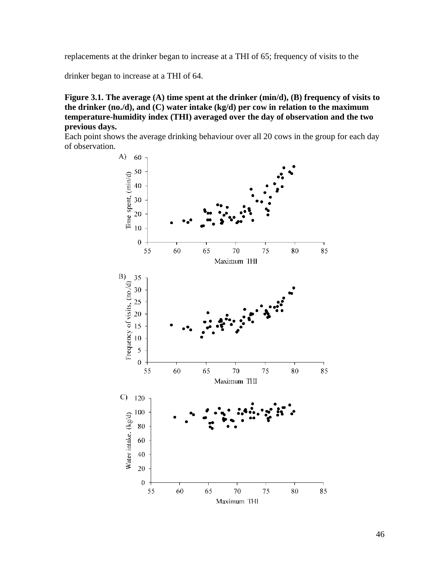replacements at the drinker began to increase at a THI of 65; frequency of visits to the

drinker began to increase at a THI of 64.

**Figure 3.1. The average (A) time spent at the drinker (min/d), (B) frequency of visits to the drinker (no./d), and (C) water intake (kg/d) per cow in relation to the maximum temperature-humidity index (THI) averaged over the day of observation and the two previous days.**

Each point shows the average drinking behaviour over all 20 cows in the group for each day of observation.

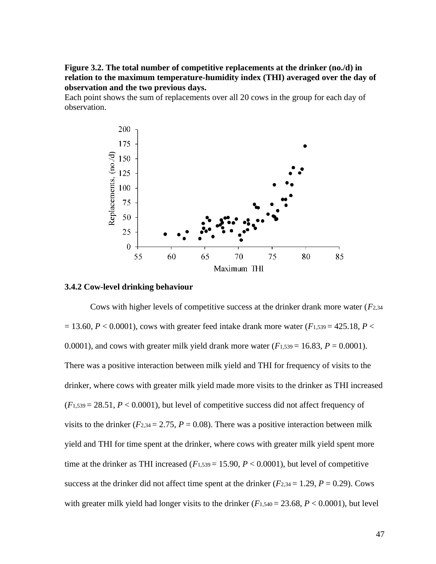**Figure 3.2. The total number of competitive replacements at the drinker (no./d) in relation to the maximum temperature-humidity index (THI) averaged over the day of observation and the two previous days.**

Each point shows the sum of replacements over all 20 cows in the group for each day of observation.



## **3.4.2 Cow-level drinking behaviour**

Cows with higher levels of competitive success at the drinker drank more water (*F*2,34  $= 13.60, P < 0.0001$ , cows with greater feed intake drank more water ( $F_{1,539} = 425.18, P <$ 0.0001), and cows with greater milk yield drank more water  $(F_{1,539} = 16.83, P = 0.0001)$ . There was a positive interaction between milk yield and THI for frequency of visits to the drinker, where cows with greater milk yield made more visits to the drinker as THI increased  $(F_{1,539} = 28.51, P < 0.0001)$ , but level of competitive success did not affect frequency of visits to the drinker ( $F_{2,34} = 2.75$ ,  $P = 0.08$ ). There was a positive interaction between milk yield and THI for time spent at the drinker, where cows with greater milk yield spent more time at the drinker as THI increased  $(F_{1,539} = 15.90, P < 0.0001)$ , but level of competitive success at the drinker did not affect time spent at the drinker  $(F_{2,34} = 1.29, P = 0.29)$ . Cows with greater milk yield had longer visits to the drinker  $(F_{1,540} = 23.68, P < 0.0001)$ , but level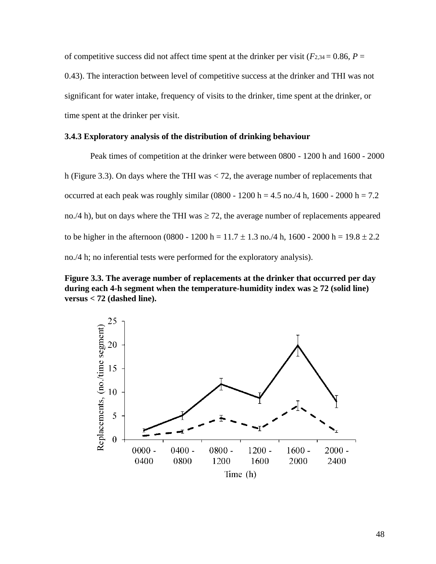of competitive success did not affect time spent at the drinker per visit ( $F_{2,34} = 0.86$ ,  $P =$ 0.43). The interaction between level of competitive success at the drinker and THI was not significant for water intake, frequency of visits to the drinker, time spent at the drinker, or time spent at the drinker per visit.

## **3.4.3 Exploratory analysis of the distribution of drinking behaviour**

Peak times of competition at the drinker were between 0800 - 1200 h and 1600 - 2000 h (Figure 3.3). On days where the THI was < 72, the average number of replacements that occurred at each peak was roughly similar (0800 - 1200 h = 4.5 no./4 h, 1600 - 2000 h = 7.2 no./4 h), but on days where the THI was  $\geq$  72, the average number of replacements appeared to be higher in the afternoon (0800 - 1200 h = 11.7  $\pm$  1.3 no./4 h, 1600 - 2000 h = 19.8  $\pm$  2.2 no./4 h; no inferential tests were performed for the exploratory analysis).

**Figure 3.3. The average number of replacements at the drinker that occurred per day**  during each 4-h segment when the temperature-humidity index  $\text{was} \ge 72$  (solid line) **versus < 72 (dashed line).**

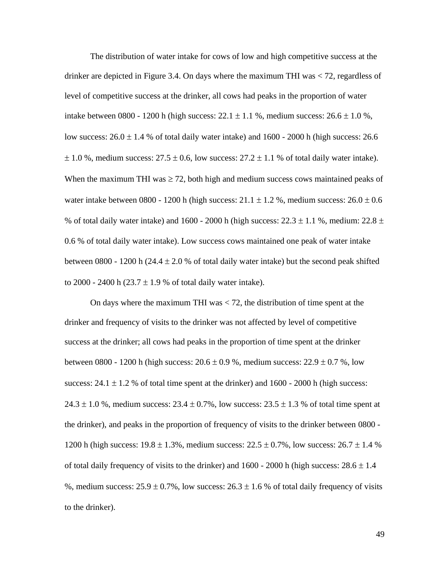The distribution of water intake for cows of low and high competitive success at the drinker are depicted in Figure 3.4. On days where the maximum THI was < 72, regardless of level of competitive success at the drinker, all cows had peaks in the proportion of water intake between 0800 - 1200 h (high success:  $22.1 \pm 1.1$  %, medium success:  $26.6 \pm 1.0$  %, low success:  $26.0 \pm 1.4$  % of total daily water intake) and  $1600 - 2000$  h (high success: 26.6  $\pm$  1.0 %, medium success: 27.5  $\pm$  0.6, low success: 27.2  $\pm$  1.1 % of total daily water intake). When the maximum THI was  $\geq$  72, both high and medium success cows maintained peaks of water intake between 0800 - 1200 h (high success:  $21.1 \pm 1.2$  %, medium success:  $26.0 \pm 0.6$ % of total daily water intake) and 1600 - 2000 h (high success:  $22.3 \pm 1.1$  %, medium:  $22.8 \pm 1.1$ 0.6 % of total daily water intake). Low success cows maintained one peak of water intake between 0800 - 1200 h (24.4  $\pm$  2.0 % of total daily water intake) but the second peak shifted to 2000 - 2400 h (23.7  $\pm$  1.9 % of total daily water intake).

On days where the maximum THI was  $<$  72, the distribution of time spent at the drinker and frequency of visits to the drinker was not affected by level of competitive success at the drinker; all cows had peaks in the proportion of time spent at the drinker between 0800 - 1200 h (high success:  $20.6 \pm 0.9$  %, medium success:  $22.9 \pm 0.7$  %, low success:  $24.1 \pm 1.2$  % of total time spent at the drinker) and  $1600 - 2000$  h (high success: 24.3  $\pm$  1.0 %, medium success: 23.4  $\pm$  0.7%, low success: 23.5  $\pm$  1.3 % of total time spent at the drinker), and peaks in the proportion of frequency of visits to the drinker between 0800 - 1200 h (high success:  $19.8 \pm 1.3$ %, medium success:  $22.5 \pm 0.7$ %, low success:  $26.7 \pm 1.4$  % of total daily frequency of visits to the drinker) and  $1600 - 2000$  h (high success:  $28.6 \pm 1.4$ %, medium success:  $25.9 \pm 0.7$ %, low success:  $26.3 \pm 1.6$  % of total daily frequency of visits to the drinker).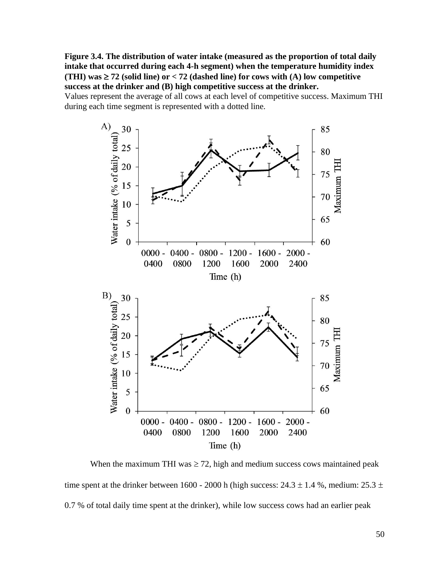**Figure 3.4. The distribution of water intake (measured as the proportion of total daily intake that occurred during each 4-h segment) when the temperature humidity index (THI)**  $\text{was} \geq 72$  (solid line) or < 72 (dashed line) for cows with (A) low competitive **success at the drinker and (B) high competitive success at the drinker.** 

Values represent the average of all cows at each level of competitive success. Maximum THI during each time segment is represented with a dotted line.



When the maximum THI was  $\geq$  72, high and medium success cows maintained peak time spent at the drinker between 1600 - 2000 h (high success:  $24.3 \pm 1.4$  %, medium:  $25.3 \pm$ 0.7 % of total daily time spent at the drinker), while low success cows had an earlier peak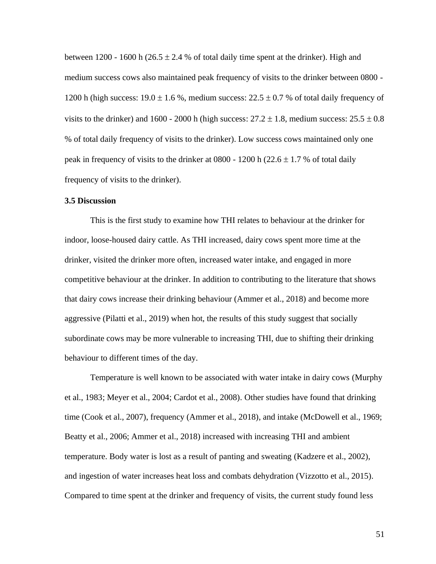between 1200 - 1600 h (26.5  $\pm$  2.4 % of total daily time spent at the drinker). High and medium success cows also maintained peak frequency of visits to the drinker between 0800 - 1200 h (high success:  $19.0 \pm 1.6$ %, medium success:  $22.5 \pm 0.7$ % of total daily frequency of visits to the drinker) and 1600 - 2000 h (high success:  $27.2 \pm 1.8$ , medium success:  $25.5 \pm 0.8$ % of total daily frequency of visits to the drinker). Low success cows maintained only one peak in frequency of visits to the drinker at 0800 - 1200 h ( $22.6 \pm 1.7$  % of total daily frequency of visits to the drinker).

## **3.5 Discussion**

This is the first study to examine how THI relates to behaviour at the drinker for indoor, loose-housed dairy cattle. As THI increased, dairy cows spent more time at the drinker, visited the drinker more often, increased water intake, and engaged in more competitive behaviour at the drinker. In addition to contributing to the literature that shows that dairy cows increase their drinking behaviour (Ammer et al., 2018) and become more aggressive (Pilatti et al., 2019) when hot, the results of this study suggest that socially subordinate cows may be more vulnerable to increasing THI, due to shifting their drinking behaviour to different times of the day.

Temperature is well known to be associated with water intake in dairy cows (Murphy et al., 1983; Meyer et al., 2004; Cardot et al., 2008). Other studies have found that drinking time (Cook et al., 2007), frequency (Ammer et al., 2018), and intake (McDowell et al., 1969; Beatty et al., 2006; Ammer et al., 2018) increased with increasing THI and ambient temperature. Body water is lost as a result of panting and sweating (Kadzere et al., 2002), and ingestion of water increases heat loss and combats dehydration (Vizzotto et al., 2015). Compared to time spent at the drinker and frequency of visits, the current study found less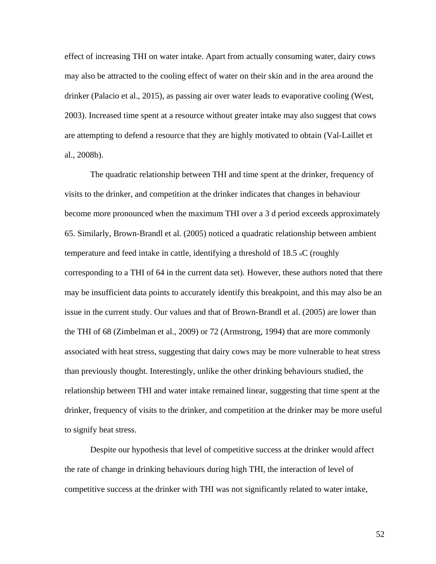effect of increasing THI on water intake. Apart from actually consuming water, dairy cows may also be attracted to the cooling effect of water on their skin and in the area around the drinker (Palacio et al., 2015), as passing air over water leads to evaporative cooling (West, 2003). Increased time spent at a resource without greater intake may also suggest that cows are attempting to defend a resource that they are highly motivated to obtain (Val-Laillet et al., 2008b).

The quadratic relationship between THI and time spent at the drinker, frequency of visits to the drinker, and competition at the drinker indicates that changes in behaviour become more pronounced when the maximum THI over a 3 d period exceeds approximately 65. Similarly, Brown-Brandl et al. (2005) noticed a quadratic relationship between ambient temperature and feed intake in cattle, identifying a threshold of 18.5 oC (roughly corresponding to a THI of 64 in the current data set). However, these authors noted that there may be insufficient data points to accurately identify this breakpoint, and this may also be an issue in the current study. Our values and that of Brown-Brandl et al. (2005) are lower than the THI of 68 (Zimbelman et al., 2009) or 72 (Armstrong, 1994) that are more commonly associated with heat stress, suggesting that dairy cows may be more vulnerable to heat stress than previously thought. Interestingly, unlike the other drinking behaviours studied, the relationship between THI and water intake remained linear, suggesting that time spent at the drinker, frequency of visits to the drinker, and competition at the drinker may be more useful to signify heat stress.

Despite our hypothesis that level of competitive success at the drinker would affect the rate of change in drinking behaviours during high THI, the interaction of level of competitive success at the drinker with THI was not significantly related to water intake,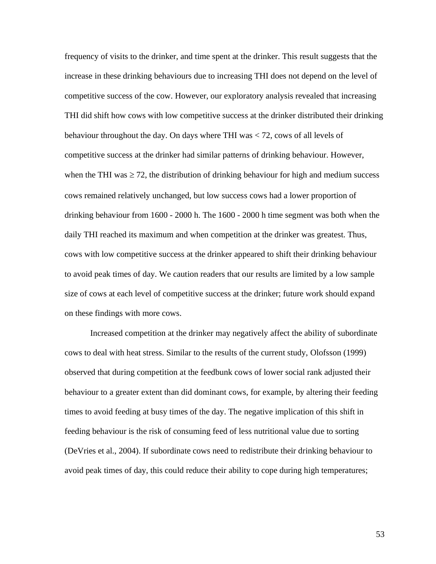frequency of visits to the drinker, and time spent at the drinker. This result suggests that the increase in these drinking behaviours due to increasing THI does not depend on the level of competitive success of the cow. However, our exploratory analysis revealed that increasing THI did shift how cows with low competitive success at the drinker distributed their drinking behaviour throughout the day. On days where THI was < 72, cows of all levels of competitive success at the drinker had similar patterns of drinking behaviour. However, when the THI was  $\geq$  72, the distribution of drinking behaviour for high and medium success cows remained relatively unchanged, but low success cows had a lower proportion of drinking behaviour from 1600 - 2000 h. The 1600 - 2000 h time segment was both when the daily THI reached its maximum and when competition at the drinker was greatest. Thus, cows with low competitive success at the drinker appeared to shift their drinking behaviour to avoid peak times of day. We caution readers that our results are limited by a low sample size of cows at each level of competitive success at the drinker; future work should expand on these findings with more cows.

Increased competition at the drinker may negatively affect the ability of subordinate cows to deal with heat stress. Similar to the results of the current study, Olofsson (1999) observed that during competition at the feedbunk cows of lower social rank adjusted their behaviour to a greater extent than did dominant cows, for example, by altering their feeding times to avoid feeding at busy times of the day. The negative implication of this shift in feeding behaviour is the risk of consuming feed of less nutritional value due to sorting (DeVries et al., 2004). If subordinate cows need to redistribute their drinking behaviour to avoid peak times of day, this could reduce their ability to cope during high temperatures;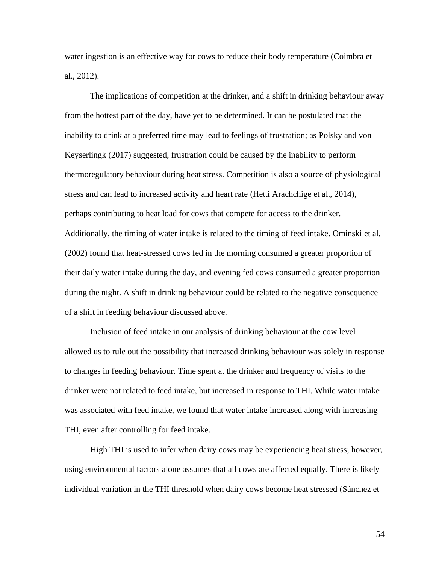water ingestion is an effective way for cows to reduce their body temperature (Coimbra et al., 2012).

The implications of competition at the drinker, and a shift in drinking behaviour away from the hottest part of the day, have yet to be determined. It can be postulated that the inability to drink at a preferred time may lead to feelings of frustration; as Polsky and von Keyserlingk (2017) suggested, frustration could be caused by the inability to perform thermoregulatory behaviour during heat stress. Competition is also a source of physiological stress and can lead to increased activity and heart rate (Hetti Arachchige et al., 2014), perhaps contributing to heat load for cows that compete for access to the drinker. Additionally, the timing of water intake is related to the timing of feed intake. Ominski et al. (2002) found that heat-stressed cows fed in the morning consumed a greater proportion of their daily water intake during the day, and evening fed cows consumed a greater proportion during the night. A shift in drinking behaviour could be related to the negative consequence of a shift in feeding behaviour discussed above.

Inclusion of feed intake in our analysis of drinking behaviour at the cow level allowed us to rule out the possibility that increased drinking behaviour was solely in response to changes in feeding behaviour. Time spent at the drinker and frequency of visits to the drinker were not related to feed intake, but increased in response to THI. While water intake was associated with feed intake, we found that water intake increased along with increasing THI, even after controlling for feed intake.

High THI is used to infer when dairy cows may be experiencing heat stress; however, using environmental factors alone assumes that all cows are affected equally. There is likely individual variation in the THI threshold when dairy cows become heat stressed (Sánchez et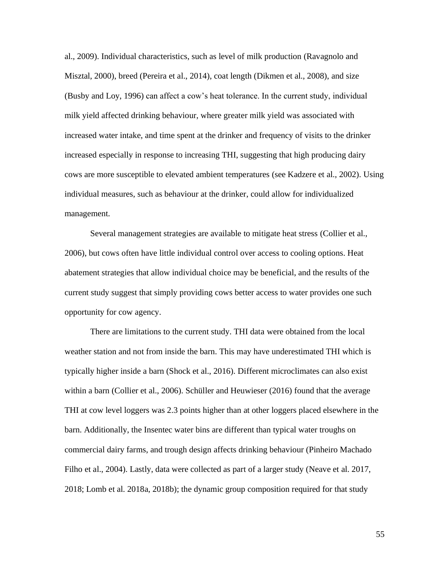al., 2009). Individual characteristics, such as level of milk production (Ravagnolo and Misztal, 2000), breed (Pereira et al., 2014), coat length (Dikmen et al., 2008), and size (Busby and Loy, 1996) can affect a cow's heat tolerance. In the current study, individual milk yield affected drinking behaviour, where greater milk yield was associated with increased water intake, and time spent at the drinker and frequency of visits to the drinker increased especially in response to increasing THI, suggesting that high producing dairy cows are more susceptible to elevated ambient temperatures (see Kadzere et al., 2002). Using individual measures, such as behaviour at the drinker, could allow for individualized management.

Several management strategies are available to mitigate heat stress (Collier et al., 2006), but cows often have little individual control over access to cooling options. Heat abatement strategies that allow individual choice may be beneficial, and the results of the current study suggest that simply providing cows better access to water provides one such opportunity for cow agency.

There are limitations to the current study. THI data were obtained from the local weather station and not from inside the barn. This may have underestimated THI which is typically higher inside a barn (Shock et al., 2016). Different microclimates can also exist within a barn (Collier et al., 2006). Schüller and Heuwieser (2016) found that the average THI at cow level loggers was 2.3 points higher than at other loggers placed elsewhere in the barn. Additionally, the Insentec water bins are different than typical water troughs on commercial dairy farms, and trough design affects drinking behaviour (Pinheiro Machado Filho et al., 2004). Lastly, data were collected as part of a larger study (Neave et al. 2017, 2018; Lomb et al. 2018a, 2018b); the dynamic group composition required for that study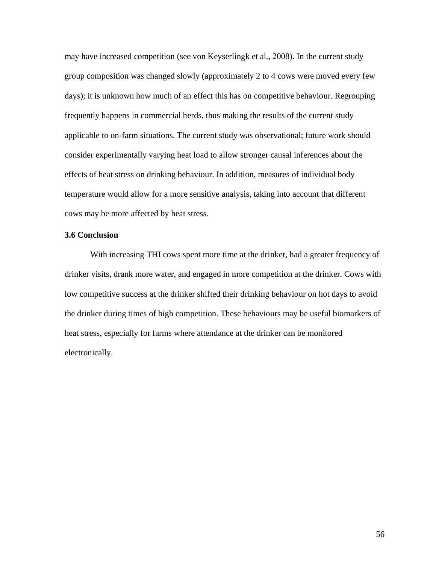may have increased competition (see von Keyserlingk et al., 2008). In the current study group composition was changed slowly (approximately 2 to 4 cows were moved every few days); it is unknown how much of an effect this has on competitive behaviour. Regrouping frequently happens in commercial herds, thus making the results of the current study applicable to on-farm situations. The current study was observational; future work should consider experimentally varying heat load to allow stronger causal inferences about the effects of heat stress on drinking behaviour. In addition, measures of individual body temperature would allow for a more sensitive analysis, taking into account that different cows may be more affected by heat stress.

## **3.6 Conclusion**

With increasing THI cows spent more time at the drinker, had a greater frequency of drinker visits, drank more water, and engaged in more competition at the drinker. Cows with low competitive success at the drinker shifted their drinking behaviour on hot days to avoid the drinker during times of high competition. These behaviours may be useful biomarkers of heat stress, especially for farms where attendance at the drinker can be monitored electronically.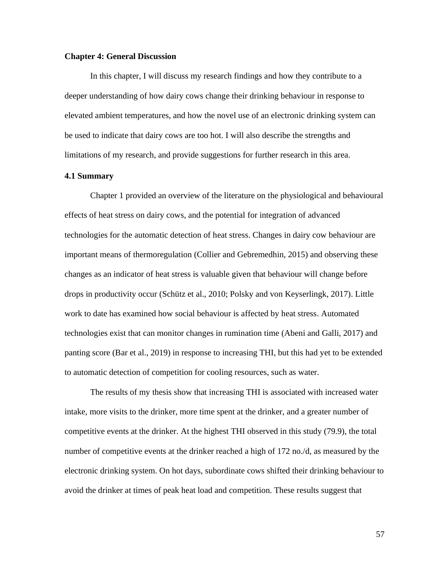### **Chapter 4: General Discussion**

In this chapter, I will discuss my research findings and how they contribute to a deeper understanding of how dairy cows change their drinking behaviour in response to elevated ambient temperatures, and how the novel use of an electronic drinking system can be used to indicate that dairy cows are too hot. I will also describe the strengths and limitations of my research, and provide suggestions for further research in this area.

#### **4.1 Summary**

Chapter 1 provided an overview of the literature on the physiological and behavioural effects of heat stress on dairy cows, and the potential for integration of advanced technologies for the automatic detection of heat stress. Changes in dairy cow behaviour are important means of thermoregulation (Collier and Gebremedhin, 2015) and observing these changes as an indicator of heat stress is valuable given that behaviour will change before drops in productivity occur (Schütz et al., 2010; Polsky and von Keyserlingk, 2017). Little work to date has examined how social behaviour is affected by heat stress. Automated technologies exist that can monitor changes in rumination time (Abeni and Galli, 2017) and panting score (Bar et al., 2019) in response to increasing THI, but this had yet to be extended to automatic detection of competition for cooling resources, such as water.

The results of my thesis show that increasing THI is associated with increased water intake, more visits to the drinker, more time spent at the drinker, and a greater number of competitive events at the drinker. At the highest THI observed in this study (79.9), the total number of competitive events at the drinker reached a high of 172 no./d, as measured by the electronic drinking system. On hot days, subordinate cows shifted their drinking behaviour to avoid the drinker at times of peak heat load and competition. These results suggest that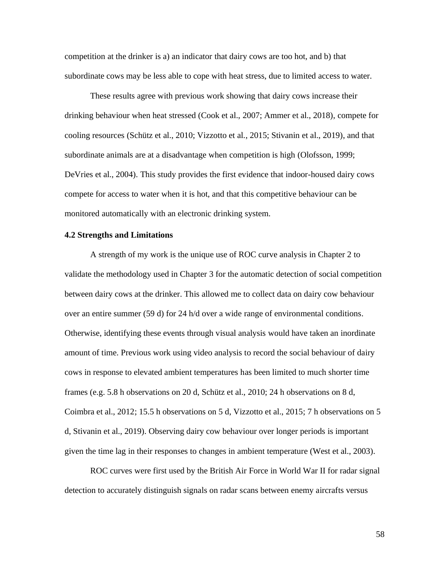competition at the drinker is a) an indicator that dairy cows are too hot, and b) that subordinate cows may be less able to cope with heat stress, due to limited access to water.

These results agree with previous work showing that dairy cows increase their drinking behaviour when heat stressed (Cook et al., 2007; Ammer et al., 2018), compete for cooling resources (Schütz et al., 2010; Vizzotto et al., 2015; Stivanin et al., 2019), and that subordinate animals are at a disadvantage when competition is high (Olofsson, 1999; DeVries et al., 2004). This study provides the first evidence that indoor-housed dairy cows compete for access to water when it is hot, and that this competitive behaviour can be monitored automatically with an electronic drinking system.

## **4.2 Strengths and Limitations**

A strength of my work is the unique use of ROC curve analysis in Chapter 2 to validate the methodology used in Chapter 3 for the automatic detection of social competition between dairy cows at the drinker. This allowed me to collect data on dairy cow behaviour over an entire summer (59 d) for 24 h/d over a wide range of environmental conditions. Otherwise, identifying these events through visual analysis would have taken an inordinate amount of time. Previous work using video analysis to record the social behaviour of dairy cows in response to elevated ambient temperatures has been limited to much shorter time frames (e.g. 5.8 h observations on 20 d, Schütz et al., 2010; 24 h observations on 8 d, Coimbra et al., 2012; 15.5 h observations on 5 d, Vizzotto et al., 2015; 7 h observations on 5 d, Stivanin et al., 2019). Observing dairy cow behaviour over longer periods is important given the time lag in their responses to changes in ambient temperature (West et al., 2003).

ROC curves were first used by the British Air Force in World War II for radar signal detection to accurately distinguish signals on radar scans between enemy aircrafts versus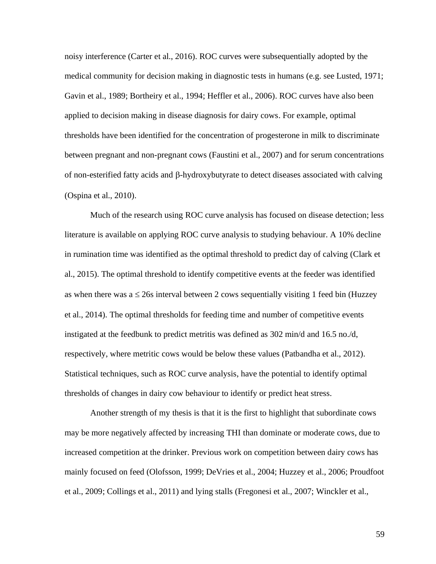noisy interference (Carter et al., 2016). ROC curves were subsequentially adopted by the medical community for decision making in diagnostic tests in humans (e.g. see Lusted, 1971; Gavin et al., 1989; Bortheiry et al., 1994; Heffler et al., 2006). ROC curves have also been applied to decision making in disease diagnosis for dairy cows. For example, optimal thresholds have been identified for the concentration of progesterone in milk to discriminate between pregnant and non-pregnant cows (Faustini et al., 2007) and for serum concentrations of non-esterified fatty acids and  $\beta$ -hydroxybutyrate to detect diseases associated with calving (Ospina et al., 2010).

Much of the research using ROC curve analysis has focused on disease detection; less literature is available on applying ROC curve analysis to studying behaviour. A 10% decline in rumination time was identified as the optimal threshold to predict day of calving (Clark et al., 2015). The optimal threshold to identify competitive events at the feeder was identified as when there was  $a \le 26s$  interval between 2 cows sequentially visiting 1 feed bin (Huzzey et al., 2014). The optimal thresholds for feeding time and number of competitive events instigated at the feedbunk to predict metritis was defined as 302 min/d and 16.5 no./d, respectively, where metritic cows would be below these values (Patbandha et al., 2012). Statistical techniques, such as ROC curve analysis, have the potential to identify optimal thresholds of changes in dairy cow behaviour to identify or predict heat stress.

Another strength of my thesis is that it is the first to highlight that subordinate cows may be more negatively affected by increasing THI than dominate or moderate cows, due to increased competition at the drinker. Previous work on competition between dairy cows has mainly focused on feed (Olofsson, 1999; DeVries et al., 2004; Huzzey et al., 2006; Proudfoot et al., 2009; Collings et al., 2011) and lying stalls (Fregonesi et al., 2007; Winckler et al.,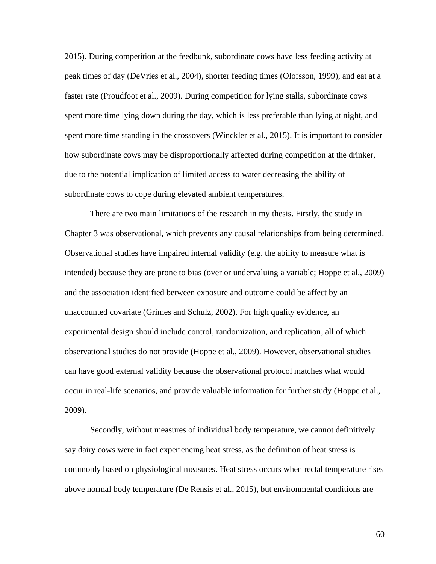2015). During competition at the feedbunk, subordinate cows have less feeding activity at peak times of day (DeVries et al., 2004), shorter feeding times (Olofsson, 1999), and eat at a faster rate (Proudfoot et al., 2009). During competition for lying stalls, subordinate cows spent more time lying down during the day, which is less preferable than lying at night, and spent more time standing in the crossovers (Winckler et al., 2015). It is important to consider how subordinate cows may be disproportionally affected during competition at the drinker, due to the potential implication of limited access to water decreasing the ability of subordinate cows to cope during elevated ambient temperatures.

There are two main limitations of the research in my thesis. Firstly, the study in Chapter 3 was observational, which prevents any causal relationships from being determined. Observational studies have impaired internal validity (e.g. the ability to measure what is intended) because they are prone to bias (over or undervaluing a variable; Hoppe et al., 2009) and the association identified between exposure and outcome could be affect by an unaccounted covariate (Grimes and Schulz, 2002). For high quality evidence, an experimental design should include control, randomization, and replication, all of which observational studies do not provide (Hoppe et al., 2009). However, observational studies can have good external validity because the observational protocol matches what would occur in real-life scenarios, and provide valuable information for further study (Hoppe et al., 2009).

Secondly, without measures of individual body temperature, we cannot definitively say dairy cows were in fact experiencing heat stress, as the definition of heat stress is commonly based on physiological measures. Heat stress occurs when rectal temperature rises above normal body temperature (De Rensis et al., 2015), but environmental conditions are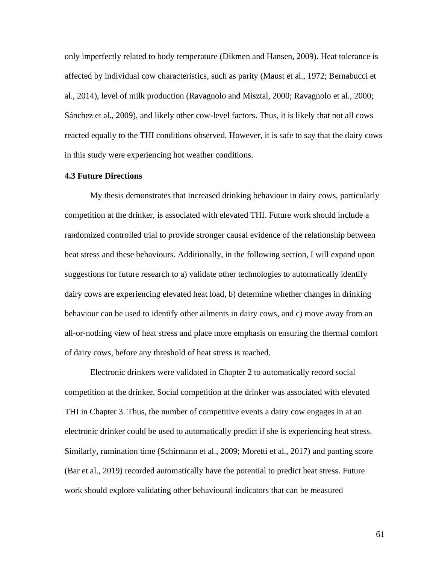only imperfectly related to body temperature (Dikmen and Hansen, 2009). Heat tolerance is affected by individual cow characteristics, such as parity (Maust et al., 1972; Bernabucci et al., 2014), level of milk production (Ravagnolo and Misztal, 2000; Ravagnolo et al., 2000; Sánchez et al., 2009), and likely other cow-level factors. Thus, it is likely that not all cows reacted equally to the THI conditions observed. However, it is safe to say that the dairy cows in this study were experiencing hot weather conditions.

## **4.3 Future Directions**

My thesis demonstrates that increased drinking behaviour in dairy cows, particularly competition at the drinker, is associated with elevated THI. Future work should include a randomized controlled trial to provide stronger causal evidence of the relationship between heat stress and these behaviours. Additionally, in the following section, I will expand upon suggestions for future research to a) validate other technologies to automatically identify dairy cows are experiencing elevated heat load, b) determine whether changes in drinking behaviour can be used to identify other ailments in dairy cows, and c) move away from an all-or-nothing view of heat stress and place more emphasis on ensuring the thermal comfort of dairy cows, before any threshold of heat stress is reached.

Electronic drinkers were validated in Chapter 2 to automatically record social competition at the drinker. Social competition at the drinker was associated with elevated THI in Chapter 3. Thus, the number of competitive events a dairy cow engages in at an electronic drinker could be used to automatically predict if she is experiencing heat stress. Similarly, rumination time (Schirmann et al., 2009; Moretti et al., 2017) and panting score (Bar et al., 2019) recorded automatically have the potential to predict heat stress. Future work should explore validating other behavioural indicators that can be measured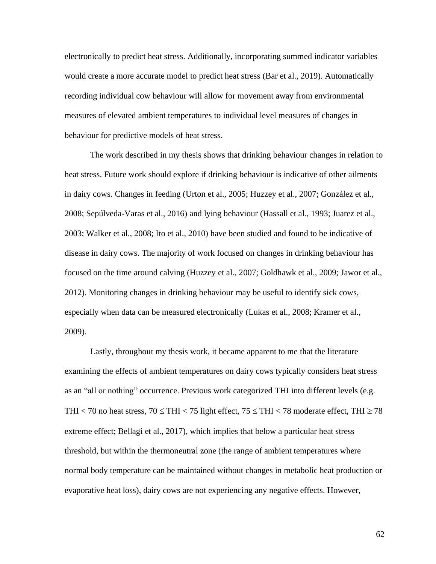electronically to predict heat stress. Additionally, incorporating summed indicator variables would create a more accurate model to predict heat stress (Bar et al., 2019). Automatically recording individual cow behaviour will allow for movement away from environmental measures of elevated ambient temperatures to individual level measures of changes in behaviour for predictive models of heat stress.

The work described in my thesis shows that drinking behaviour changes in relation to heat stress. Future work should explore if drinking behaviour is indicative of other ailments in dairy cows. Changes in feeding (Urton et al., 2005; Huzzey et al., 2007; González et al., 2008; Sepúlveda-Varas et al., 2016) and lying behaviour (Hassall et al., 1993; Juarez et al., 2003; Walker et al., 2008; Ito et al., 2010) have been studied and found to be indicative of disease in dairy cows. The majority of work focused on changes in drinking behaviour has focused on the time around calving (Huzzey et al., 2007; Goldhawk et al., 2009; Jawor et al., 2012). Monitoring changes in drinking behaviour may be useful to identify sick cows, especially when data can be measured electronically (Lukas et al., 2008; Kramer et al., 2009).

Lastly, throughout my thesis work, it became apparent to me that the literature examining the effects of ambient temperatures on dairy cows typically considers heat stress as an "all or nothing" occurrence. Previous work categorized THI into different levels (e.g. THI < 70 no heat stress,  $70 \leq THI$  < 75 light effect,  $75 \leq THI$  < 78 moderate effect, THI  $\geq 78$ extreme effect; Bellagi et al., 2017), which implies that below a particular heat stress threshold, but within the thermoneutral zone (the range of ambient temperatures where normal body temperature can be maintained without changes in metabolic heat production or evaporative heat loss), dairy cows are not experiencing any negative effects. However,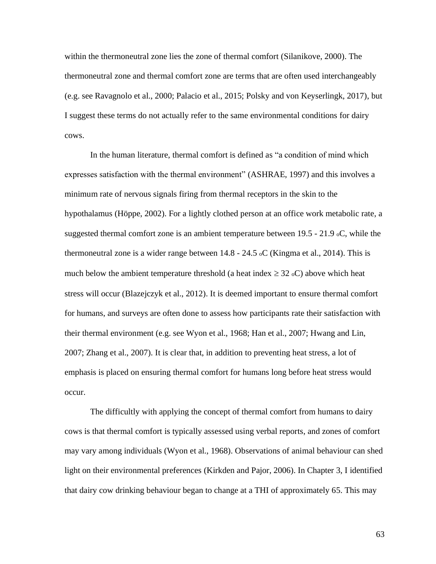within the thermoneutral zone lies the zone of thermal comfort (Silanikove, 2000). The thermoneutral zone and thermal comfort zone are terms that are often used interchangeably (e.g. see Ravagnolo et al., 2000; Palacio et al., 2015; Polsky and von Keyserlingk, 2017), but I suggest these terms do not actually refer to the same environmental conditions for dairy cows.

In the human literature, thermal comfort is defined as "a condition of mind which expresses satisfaction with the thermal environment" (ASHRAE, 1997) and this involves a minimum rate of nervous signals firing from thermal receptors in the skin to the hypothalamus (Höppe, 2002). For a lightly clothed person at an office work metabolic rate, a suggested thermal comfort zone is an ambient temperature between 19.5 - 21.9 oC, while the thermoneutral zone is a wider range between  $14.8 - 24.5$  oC (Kingma et al., 2014). This is much below the ambient temperature threshold (a heat index  $\geq$  32 oC) above which heat stress will occur (Blazejczyk et al., 2012). It is deemed important to ensure thermal comfort for humans, and surveys are often done to assess how participants rate their satisfaction with their thermal environment (e.g. see Wyon et al., 1968; Han et al., 2007; Hwang and Lin, 2007; Zhang et al., 2007). It is clear that, in addition to preventing heat stress, a lot of emphasis is placed on ensuring thermal comfort for humans long before heat stress would occur.

The difficultly with applying the concept of thermal comfort from humans to dairy cows is that thermal comfort is typically assessed using verbal reports, and zones of comfort may vary among individuals (Wyon et al., 1968). Observations of animal behaviour can shed light on their environmental preferences (Kirkden and Pajor, 2006). In Chapter 3, I identified that dairy cow drinking behaviour began to change at a THI of approximately 65. This may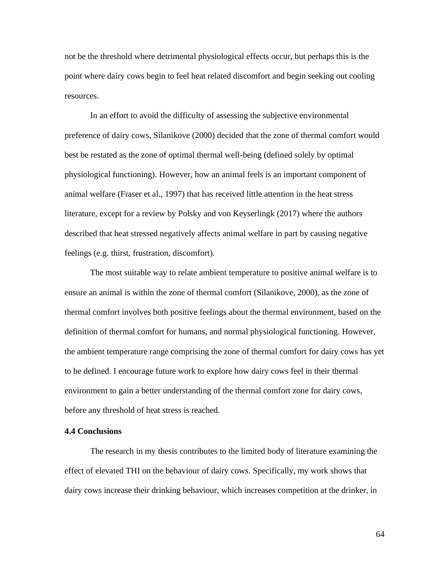not be the threshold where detrimental physiological effects occur, but perhaps this is the point where dairy cows begin to feel heat related discomfort and begin seeking out cooling resources.

In an effort to avoid the difficulty of assessing the subjective environmental preference of dairy cows, Silanikove (2000) decided that the zone of thermal comfort would best be restated as the zone of optimal thermal well-being (defined solely by optimal physiological functioning). However, how an animal feels is an important component of animal welfare (Fraser et al., 1997) that has received little attention in the heat stress literature, except for a review by Polsky and von Keyserlingk (2017) where the authors described that heat stressed negatively affects animal welfare in part by causing negative feelings (e.g. thirst, frustration, discomfort).

The most suitable way to relate ambient temperature to positive animal welfare is to ensure an animal is within the zone of thermal comfort (Silanikove, 2000), as the zone of thermal comfort involves both positive feelings about the thermal environment, based on the definition of thermal comfort for humans, and normal physiological functioning. However, the ambient temperature range comprising the zone of thermal comfort for dairy cows has yet to be defined. I encourage future work to explore how dairy cows feel in their thermal environment to gain a better understanding of the thermal comfort zone for dairy cows, before any threshold of heat stress is reached.

## **4.4 Conclusions**

The research in my thesis contributes to the limited body of literature examining the effect of elevated THI on the behaviour of dairy cows. Specifically, my work shows that dairy cows increase their drinking behaviour, which increases competition at the drinker, in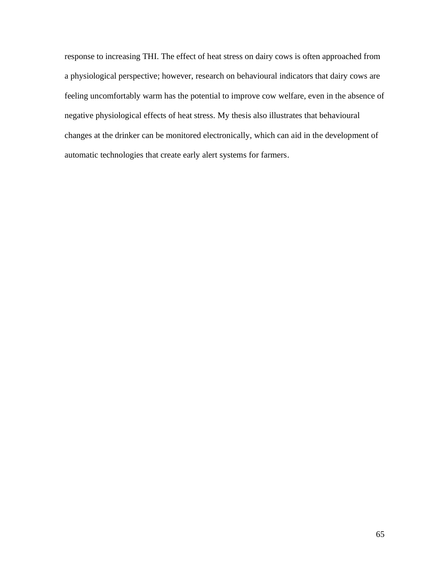response to increasing THI. The effect of heat stress on dairy cows is often approached from a physiological perspective; however, research on behavioural indicators that dairy cows are feeling uncomfortably warm has the potential to improve cow welfare, even in the absence of negative physiological effects of heat stress. My thesis also illustrates that behavioural changes at the drinker can be monitored electronically, which can aid in the development of automatic technologies that create early alert systems for farmers.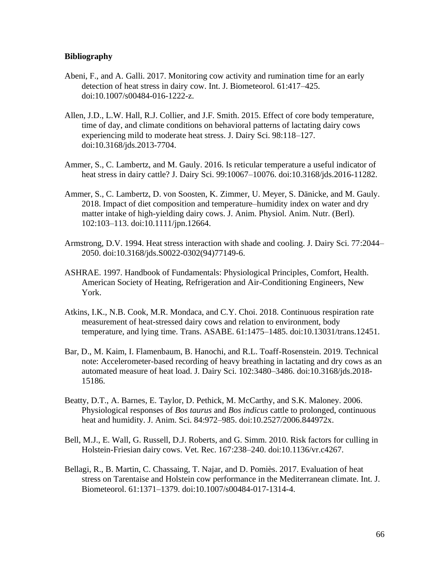## **Bibliography**

- Abeni, F., and A. Galli. 2017. Monitoring cow activity and rumination time for an early detection of heat stress in dairy cow. Int. J. Biometeorol. 61:417–425. doi:10.1007/s00484-016-1222-z.
- Allen, J.D., L.W. Hall, R.J. Collier, and J.F. Smith. 2015. Effect of core body temperature, time of day, and climate conditions on behavioral patterns of lactating dairy cows experiencing mild to moderate heat stress. J. Dairy Sci. 98:118–127. doi:10.3168/jds.2013-7704.
- Ammer, S., C. Lambertz, and M. Gauly. 2016. Is reticular temperature a useful indicator of heat stress in dairy cattle? J. Dairy Sci. 99:10067–10076. doi:10.3168/jds.2016-11282.
- Ammer, S., C. Lambertz, D. von Soosten, K. Zimmer, U. Meyer, S. Dänicke, and M. Gauly. 2018. Impact of diet composition and temperature–humidity index on water and dry matter intake of high-yielding dairy cows. J. Anim. Physiol. Anim. Nutr. (Berl). 102:103–113. doi:10.1111/jpn.12664.
- Armstrong, D.V. 1994. Heat stress interaction with shade and cooling. J. Dairy Sci. 77:2044– 2050. doi:10.3168/jds.S0022-0302(94)77149-6.
- ASHRAE. 1997. Handbook of Fundamentals: Physiological Principles, Comfort, Health. American Society of Heating, Refrigeration and Air-Conditioning Engineers, New York.
- Atkins, I.K., N.B. Cook, M.R. Mondaca, and C.Y. Choi. 2018. Continuous respiration rate measurement of heat-stressed dairy cows and relation to environment, body temperature, and lying time. Trans. ASABE. 61:1475–1485. doi:10.13031/trans.12451.
- Bar, D., M. Kaim, I. Flamenbaum, B. Hanochi, and R.L. Toaff-Rosenstein. 2019. Technical note: Accelerometer-based recording of heavy breathing in lactating and dry cows as an automated measure of heat load. J. Dairy Sci. 102:3480–3486. doi:10.3168/jds.2018- 15186.
- Beatty, D.T., A. Barnes, E. Taylor, D. Pethick, M. McCarthy, and S.K. Maloney. 2006. Physiological responses of *Bos taurus* and *Bos indicus* cattle to prolonged, continuous heat and humidity. J. Anim. Sci. 84:972–985. doi:10.2527/2006.844972x.
- Bell, M.J., E. Wall, G. Russell, D.J. Roberts, and G. Simm. 2010. Risk factors for culling in Holstein-Friesian dairy cows. Vet. Rec. 167:238–240. doi:10.1136/vr.c4267.
- Bellagi, R., B. Martin, C. Chassaing, T. Najar, and D. Pomiès. 2017. Evaluation of heat stress on Tarentaise and Holstein cow performance in the Mediterranean climate. Int. J. Biometeorol. 61:1371–1379. doi:10.1007/s00484-017-1314-4.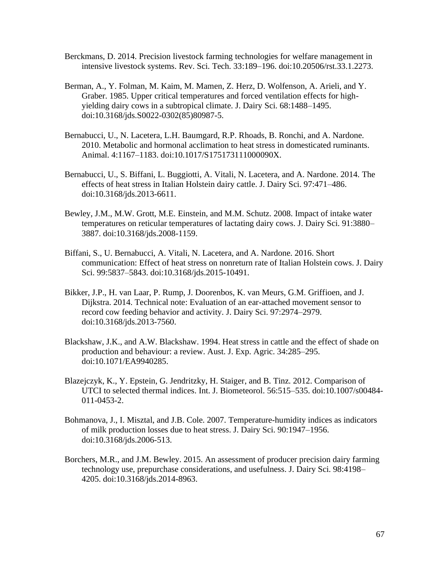- Berckmans, D. 2014. Precision livestock farming technologies for welfare management in intensive livestock systems. Rev. Sci. Tech. 33:189–196. doi:10.20506/rst.33.1.2273.
- Berman, A., Y. Folman, M. Kaim, M. Mamen, Z. Herz, D. Wolfenson, A. Arieli, and Y. Graber. 1985. Upper critical temperatures and forced ventilation effects for highyielding dairy cows in a subtropical climate. J. Dairy Sci. 68:1488–1495. doi:10.3168/jds.S0022-0302(85)80987-5.
- Bernabucci, U., N. Lacetera, L.H. Baumgard, R.P. Rhoads, B. Ronchi, and A. Nardone. 2010. Metabolic and hormonal acclimation to heat stress in domesticated ruminants. Animal. 4:1167–1183. doi:10.1017/S175173111000090X.
- Bernabucci, U., S. Biffani, L. Buggiotti, A. Vitali, N. Lacetera, and A. Nardone. 2014. The effects of heat stress in Italian Holstein dairy cattle. J. Dairy Sci. 97:471–486. doi:10.3168/jds.2013-6611.
- Bewley, J.M., M.W. Grott, M.E. Einstein, and M.M. Schutz. 2008. Impact of intake water temperatures on reticular temperatures of lactating dairy cows. J. Dairy Sci. 91:3880– 3887. doi:10.3168/jds.2008-1159.
- Biffani, S., U. Bernabucci, A. Vitali, N. Lacetera, and A. Nardone. 2016. Short communication: Effect of heat stress on nonreturn rate of Italian Holstein cows. J. Dairy Sci. 99:5837–5843. doi:10.3168/jds.2015-10491.
- Bikker, J.P., H. van Laar, P. Rump, J. Doorenbos, K. van Meurs, G.M. Griffioen, and J. Dijkstra. 2014. Technical note: Evaluation of an ear-attached movement sensor to record cow feeding behavior and activity. J. Dairy Sci. 97:2974–2979. doi:10.3168/jds.2013-7560.
- Blackshaw, J.K., and A.W. Blackshaw. 1994. Heat stress in cattle and the effect of shade on production and behaviour: a review. Aust. J. Exp. Agric. 34:285–295. doi:10.1071/EA9940285.
- Blazejczyk, K., Y. Epstein, G. Jendritzky, H. Staiger, and B. Tinz. 2012. Comparison of UTCI to selected thermal indices. Int. J. Biometeorol. 56:515–535. doi:10.1007/s00484- 011-0453-2.
- Bohmanova, J., I. Misztal, and J.B. Cole. 2007. Temperature-humidity indices as indicators of milk production losses due to heat stress. J. Dairy Sci. 90:1947–1956. doi:10.3168/jds.2006-513.
- Borchers, M.R., and J.M. Bewley. 2015. An assessment of producer precision dairy farming technology use, prepurchase considerations, and usefulness. J. Dairy Sci. 98:4198– 4205. doi:10.3168/jds.2014-8963.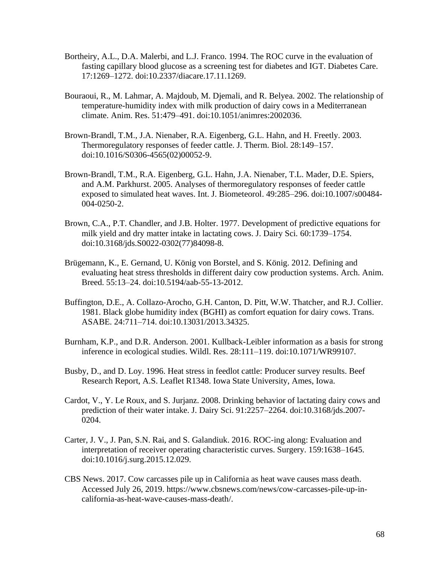- Bortheiry, A.L., D.A. Malerbi, and L.J. Franco. 1994. The ROC curve in the evaluation of fasting capillary blood glucose as a screening test for diabetes and IGT. Diabetes Care. 17:1269–1272. doi:10.2337/diacare.17.11.1269.
- Bouraoui, R., M. Lahmar, A. Majdoub, M. Djemali, and R. Belyea. 2002. The relationship of temperature-humidity index with milk production of dairy cows in a Mediterranean climate. Anim. Res. 51:479–491. doi:10.1051/animres:2002036.
- Brown-Brandl, T.M., J.A. Nienaber, R.A. Eigenberg, G.L. Hahn, and H. Freetly. 2003. Thermoregulatory responses of feeder cattle. J. Therm. Biol. 28:149–157. doi:10.1016/S0306-4565(02)00052-9.
- Brown-Brandl, T.M., R.A. Eigenberg, G.L. Hahn, J.A. Nienaber, T.L. Mader, D.E. Spiers, and A.M. Parkhurst. 2005. Analyses of thermoregulatory responses of feeder cattle exposed to simulated heat waves. Int. J. Biometeorol. 49:285–296. doi:10.1007/s00484- 004-0250-2.
- Brown, C.A., P.T. Chandler, and J.B. Holter. 1977. Development of predictive equations for milk yield and dry matter intake in lactating cows. J. Dairy Sci. 60:1739–1754. doi:10.3168/jds.S0022-0302(77)84098-8.
- Brügemann, K., E. Gernand, U. König von Borstel, and S. König. 2012. Defining and evaluating heat stress thresholds in different dairy cow production systems. Arch. Anim. Breed. 55:13–24. doi:10.5194/aab-55-13-2012.
- Buffington, D.E., A. Collazo-Arocho, G.H. Canton, D. Pitt, W.W. Thatcher, and R.J. Collier. 1981. Black globe humidity index (BGHI) as comfort equation for dairy cows. Trans. ASABE. 24:711–714. doi:10.13031/2013.34325.
- Burnham, K.P., and D.R. Anderson. 2001. Kullback-Leibler information as a basis for strong inference in ecological studies. Wildl. Res. 28:111–119. doi:10.1071/WR99107.
- Busby, D., and D. Loy. 1996. Heat stress in feedlot cattle: Producer survey results. Beef Research Report, A.S. Leaflet R1348. Iowa State University, Ames, Iowa.
- Cardot, V., Y. Le Roux, and S. Jurjanz. 2008. Drinking behavior of lactating dairy cows and prediction of their water intake. J. Dairy Sci. 91:2257–2264. doi:10.3168/jds.2007- 0204.
- Carter, J. V., J. Pan, S.N. Rai, and S. Galandiuk. 2016. ROC-ing along: Evaluation and interpretation of receiver operating characteristic curves. Surgery. 159:1638–1645. doi:10.1016/j.surg.2015.12.029.
- CBS News. 2017. Cow carcasses pile up in California as heat wave causes mass death. Accessed July 26, 2019. https://www.cbsnews.com/news/cow-carcasses-pile-up-incalifornia-as-heat-wave-causes-mass-death/.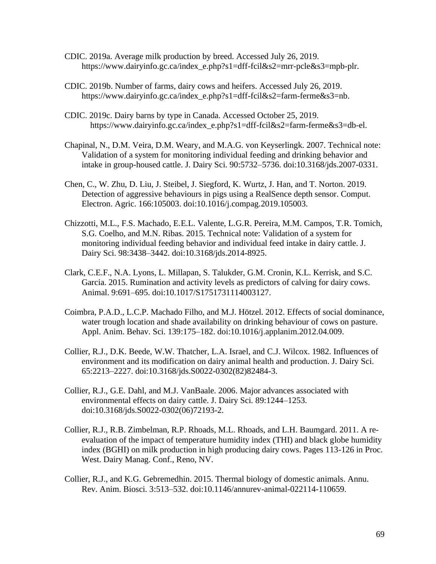- CDIC. 2019a. Average milk production by breed. Accessed July 26, 2019. https://www.dairyinfo.gc.ca/index\_e.php?s1=dff-fcil&s2=mrr-pcle&s3=mpb-plr.
- CDIC. 2019b. Number of farms, dairy cows and heifers. Accessed July 26, 2019. https://www.dairyinfo.gc.ca/index\_e.php?s1=dff-fcil&s2=farm-ferme&s3=nb.
- CDIC. 2019c. Dairy barns by type in Canada. Accessed October 25, 2019. https://www.dairyinfo.gc.ca/index\_e.php?s1=dff-fcil&s2=farm-ferme&s3=db-el.
- Chapinal, N., D.M. Veira, D.M. Weary, and M.A.G. von Keyserlingk. 2007. Technical note: Validation of a system for monitoring individual feeding and drinking behavior and intake in group-housed cattle. J. Dairy Sci. 90:5732–5736. doi:10.3168/jds.2007-0331.
- Chen, C., W. Zhu, D. Liu, J. Steibel, J. Siegford, K. Wurtz, J. Han, and T. Norton. 2019. Detection of aggressive behaviours in pigs using a RealSence depth sensor. Comput. Electron. Agric. 166:105003. doi:10.1016/j.compag.2019.105003.
- Chizzotti, M.L., F.S. Machado, E.E.L. Valente, L.G.R. Pereira, M.M. Campos, T.R. Tomich, S.G. Coelho, and M.N. Ribas. 2015. Technical note: Validation of a system for monitoring individual feeding behavior and individual feed intake in dairy cattle. J. Dairy Sci. 98:3438–3442. doi:10.3168/jds.2014-8925.
- Clark, C.E.F., N.A. Lyons, L. Millapan, S. Talukder, G.M. Cronin, K.L. Kerrisk, and S.C. Garcia. 2015. Rumination and activity levels as predictors of calving for dairy cows. Animal. 9:691–695. doi:10.1017/S1751731114003127.
- Coimbra, P.A.D., L.C.P. Machado Filho, and M.J. Hötzel. 2012. Effects of social dominance, water trough location and shade availability on drinking behaviour of cows on pasture. Appl. Anim. Behav. Sci. 139:175–182. doi:10.1016/j.applanim.2012.04.009.
- Collier, R.J., D.K. Beede, W.W. Thatcher, L.A. Israel, and C.J. Wilcox. 1982. Influences of environment and its modification on dairy animal health and production. J. Dairy Sci. 65:2213–2227. doi:10.3168/jds.S0022-0302(82)82484-3.
- Collier, R.J., G.E. Dahl, and M.J. VanBaale. 2006. Major advances associated with environmental effects on dairy cattle. J. Dairy Sci. 89:1244–1253. doi:10.3168/jds.S0022-0302(06)72193-2.
- Collier, R.J., R.B. Zimbelman, R.P. Rhoads, M.L. Rhoads, and L.H. Baumgard. 2011. A reevaluation of the impact of temperature humidity index (THI) and black globe humidity index (BGHI) on milk production in high producing dairy cows. Pages 113-126 in Proc. West. Dairy Manag. Conf., Reno, NV.
- Collier, R.J., and K.G. Gebremedhin. 2015. Thermal biology of domestic animals. Annu. Rev. Anim. Biosci. 3:513–532. doi:10.1146/annurev-animal-022114-110659.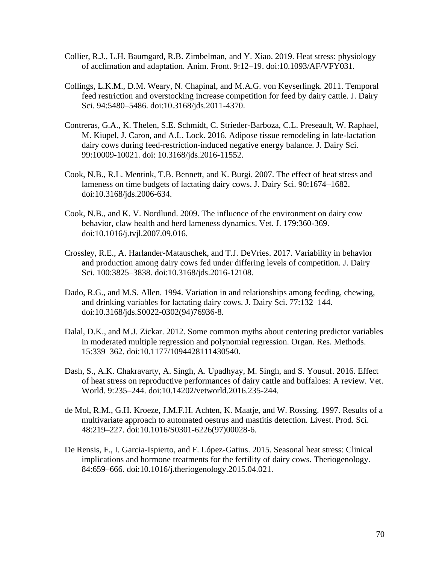- Collier, R.J., L.H. Baumgard, R.B. Zimbelman, and Y. Xiao. 2019. Heat stress: physiology of acclimation and adaptation. Anim. Front. 9:12–19. doi:10.1093/AF/VFY031.
- Collings, L.K.M., D.M. Weary, N. Chapinal, and M.A.G. von Keyserlingk. 2011. Temporal feed restriction and overstocking increase competition for feed by dairy cattle. J. Dairy Sci. 94:5480–5486. doi:10.3168/jds.2011-4370.
- Contreras, G.A., K. Thelen, S.E. Schmidt, C. Strieder-Barboza, C.L. Preseault, W. Raphael, M. Kiupel, J. Caron, and A.L. Lock. 2016. Adipose tissue remodeling in late-lactation dairy cows during feed-restriction-induced negative energy balance. J. Dairy Sci. 99:10009-10021. doi: 10.3168/jds.2016-11552.
- Cook, N.B., R.L. Mentink, T.B. Bennett, and K. Burgi. 2007. The effect of heat stress and lameness on time budgets of lactating dairy cows. J. Dairy Sci. 90:1674–1682. doi:10.3168/jds.2006-634.
- Cook, N.B., and K. V. Nordlund. 2009. The influence of the environment on dairy cow behavior, claw health and herd lameness dynamics. Vet. J. 179:360-369. doi:10.1016/j.tvjl.2007.09.016.
- Crossley, R.E., A. Harlander-Matauschek, and T.J. DeVries. 2017. Variability in behavior and production among dairy cows fed under differing levels of competition. J. Dairy Sci. 100:3825–3838. doi:10.3168/jds.2016-12108.
- Dado, R.G., and M.S. Allen. 1994. Variation in and relationships among feeding, chewing, and drinking variables for lactating dairy cows. J. Dairy Sci. 77:132–144. doi:10.3168/jds.S0022-0302(94)76936-8.
- Dalal, D.K., and M.J. Zickar. 2012. Some common myths about centering predictor variables in moderated multiple regression and polynomial regression. Organ. Res. Methods. 15:339–362. doi:10.1177/1094428111430540.
- Dash, S., A.K. Chakravarty, A. Singh, A. Upadhyay, M. Singh, and S. Yousuf. 2016. Effect of heat stress on reproductive performances of dairy cattle and buffaloes: A review. Vet. World. 9:235–244. doi:10.14202/vetworld.2016.235-244.
- de Mol, R.M., G.H. Kroeze, J.M.F.H. Achten, K. Maatje, and W. Rossing. 1997. Results of a multivariate approach to automated oestrus and mastitis detection. Livest. Prod. Sci. 48:219–227. doi:10.1016/S0301-6226(97)00028-6.
- De Rensis, F., I. Garcia-Ispierto, and F. López-Gatius. 2015. Seasonal heat stress: Clinical implications and hormone treatments for the fertility of dairy cows. Theriogenology. 84:659–666. doi:10.1016/j.theriogenology.2015.04.021.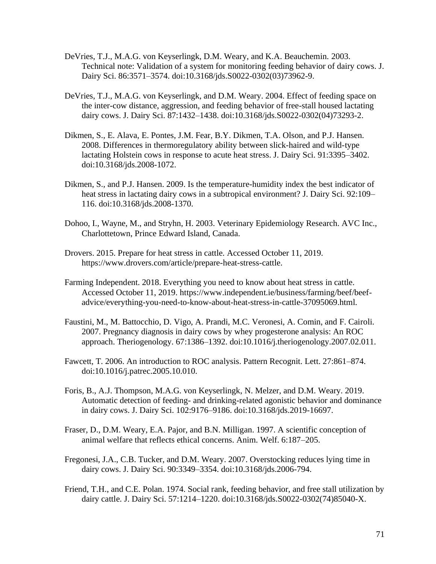- DeVries, T.J., M.A.G. von Keyserlingk, D.M. Weary, and K.A. Beauchemin. 2003. Technical note: Validation of a system for monitoring feeding behavior of dairy cows. J. Dairy Sci. 86:3571–3574. doi:10.3168/jds.S0022-0302(03)73962-9.
- DeVries, T.J., M.A.G. von Keyserlingk, and D.M. Weary. 2004. Effect of feeding space on the inter-cow distance, aggression, and feeding behavior of free-stall housed lactating dairy cows. J. Dairy Sci. 87:1432–1438. doi:10.3168/jds.S0022-0302(04)73293-2.
- Dikmen, S., E. Alava, E. Pontes, J.M. Fear, B.Y. Dikmen, T.A. Olson, and P.J. Hansen. 2008. Differences in thermoregulatory ability between slick-haired and wild-type lactating Holstein cows in response to acute heat stress. J. Dairy Sci. 91:3395–3402. doi:10.3168/jds.2008-1072.
- Dikmen, S., and P.J. Hansen. 2009. Is the temperature-humidity index the best indicator of heat stress in lactating dairy cows in a subtropical environment? J. Dairy Sci. 92:109– 116. doi:10.3168/jds.2008-1370.
- Dohoo, I., Wayne, M., and Stryhn, H. 2003. Veterinary Epidemiology Research. AVC Inc., Charlottetown, Prince Edward Island, Canada.
- Drovers. 2015. Prepare for heat stress in cattle. Accessed October 11, 2019. https://www.drovers.com/article/prepare-heat-stress-cattle.
- Farming Independent. 2018. Everything you need to know about heat stress in cattle. Accessed October 11, 2019. https://www.independent.ie/business/farming/beef/beefadvice/everything-you-need-to-know-about-heat-stress-in-cattle-37095069.html.
- Faustini, M., M. Battocchio, D. Vigo, A. Prandi, M.C. Veronesi, A. Comin, and F. Cairoli. 2007. Pregnancy diagnosis in dairy cows by whey progesterone analysis: An ROC approach. Theriogenology. 67:1386–1392. doi:10.1016/j.theriogenology.2007.02.011.
- Fawcett, T. 2006. An introduction to ROC analysis. Pattern Recognit. Lett. 27:861–874. doi:10.1016/j.patrec.2005.10.010.
- Foris, B., A.J. Thompson, M.A.G. von Keyserlingk, N. Melzer, and D.M. Weary. 2019. Automatic detection of feeding- and drinking-related agonistic behavior and dominance in dairy cows. J. Dairy Sci. 102:9176–9186. doi:10.3168/jds.2019-16697.
- Fraser, D., D.M. Weary, E.A. Pajor, and B.N. Milligan. 1997. A scientific conception of animal welfare that reflects ethical concerns. Anim. Welf. 6:187–205.
- Fregonesi, J.A., C.B. Tucker, and D.M. Weary. 2007. Overstocking reduces lying time in dairy cows. J. Dairy Sci. 90:3349–3354. doi:10.3168/jds.2006-794.
- Friend, T.H., and C.E. Polan. 1974. Social rank, feeding behavior, and free stall utilization by dairy cattle. J. Dairy Sci. 57:1214–1220. doi:10.3168/jds.S0022-0302(74)85040-X.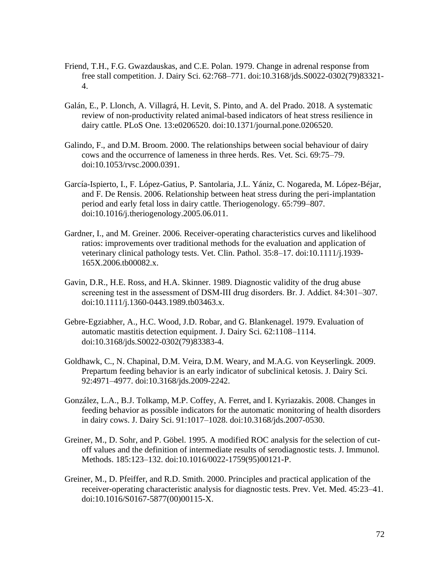- Friend, T.H., F.G. Gwazdauskas, and C.E. Polan. 1979. Change in adrenal response from free stall competition. J. Dairy Sci. 62:768–771. doi:10.3168/jds.S0022-0302(79)83321- 4.
- Galán, E., P. Llonch, A. Villagrá, H. Levit, S. Pinto, and A. del Prado. 2018. A systematic review of non-productivity related animal-based indicators of heat stress resilience in dairy cattle. PLoS One. 13:e0206520. doi:10.1371/journal.pone.0206520.
- Galindo, F., and D.M. Broom. 2000. The relationships between social behaviour of dairy cows and the occurrence of lameness in three herds. Res. Vet. Sci. 69:75–79. doi:10.1053/rvsc.2000.0391.
- García-Ispierto, I., F. López-Gatius, P. Santolaria, J.L. Yániz, C. Nogareda, M. López-Béjar, and F. De Rensis. 2006. Relationship between heat stress during the peri-implantation period and early fetal loss in dairy cattle. Theriogenology. 65:799–807. doi:10.1016/j.theriogenology.2005.06.011.
- Gardner, I., and M. Greiner. 2006. Receiver-operating characteristics curves and likelihood ratios: improvements over traditional methods for the evaluation and application of veterinary clinical pathology tests. Vet. Clin. Pathol. 35:8–17. doi:10.1111/j.1939- 165X.2006.tb00082.x.
- Gavin, D.R., H.E. Ross, and H.A. Skinner. 1989. Diagnostic validity of the drug abuse screening test in the assessment of DSM-III drug disorders. Br. J. Addict. 84:301–307. doi:10.1111/j.1360-0443.1989.tb03463.x.
- Gebre-Egziabher, A., H.C. Wood, J.D. Robar, and G. Blankenagel. 1979. Evaluation of automatic mastitis detection equipment. J. Dairy Sci. 62:1108–1114. doi:10.3168/jds.S0022-0302(79)83383-4.
- Goldhawk, C., N. Chapinal, D.M. Veira, D.M. Weary, and M.A.G. von Keyserlingk. 2009. Prepartum feeding behavior is an early indicator of subclinical ketosis. J. Dairy Sci. 92:4971–4977. doi:10.3168/jds.2009-2242.
- González, L.A., B.J. Tolkamp, M.P. Coffey, A. Ferret, and I. Kyriazakis. 2008. Changes in feeding behavior as possible indicators for the automatic monitoring of health disorders in dairy cows. J. Dairy Sci. 91:1017–1028. doi:10.3168/jds.2007-0530.
- Greiner, M., D. Sohr, and P. Göbel. 1995. A modified ROC analysis for the selection of cutoff values and the definition of intermediate results of serodiagnostic tests. J. Immunol. Methods. 185:123–132. doi:10.1016/0022-1759(95)00121-P.
- Greiner, M., D. Pfeiffer, and R.D. Smith. 2000. Principles and practical application of the receiver-operating characteristic analysis for diagnostic tests. Prev. Vet. Med. 45:23–41. doi:10.1016/S0167-5877(00)00115-X.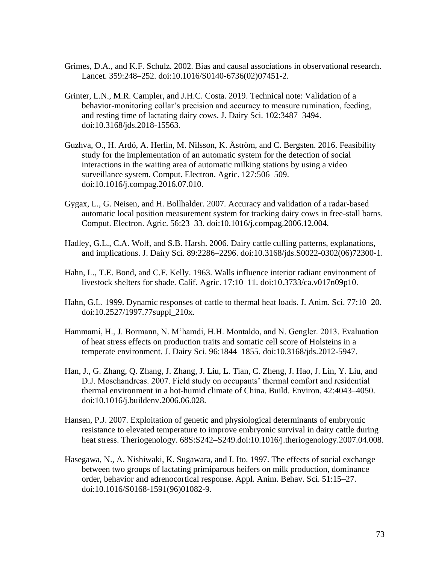- Grimes, D.A., and K.F. Schulz. 2002. Bias and causal associations in observational research. Lancet. 359:248–252. doi:10.1016/S0140-6736(02)07451-2.
- Grinter, L.N., M.R. Campler, and J.H.C. Costa. 2019. Technical note: Validation of a behavior-monitoring collar's precision and accuracy to measure rumination, feeding, and resting time of lactating dairy cows. J. Dairy Sci. 102:3487–3494. doi:10.3168/jds.2018-15563.
- Guzhva, O., H. Ardö, A. Herlin, M. Nilsson, K. Åström, and C. Bergsten. 2016. Feasibility study for the implementation of an automatic system for the detection of social interactions in the waiting area of automatic milking stations by using a video surveillance system. Comput. Electron. Agric. 127:506–509. doi:10.1016/j.compag.2016.07.010.
- Gygax, L., G. Neisen, and H. Bollhalder. 2007. Accuracy and validation of a radar-based automatic local position measurement system for tracking dairy cows in free-stall barns. Comput. Electron. Agric. 56:23–33. doi:10.1016/j.compag.2006.12.004.
- Hadley, G.L., C.A. Wolf, and S.B. Harsh. 2006. Dairy cattle culling patterns, explanations, and implications. J. Dairy Sci. 89:2286–2296. doi:10.3168/jds.S0022-0302(06)72300-1.
- Hahn, L., T.E. Bond, and C.F. Kelly. 1963. Walls influence interior radiant environment of livestock shelters for shade. Calif. Agric. 17:10–11. doi:10.3733/ca.v017n09p10.
- Hahn, G.L. 1999. Dynamic responses of cattle to thermal heat loads. J. Anim. Sci. 77:10–20. doi:10.2527/1997.77suppl\_210x.
- Hammami, H., J. Bormann, N. M'hamdi, H.H. Montaldo, and N. Gengler. 2013. Evaluation of heat stress effects on production traits and somatic cell score of Holsteins in a temperate environment. J. Dairy Sci. 96:1844–1855. doi:10.3168/jds.2012-5947.
- Han, J., G. Zhang, Q. Zhang, J. Zhang, J. Liu, L. Tian, C. Zheng, J. Hao, J. Lin, Y. Liu, and D.J. Moschandreas. 2007. Field study on occupants' thermal comfort and residential thermal environment in a hot-humid climate of China. Build. Environ. 42:4043–4050. doi:10.1016/j.buildenv.2006.06.028.
- Hansen, P.J. 2007. Exploitation of genetic and physiological determinants of embryonic resistance to elevated temperature to improve embryonic survival in dairy cattle during heat stress. Theriogenology. 68S:S242–S249.doi:10.1016/j.theriogenology.2007.04.008.
- Hasegawa, N., A. Nishiwaki, K. Sugawara, and I. Ito. 1997. The effects of social exchange between two groups of lactating primiparous heifers on milk production, dominance order, behavior and adrenocortical response. Appl. Anim. Behav. Sci. 51:15–27. doi:10.1016/S0168-1591(96)01082-9.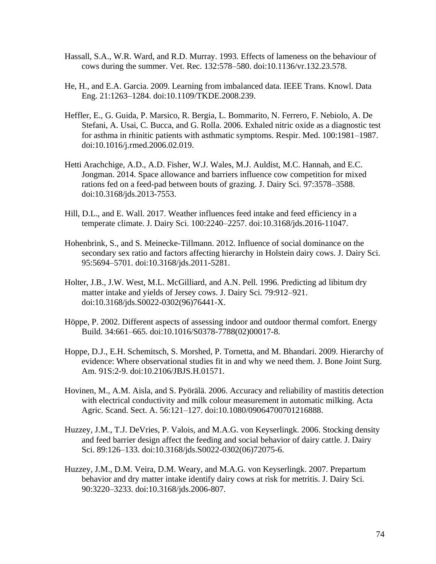- Hassall, S.A., W.R. Ward, and R.D. Murray. 1993. Effects of lameness on the behaviour of cows during the summer. Vet. Rec. 132:578–580. doi:10.1136/vr.132.23.578.
- He, H., and E.A. Garcia. 2009. Learning from imbalanced data. IEEE Trans. Knowl. Data Eng. 21:1263–1284. doi:10.1109/TKDE.2008.239.
- Heffler, E., G. Guida, P. Marsico, R. Bergia, L. Bommarito, N. Ferrero, F. Nebiolo, A. De Stefani, A. Usai, C. Bucca, and G. Rolla. 2006. Exhaled nitric oxide as a diagnostic test for asthma in rhinitic patients with asthmatic symptoms. Respir. Med. 100:1981–1987. doi:10.1016/j.rmed.2006.02.019.
- Hetti Arachchige, A.D., A.D. Fisher, W.J. Wales, M.J. Auldist, M.C. Hannah, and E.C. Jongman. 2014. Space allowance and barriers influence cow competition for mixed rations fed on a feed-pad between bouts of grazing. J. Dairy Sci. 97:3578–3588. doi:10.3168/jds.2013-7553.
- Hill, D.L., and E. Wall. 2017. Weather influences feed intake and feed efficiency in a temperate climate. J. Dairy Sci. 100:2240–2257. doi:10.3168/jds.2016-11047.
- Hohenbrink, S., and S. Meinecke-Tillmann. 2012. Influence of social dominance on the secondary sex ratio and factors affecting hierarchy in Holstein dairy cows. J. Dairy Sci. 95:5694–5701. doi:10.3168/jds.2011-5281.
- Holter, J.B., J.W. West, M.L. McGilliard, and A.N. Pell. 1996. Predicting ad libitum dry matter intake and yields of Jersey cows. J. Dairy Sci. 79:912–921. doi:10.3168/jds.S0022-0302(96)76441-X.
- Höppe, P. 2002. Different aspects of assessing indoor and outdoor thermal comfort. Energy Build. 34:661–665. doi:10.1016/S0378-7788(02)00017-8.
- Hoppe, D.J., E.H. Schemitsch, S. Morshed, P. Tornetta, and M. Bhandari. 2009. Hierarchy of evidence: Where observational studies fit in and why we need them. J. Bone Joint Surg. Am. 91S:2-9. doi:10.2106/JBJS.H.01571.
- Hovinen, M., A.M. Aisla, and S. Pyörälä. 2006. Accuracy and reliability of mastitis detection with electrical conductivity and milk colour measurement in automatic milking. Acta Agric. Scand. Sect. A. 56:121–127. doi:10.1080/09064700701216888.
- Huzzey, J.M., T.J. DeVries, P. Valois, and M.A.G. von Keyserlingk. 2006. Stocking density and feed barrier design affect the feeding and social behavior of dairy cattle. J. Dairy Sci. 89:126–133. doi:10.3168/jds.S0022-0302(06)72075-6.
- Huzzey, J.M., D.M. Veira, D.M. Weary, and M.A.G. von Keyserlingk. 2007. Prepartum behavior and dry matter intake identify dairy cows at risk for metritis. J. Dairy Sci. 90:3220–3233. doi:10.3168/jds.2006-807.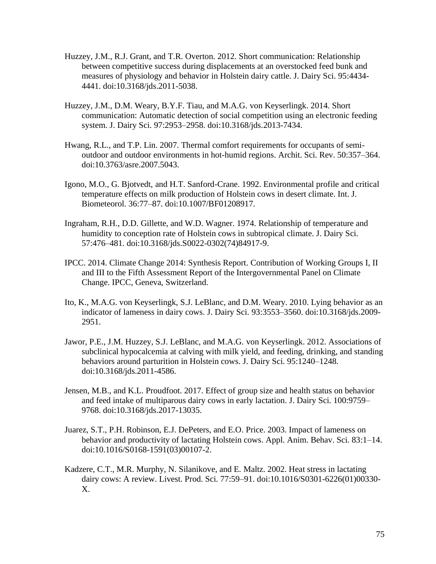- Huzzey, J.M., R.J. Grant, and T.R. Overton. 2012. Short communication: Relationship between competitive success during displacements at an overstocked feed bunk and measures of physiology and behavior in Holstein dairy cattle. J. Dairy Sci. 95:4434- 4441. doi:10.3168/jds.2011-5038.
- Huzzey, J.M., D.M. Weary, B.Y.F. Tiau, and M.A.G. von Keyserlingk. 2014. Short communication: Automatic detection of social competition using an electronic feeding system. J. Dairy Sci. 97:2953–2958. doi:10.3168/jds.2013-7434.
- Hwang, R.L., and T.P. Lin. 2007. Thermal comfort requirements for occupants of semioutdoor and outdoor environments in hot-humid regions. Archit. Sci. Rev. 50:357–364. doi:10.3763/asre.2007.5043.
- Igono, M.O., G. Bjotvedt, and H.T. Sanford-Crane. 1992. Environmental profile and critical temperature effects on milk production of Holstein cows in desert climate. Int. J. Biometeorol. 36:77–87. doi:10.1007/BF01208917.
- Ingraham, R.H., D.D. Gillette, and W.D. Wagner. 1974. Relationship of temperature and humidity to conception rate of Holstein cows in subtropical climate. J. Dairy Sci. 57:476–481. doi:10.3168/jds.S0022-0302(74)84917-9.
- IPCC. 2014. Climate Change 2014: Synthesis Report. Contribution of Working Groups I, II and III to the Fifth Assessment Report of the Intergovernmental Panel on Climate Change. IPCC, Geneva, Switzerland.
- Ito, K., M.A.G. von Keyserlingk, S.J. LeBlanc, and D.M. Weary. 2010. Lying behavior as an indicator of lameness in dairy cows. J. Dairy Sci. 93:3553–3560. doi:10.3168/jds.2009- 2951.
- Jawor, P.E., J.M. Huzzey, S.J. LeBlanc, and M.A.G. von Keyserlingk. 2012. Associations of subclinical hypocalcemia at calving with milk yield, and feeding, drinking, and standing behaviors around parturition in Holstein cows. J. Dairy Sci. 95:1240–1248. doi:10.3168/jds.2011-4586.
- Jensen, M.B., and K.L. Proudfoot. 2017. Effect of group size and health status on behavior and feed intake of multiparous dairy cows in early lactation. J. Dairy Sci. 100:9759– 9768. doi:10.3168/jds.2017-13035.
- Juarez, S.T., P.H. Robinson, E.J. DePeters, and E.O. Price. 2003. Impact of lameness on behavior and productivity of lactating Holstein cows. Appl. Anim. Behav. Sci. 83:1–14. doi:10.1016/S0168-1591(03)00107-2.
- Kadzere, C.T., M.R. Murphy, N. Silanikove, and E. Maltz. 2002. Heat stress in lactating dairy cows: A review. Livest. Prod. Sci. 77:59–91. doi:10.1016/S0301-6226(01)00330- X.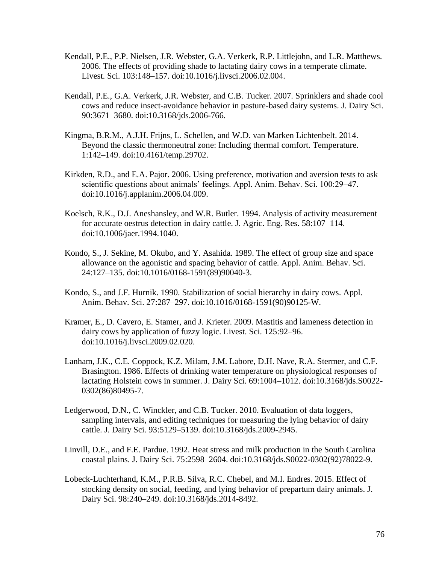- Kendall, P.E., P.P. Nielsen, J.R. Webster, G.A. Verkerk, R.P. Littlejohn, and L.R. Matthews. 2006. The effects of providing shade to lactating dairy cows in a temperate climate. Livest. Sci. 103:148–157. doi:10.1016/j.livsci.2006.02.004.
- Kendall, P.E., G.A. Verkerk, J.R. Webster, and C.B. Tucker. 2007. Sprinklers and shade cool cows and reduce insect-avoidance behavior in pasture-based dairy systems. J. Dairy Sci. 90:3671–3680. doi:10.3168/jds.2006-766.
- Kingma, B.R.M., A.J.H. Frijns, L. Schellen, and W.D. van Marken Lichtenbelt. 2014. Beyond the classic thermoneutral zone: Including thermal comfort. Temperature. 1:142–149. doi:10.4161/temp.29702.
- Kirkden, R.D., and E.A. Pajor. 2006. Using preference, motivation and aversion tests to ask scientific questions about animals' feelings. Appl. Anim. Behav. Sci. 100:29–47. doi:10.1016/j.applanim.2006.04.009.
- Koelsch, R.K., D.J. Aneshansley, and W.R. Butler. 1994. Analysis of activity measurement for accurate oestrus detection in dairy cattle. J. Agric. Eng. Res. 58:107–114. doi:10.1006/jaer.1994.1040.
- Kondo, S., J. Sekine, M. Okubo, and Y. Asahida. 1989. The effect of group size and space allowance on the agonistic and spacing behavior of cattle. Appl. Anim. Behav. Sci. 24:127–135. doi:10.1016/0168-1591(89)90040-3.
- Kondo, S., and J.F. Hurnik. 1990. Stabilization of social hierarchy in dairy cows. Appl. Anim. Behav. Sci. 27:287–297. doi:10.1016/0168-1591(90)90125-W.
- Kramer, E., D. Cavero, E. Stamer, and J. Krieter. 2009. Mastitis and lameness detection in dairy cows by application of fuzzy logic. Livest. Sci. 125:92–96. doi:10.1016/j.livsci.2009.02.020.
- Lanham, J.K., C.E. Coppock, K.Z. Milam, J.M. Labore, D.H. Nave, R.A. Stermer, and C.F. Brasington. 1986. Effects of drinking water temperature on physiological responses of lactating Holstein cows in summer. J. Dairy Sci. 69:1004–1012. doi:10.3168/jds.S0022- 0302(86)80495-7.
- Ledgerwood, D.N., C. Winckler, and C.B. Tucker. 2010. Evaluation of data loggers, sampling intervals, and editing techniques for measuring the lying behavior of dairy cattle. J. Dairy Sci. 93:5129–5139. doi:10.3168/jds.2009-2945.
- Linvill, D.E., and F.E. Pardue. 1992. Heat stress and milk production in the South Carolina coastal plains. J. Dairy Sci. 75:2598–2604. doi:10.3168/jds.S0022-0302(92)78022-9.
- Lobeck-Luchterhand, K.M., P.R.B. Silva, R.C. Chebel, and M.I. Endres. 2015. Effect of stocking density on social, feeding, and lying behavior of prepartum dairy animals. J. Dairy Sci. 98:240–249. doi:10.3168/jds.2014-8492.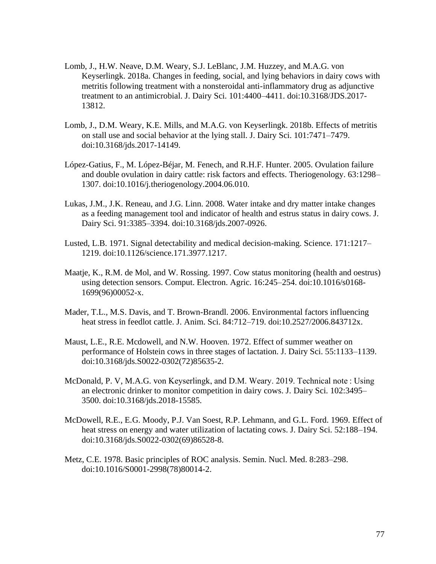- Lomb, J., H.W. Neave, D.M. Weary, S.J. LeBlanc, J.M. Huzzey, and M.A.G. von Keyserlingk. 2018a. Changes in feeding, social, and lying behaviors in dairy cows with metritis following treatment with a nonsteroidal anti-inflammatory drug as adjunctive treatment to an antimicrobial. J. Dairy Sci. 101:4400–4411. doi:10.3168/JDS.2017- 13812.
- Lomb, J., D.M. Weary, K.E. Mills, and M.A.G. von Keyserlingk. 2018b. Effects of metritis on stall use and social behavior at the lying stall. J. Dairy Sci. 101:7471–7479. doi:10.3168/jds.2017-14149.
- López-Gatius, F., M. López-Béjar, M. Fenech, and R.H.F. Hunter. 2005. Ovulation failure and double ovulation in dairy cattle: risk factors and effects. Theriogenology. 63:1298– 1307. doi:10.1016/j.theriogenology.2004.06.010.
- Lukas, J.M., J.K. Reneau, and J.G. Linn. 2008. Water intake and dry matter intake changes as a feeding management tool and indicator of health and estrus status in dairy cows. J. Dairy Sci. 91:3385–3394. doi:10.3168/jds.2007-0926.
- Lusted, L.B. 1971. Signal detectability and medical decision-making. Science. 171:1217– 1219. doi:10.1126/science.171.3977.1217.
- Maatje, K., R.M. de Mol, and W. Rossing. 1997. Cow status monitoring (health and oestrus) using detection sensors. Comput. Electron. Agric. 16:245–254. doi:10.1016/s0168- 1699(96)00052-x.
- Mader, T.L., M.S. Davis, and T. Brown-Brandl. 2006. Environmental factors influencing heat stress in feedlot cattle. J. Anim. Sci. 84:712–719. doi:10.2527/2006.843712x.
- Maust, L.E., R.E. Mcdowell, and N.W. Hooven. 1972. Effect of summer weather on performance of Holstein cows in three stages of lactation. J. Dairy Sci. 55:1133–1139. doi:10.3168/jds.S0022-0302(72)85635-2.
- McDonald, P. V, M.A.G. von Keyserlingk, and D.M. Weary. 2019. Technical note : Using an electronic drinker to monitor competition in dairy cows. J. Dairy Sci. 102:3495– 3500. doi:10.3168/jds.2018-15585.
- McDowell, R.E., E.G. Moody, P.J. Van Soest, R.P. Lehmann, and G.L. Ford. 1969. Effect of heat stress on energy and water utilization of lactating cows. J. Dairy Sci. 52:188–194. doi:10.3168/jds.S0022-0302(69)86528-8.
- Metz, C.E. 1978. Basic principles of ROC analysis. Semin. Nucl. Med. 8:283–298. doi:10.1016/S0001-2998(78)80014-2.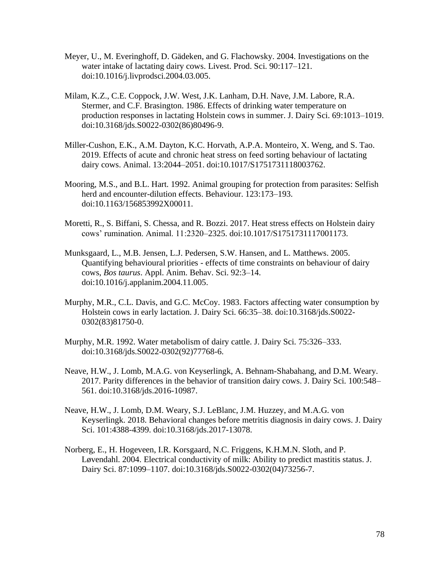- Meyer, U., M. Everinghoff, D. Gädeken, and G. Flachowsky. 2004. Investigations on the water intake of lactating dairy cows. Livest. Prod. Sci. 90:117–121. doi:10.1016/j.livprodsci.2004.03.005.
- Milam, K.Z., C.E. Coppock, J.W. West, J.K. Lanham, D.H. Nave, J.M. Labore, R.A. Stermer, and C.F. Brasington. 1986. Effects of drinking water temperature on production responses in lactating Holstein cows in summer. J. Dairy Sci. 69:1013–1019. doi:10.3168/jds.S0022-0302(86)80496-9.
- Miller-Cushon, E.K., A.M. Dayton, K.C. Horvath, A.P.A. Monteiro, X. Weng, and S. Tao. 2019. Effects of acute and chronic heat stress on feed sorting behaviour of lactating dairy cows. Animal. 13:2044–2051. doi:10.1017/S1751731118003762.
- Mooring, M.S., and B.L. Hart. 1992. Animal grouping for protection from parasites: Selfish herd and encounter-dilution effects. Behaviour. 123:173–193. doi:10.1163/156853992X00011.
- Moretti, R., S. Biffani, S. Chessa, and R. Bozzi. 2017. Heat stress effects on Holstein dairy cows' rumination. Animal. 11:2320–2325. doi:10.1017/S1751731117001173.
- Munksgaard, L., M.B. Jensen, L.J. Pedersen, S.W. Hansen, and L. Matthews. 2005. Quantifying behavioural priorities - effects of time constraints on behaviour of dairy cows, *Bos taurus*. Appl. Anim. Behav. Sci. 92:3–14. doi:10.1016/j.applanim.2004.11.005.
- Murphy, M.R., C.L. Davis, and G.C. McCoy. 1983. Factors affecting water consumption by Holstein cows in early lactation. J. Dairy Sci. 66:35–38. doi:10.3168/jds.S0022- 0302(83)81750-0.
- Murphy, M.R. 1992. Water metabolism of dairy cattle. J. Dairy Sci. 75:326–333. doi:10.3168/jds.S0022-0302(92)77768-6.
- Neave, H.W., J. Lomb, M.A.G. von Keyserlingk, A. Behnam-Shabahang, and D.M. Weary. 2017. Parity differences in the behavior of transition dairy cows. J. Dairy Sci. 100:548– 561. doi:10.3168/jds.2016-10987.
- Neave, H.W., J. Lomb, D.M. Weary, S.J. LeBlanc, J.M. Huzzey, and M.A.G. von Keyserlingk. 2018. Behavioral changes before metritis diagnosis in dairy cows. J. Dairy Sci. 101:4388-4399. doi:10.3168/jds.2017-13078.
- Norberg, E., H. Hogeveen, I.R. Korsgaard, N.C. Friggens, K.H.M.N. Sloth, and P. Løvendahl. 2004. Electrical conductivity of milk: Ability to predict mastitis status. J. Dairy Sci. 87:1099–1107. doi:10.3168/jds.S0022-0302(04)73256-7.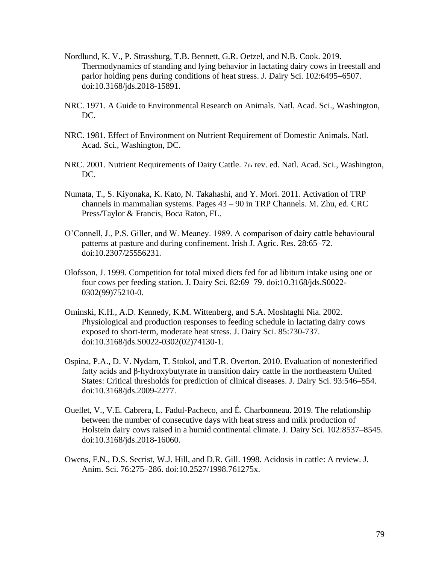- Nordlund, K. V., P. Strassburg, T.B. Bennett, G.R. Oetzel, and N.B. Cook. 2019. Thermodynamics of standing and lying behavior in lactating dairy cows in freestall and parlor holding pens during conditions of heat stress. J. Dairy Sci. 102:6495–6507. doi:10.3168/jds.2018-15891.
- NRC. 1971. A Guide to Environmental Research on Animals. Natl. Acad. Sci., Washington, DC.
- NRC. 1981. Effect of Environment on Nutrient Requirement of Domestic Animals. Natl. Acad. Sci., Washington, DC.
- NRC. 2001. Nutrient Requirements of Dairy Cattle. 7th rev. ed. Natl. Acad. Sci., Washington, DC.
- Numata, T., S. Kiyonaka, K. Kato, N. Takahashi, and Y. Mori. 2011. Activation of TRP channels in mammalian systems. Pages 43 – 90 in TRP Channels. M. Zhu, ed. CRC Press/Taylor & Francis, Boca Raton, FL.
- O'Connell, J., P.S. Giller, and W. Meaney. 1989. A comparison of dairy cattle behavioural patterns at pasture and during confinement. Irish J. Agric. Res. 28:65–72. doi:10.2307/25556231.
- Olofsson, J. 1999. Competition for total mixed diets fed for ad libitum intake using one or four cows per feeding station. J. Dairy Sci. 82:69–79. doi:10.3168/jds.S0022- 0302(99)75210-0.
- Ominski, K.H., A.D. Kennedy, K.M. Wittenberg, and S.A. Moshtaghi Nia. 2002. Physiological and production responses to feeding schedule in lactating dairy cows exposed to short-term, moderate heat stress. J. Dairy Sci. 85:730-737. doi:10.3168/jds.S0022-0302(02)74130-1.
- Ospina, P.A., D. V. Nydam, T. Stokol, and T.R. Overton. 2010. Evaluation of nonesterified fatty acids and β-hydroxybutyrate in transition dairy cattle in the northeastern United States: Critical thresholds for prediction of clinical diseases. J. Dairy Sci. 93:546–554. doi:10.3168/jds.2009-2277.
- Ouellet, V., V.E. Cabrera, L. Fadul-Pacheco, and É. Charbonneau. 2019. The relationship between the number of consecutive days with heat stress and milk production of Holstein dairy cows raised in a humid continental climate. J. Dairy Sci. 102:8537–8545. doi:10.3168/jds.2018-16060.
- Owens, F.N., D.S. Secrist, W.J. Hill, and D.R. Gill. 1998. Acidosis in cattle: A review. J. Anim. Sci. 76:275–286. doi:10.2527/1998.761275x.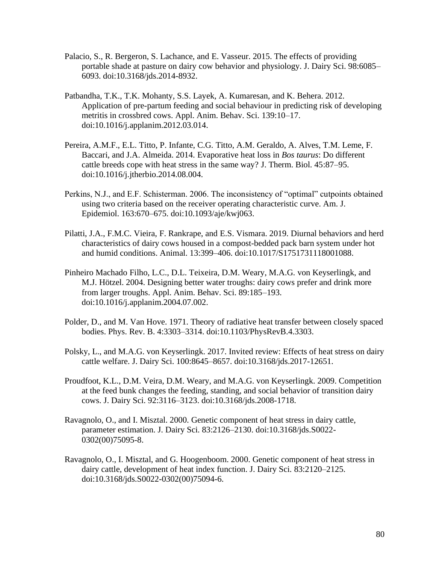- Palacio, S., R. Bergeron, S. Lachance, and E. Vasseur. 2015. The effects of providing portable shade at pasture on dairy cow behavior and physiology. J. Dairy Sci. 98:6085– 6093. doi:10.3168/jds.2014-8932.
- Patbandha, T.K., T.K. Mohanty, S.S. Layek, A. Kumaresan, and K. Behera. 2012. Application of pre-partum feeding and social behaviour in predicting risk of developing metritis in crossbred cows. Appl. Anim. Behav. Sci. 139:10–17. doi:10.1016/j.applanim.2012.03.014.
- Pereira, A.M.F., E.L. Titto, P. Infante, C.G. Titto, A.M. Geraldo, A. Alves, T.M. Leme, F. Baccari, and J.A. Almeida. 2014. Evaporative heat loss in *Bos taurus*: Do different cattle breeds cope with heat stress in the same way? J. Therm. Biol. 45:87–95. doi:10.1016/j.jtherbio.2014.08.004.
- Perkins, N.J., and E.F. Schisterman. 2006. The inconsistency of "optimal" cutpoints obtained using two criteria based on the receiver operating characteristic curve. Am. J. Epidemiol. 163:670–675. doi:10.1093/aje/kwj063.
- Pilatti, J.A., F.M.C. Vieira, F. Rankrape, and E.S. Vismara. 2019. Diurnal behaviors and herd characteristics of dairy cows housed in a compost-bedded pack barn system under hot and humid conditions. Animal. 13:399–406. doi:10.1017/S1751731118001088.
- Pinheiro Machado Filho, L.C., D.L. Teixeira, D.M. Weary, M.A.G. von Keyserlingk, and M.J. Hötzel. 2004. Designing better water troughs: dairy cows prefer and drink more from larger troughs. Appl. Anim. Behav. Sci. 89:185–193. doi:10.1016/j.applanim.2004.07.002.
- Polder, D., and M. Van Hove. 1971. Theory of radiative heat transfer between closely spaced bodies. Phys. Rev. B. 4:3303–3314. doi:10.1103/PhysRevB.4.3303.
- Polsky, L., and M.A.G. von Keyserlingk. 2017. Invited review: Effects of heat stress on dairy cattle welfare. J. Dairy Sci. 100:8645–8657. doi:10.3168/jds.2017-12651.
- Proudfoot, K.L., D.M. Veira, D.M. Weary, and M.A.G. von Keyserlingk. 2009. Competition at the feed bunk changes the feeding, standing, and social behavior of transition dairy cows. J. Dairy Sci. 92:3116–3123. doi:10.3168/jds.2008-1718.
- Ravagnolo, O., and I. Misztal. 2000. Genetic component of heat stress in dairy cattle, parameter estimation. J. Dairy Sci. 83:2126–2130. doi:10.3168/jds.S0022- 0302(00)75095-8.
- Ravagnolo, O., I. Misztal, and G. Hoogenboom. 2000. Genetic component of heat stress in dairy cattle, development of heat index function. J. Dairy Sci. 83:2120–2125. doi:10.3168/jds.S0022-0302(00)75094-6.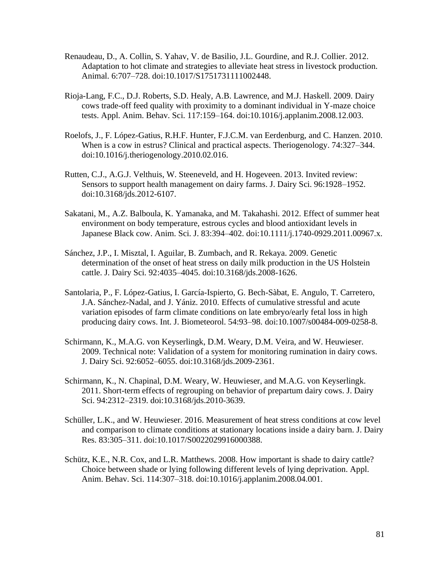- Renaudeau, D., A. Collin, S. Yahav, V. de Basilio, J.L. Gourdine, and R.J. Collier. 2012. Adaptation to hot climate and strategies to alleviate heat stress in livestock production. Animal. 6:707–728. doi:10.1017/S1751731111002448.
- Rioja-Lang, F.C., D.J. Roberts, S.D. Healy, A.B. Lawrence, and M.J. Haskell. 2009. Dairy cows trade-off feed quality with proximity to a dominant individual in Y-maze choice tests. Appl. Anim. Behav. Sci. 117:159–164. doi:10.1016/j.applanim.2008.12.003.
- Roelofs, J., F. López-Gatius, R.H.F. Hunter, F.J.C.M. van Eerdenburg, and C. Hanzen. 2010. When is a cow in estrus? Clinical and practical aspects. Theriogenology. 74:327–344. doi:10.1016/j.theriogenology.2010.02.016.
- Rutten, C.J., A.G.J. Velthuis, W. Steeneveld, and H. Hogeveen. 2013. Invited review: Sensors to support health management on dairy farms. J. Dairy Sci. 96:1928–1952. doi:10.3168/jds.2012-6107.
- Sakatani, M., A.Z. Balboula, K. Yamanaka, and M. Takahashi. 2012. Effect of summer heat environment on body temperature, estrous cycles and blood antioxidant levels in Japanese Black cow. Anim. Sci. J. 83:394–402. doi:10.1111/j.1740-0929.2011.00967.x.
- Sánchez, J.P., I. Misztal, I. Aguilar, B. Zumbach, and R. Rekaya. 2009. Genetic determination of the onset of heat stress on daily milk production in the US Holstein cattle. J. Dairy Sci. 92:4035–4045. doi:10.3168/jds.2008-1626.
- Santolaria, P., F. López-Gatius, I. García-Ispierto, G. Bech-Sàbat, E. Angulo, T. Carretero, J.A. Sánchez-Nadal, and J. Yániz. 2010. Effects of cumulative stressful and acute variation episodes of farm climate conditions on late embryo/early fetal loss in high producing dairy cows. Int. J. Biometeorol. 54:93–98. doi:10.1007/s00484-009-0258-8.
- Schirmann, K., M.A.G. von Keyserlingk, D.M. Weary, D.M. Veira, and W. Heuwieser. 2009. Technical note: Validation of a system for monitoring rumination in dairy cows. J. Dairy Sci. 92:6052–6055. doi:10.3168/jds.2009-2361.
- Schirmann, K., N. Chapinal, D.M. Weary, W. Heuwieser, and M.A.G. von Keyserlingk. 2011. Short-term effects of regrouping on behavior of prepartum dairy cows. J. Dairy Sci. 94:2312–2319. doi:10.3168/jds.2010-3639.
- Schüller, L.K., and W. Heuwieser. 2016. Measurement of heat stress conditions at cow level and comparison to climate conditions at stationary locations inside a dairy barn. J. Dairy Res. 83:305–311. doi:10.1017/S0022029916000388.
- Schütz, K.E., N.R. Cox, and L.R. Matthews. 2008. How important is shade to dairy cattle? Choice between shade or lying following different levels of lying deprivation. Appl. Anim. Behav. Sci. 114:307–318. doi:10.1016/j.applanim.2008.04.001.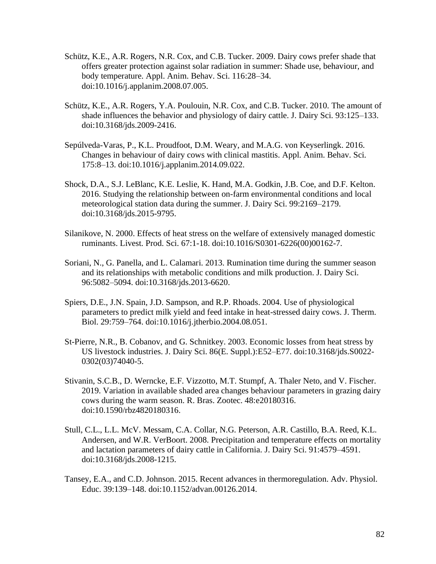- Schütz, K.E., A.R. Rogers, N.R. Cox, and C.B. Tucker. 2009. Dairy cows prefer shade that offers greater protection against solar radiation in summer: Shade use, behaviour, and body temperature. Appl. Anim. Behav. Sci. 116:28–34. doi:10.1016/j.applanim.2008.07.005.
- Schütz, K.E., A.R. Rogers, Y.A. Poulouin, N.R. Cox, and C.B. Tucker. 2010. The amount of shade influences the behavior and physiology of dairy cattle. J. Dairy Sci. 93:125–133. doi:10.3168/jds.2009-2416.
- Sepúlveda-Varas, P., K.L. Proudfoot, D.M. Weary, and M.A.G. von Keyserlingk. 2016. Changes in behaviour of dairy cows with clinical mastitis. Appl. Anim. Behav. Sci. 175:8–13. doi:10.1016/j.applanim.2014.09.022.
- Shock, D.A., S.J. LeBlanc, K.E. Leslie, K. Hand, M.A. Godkin, J.B. Coe, and D.F. Kelton. 2016. Studying the relationship between on-farm environmental conditions and local meteorological station data during the summer. J. Dairy Sci. 99:2169–2179. doi:10.3168/jds.2015-9795.
- Silanikove, N. 2000. Effects of heat stress on the welfare of extensively managed domestic ruminants. Livest. Prod. Sci. 67:1-18. doi:10.1016/S0301-6226(00)00162-7.
- Soriani, N., G. Panella, and L. Calamari. 2013. Rumination time during the summer season and its relationships with metabolic conditions and milk production. J. Dairy Sci. 96:5082–5094. doi:10.3168/jds.2013-6620.
- Spiers, D.E., J.N. Spain, J.D. Sampson, and R.P. Rhoads. 2004. Use of physiological parameters to predict milk yield and feed intake in heat-stressed dairy cows. J. Therm. Biol. 29:759–764. doi:10.1016/j.jtherbio.2004.08.051.
- St-Pierre, N.R., B. Cobanov, and G. Schnitkey. 2003. Economic losses from heat stress by US livestock industries. J. Dairy Sci. 86(E. Suppl.):E52–E77. doi:10.3168/jds.S0022- 0302(03)74040-5.
- Stivanin, S.C.B., D. Werncke, E.F. Vizzotto, M.T. Stumpf, A. Thaler Neto, and V. Fischer. 2019. Variation in available shaded area changes behaviour parameters in grazing dairy cows during the warm season. R. Bras. Zootec. 48:e20180316. doi:10.1590/rbz4820180316.
- Stull, C.L., L.L. McV. Messam, C.A. Collar, N.G. Peterson, A.R. Castillo, B.A. Reed, K.L. Andersen, and W.R. VerBoort. 2008. Precipitation and temperature effects on mortality and lactation parameters of dairy cattle in California. J. Dairy Sci. 91:4579–4591. doi:10.3168/jds.2008-1215.
- Tansey, E.A., and C.D. Johnson. 2015. Recent advances in thermoregulation. Adv. Physiol. Educ. 39:139–148. doi:10.1152/advan.00126.2014.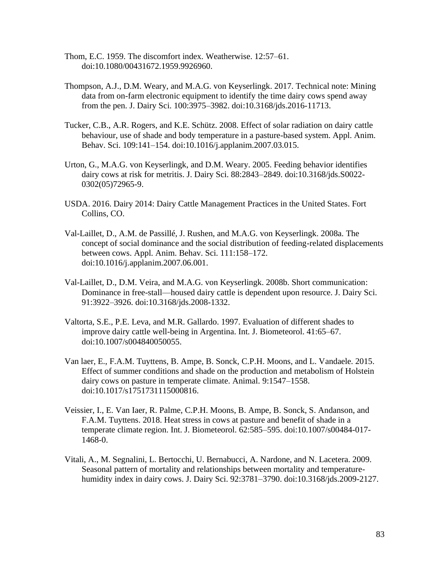- Thom, E.C. 1959. The discomfort index. Weatherwise. 12:57–61. doi:10.1080/00431672.1959.9926960.
- Thompson, A.J., D.M. Weary, and M.A.G. von Keyserlingk. 2017. Technical note: Mining data from on-farm electronic equipment to identify the time dairy cows spend away from the pen. J. Dairy Sci. 100:3975–3982. doi:10.3168/jds.2016-11713.
- Tucker, C.B., A.R. Rogers, and K.E. Schütz. 2008. Effect of solar radiation on dairy cattle behaviour, use of shade and body temperature in a pasture-based system. Appl. Anim. Behav. Sci. 109:141–154. doi:10.1016/j.applanim.2007.03.015.
- Urton, G., M.A.G. von Keyserlingk, and D.M. Weary. 2005. Feeding behavior identifies dairy cows at risk for metritis. J. Dairy Sci. 88:2843–2849. doi:10.3168/jds.S0022- 0302(05)72965-9.
- USDA. 2016. Dairy 2014: Dairy Cattle Management Practices in the United States. Fort Collins, CO.
- Val-Laillet, D., A.M. de Passillé, J. Rushen, and M.A.G. von Keyserlingk. 2008a. The concept of social dominance and the social distribution of feeding-related displacements between cows. Appl. Anim. Behav. Sci. 111:158–172. doi:10.1016/j.applanim.2007.06.001.
- Val-Laillet, D., D.M. Veira, and M.A.G. von Keyserlingk. 2008b. Short communication: Dominance in free-stall—housed dairy cattle is dependent upon resource. J. Dairy Sci. 91:3922–3926. doi:10.3168/jds.2008-1332.
- Valtorta, S.E., P.E. Leva, and M.R. Gallardo. 1997. Evaluation of different shades to improve dairy cattle well-being in Argentina. Int. J. Biometeorol. 41:65–67. doi:10.1007/s004840050055.
- Van laer, E., F.A.M. Tuyttens, B. Ampe, B. Sonck, C.P.H. Moons, and L. Vandaele. 2015. Effect of summer conditions and shade on the production and metabolism of Holstein dairy cows on pasture in temperate climate. Animal. 9:1547–1558. doi:10.1017/s1751731115000816.
- Veissier, I., E. Van Iaer, R. Palme, C.P.H. Moons, B. Ampe, B. Sonck, S. Andanson, and F.A.M. Tuyttens. 2018. Heat stress in cows at pasture and benefit of shade in a temperate climate region. Int. J. Biometeorol. 62:585–595. doi:10.1007/s00484-017- 1468-0.
- Vitali, A., M. Segnalini, L. Bertocchi, U. Bernabucci, A. Nardone, and N. Lacetera. 2009. Seasonal pattern of mortality and relationships between mortality and temperaturehumidity index in dairy cows. J. Dairy Sci. 92:3781–3790. doi:10.3168/jds.2009-2127.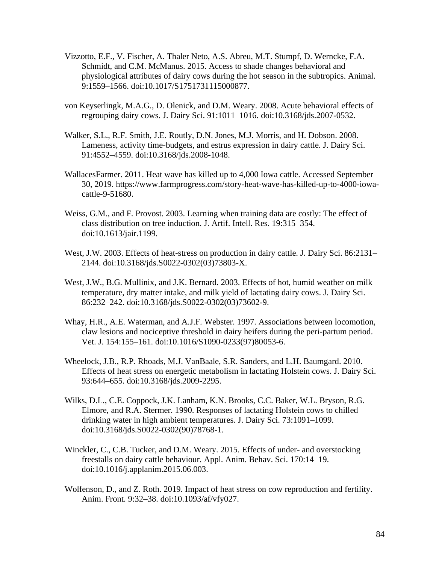- Vizzotto, E.F., V. Fischer, A. Thaler Neto, A.S. Abreu, M.T. Stumpf, D. Werncke, F.A. Schmidt, and C.M. McManus. 2015. Access to shade changes behavioral and physiological attributes of dairy cows during the hot season in the subtropics. Animal. 9:1559–1566. doi:10.1017/S1751731115000877.
- von Keyserlingk, M.A.G., D. Olenick, and D.M. Weary. 2008. Acute behavioral effects of regrouping dairy cows. J. Dairy Sci. 91:1011–1016. doi:10.3168/jds.2007-0532.
- Walker, S.L., R.F. Smith, J.E. Routly, D.N. Jones, M.J. Morris, and H. Dobson. 2008. Lameness, activity time-budgets, and estrus expression in dairy cattle. J. Dairy Sci. 91:4552–4559. doi:10.3168/jds.2008-1048.
- WallacesFarmer. 2011. Heat wave has killed up to 4,000 Iowa cattle. Accessed September 30, 2019. https://www.farmprogress.com/story-heat-wave-has-killed-up-to-4000-iowacattle-9-51680.
- Weiss, G.M., and F. Provost. 2003. Learning when training data are costly: The effect of class distribution on tree induction. J. Artif. Intell. Res. 19:315–354. doi:10.1613/jair.1199.
- West, J.W. 2003. Effects of heat-stress on production in dairy cattle. J. Dairy Sci. 86:2131– 2144. doi:10.3168/jds.S0022-0302(03)73803-X.
- West, J.W., B.G. Mullinix, and J.K. Bernard. 2003. Effects of hot, humid weather on milk temperature, dry matter intake, and milk yield of lactating dairy cows. J. Dairy Sci. 86:232–242. doi:10.3168/jds.S0022-0302(03)73602-9.
- Whay, H.R., A.E. Waterman, and A.J.F. Webster. 1997. Associations between locomotion, claw lesions and nociceptive threshold in dairy heifers during the peri-partum period. Vet. J. 154:155–161. doi:10.1016/S1090-0233(97)80053-6.
- Wheelock, J.B., R.P. Rhoads, M.J. VanBaale, S.R. Sanders, and L.H. Baumgard. 2010. Effects of heat stress on energetic metabolism in lactating Holstein cows. J. Dairy Sci. 93:644–655. doi:10.3168/jds.2009-2295.
- Wilks, D.L., C.E. Coppock, J.K. Lanham, K.N. Brooks, C.C. Baker, W.L. Bryson, R.G. Elmore, and R.A. Stermer. 1990. Responses of lactating Holstein cows to chilled drinking water in high ambient temperatures. J. Dairy Sci. 73:1091–1099. doi:10.3168/jds.S0022-0302(90)78768-1.
- Winckler, C., C.B. Tucker, and D.M. Weary. 2015. Effects of under- and overstocking freestalls on dairy cattle behaviour. Appl. Anim. Behav. Sci. 170:14–19. doi:10.1016/j.applanim.2015.06.003.
- Wolfenson, D., and Z. Roth. 2019. Impact of heat stress on cow reproduction and fertility. Anim. Front. 9:32–38. doi:10.1093/af/vfy027.